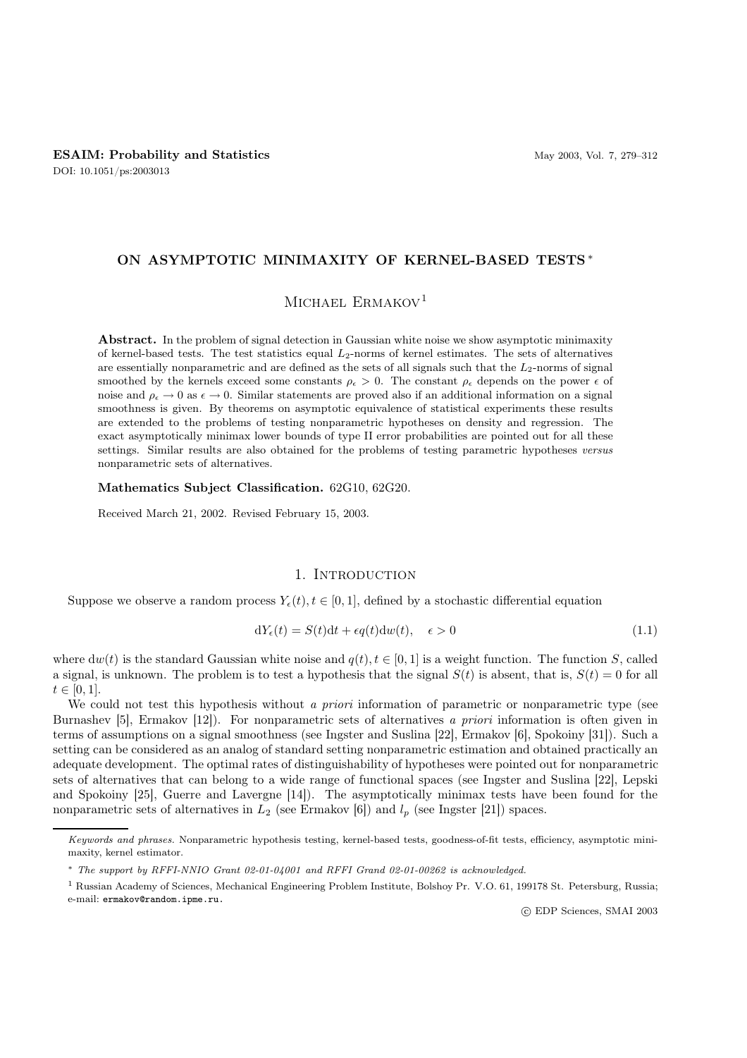# ON ASYMPTOTIC MINIMAXITY OF KERNEL-BASED TESTS ∗

# MICHAEL ERMAKOV<sup>1</sup>

Abstract. In the problem of signal detection in Gaussian white noise we show asymptotic minimaxity of kernel-based tests. The test statistics equal L2-norms of kernel estimates. The sets of alternatives are essentially nonparametric and are defined as the sets of all signals such that the  $L_2$ -norms of signal smoothed by the kernels exceed some constants  $\rho_{\epsilon} > 0$ . The constant  $\rho_{\epsilon}$  depends on the power  $\epsilon$  of noise and  $\rho_{\epsilon} \to 0$  as  $\epsilon \to 0$ . Similar statements are proved also if an additional information on a signal smoothness is given. By theorems on asymptotic equivalence of statistical experiments these results are extended to the problems of testing nonparametric hypotheses on density and regression. The exact asymptotically minimax lower bounds of type II error probabilities are pointed out for all these settings. Similar results are also obtained for the problems of testing parametric hypotheses versus nonparametric sets of alternatives.

#### Mathematics Subject Classification. 62G10, 62G20.

Received March 21, 2002. Revised February 15, 2003.

# 1. INTRODUCTION

Suppose we observe a random process  $Y_{\epsilon}(t), t \in [0, 1]$ , defined by a stochastic differential equation

$$
dY_{\epsilon}(t) = S(t)dt + \epsilon q(t)dw(t), \quad \epsilon > 0
$$
\n(1.1)

where  $dw(t)$  is the standard Gaussian white noise and  $q(t), t \in [0, 1]$  is a weight function. The function S, called a signal, is unknown. The problem is to test a hypothesis that the signal  $S(t)$  is absent, that is,  $S(t)=0$  for all  $t \in [0, 1].$ 

We could not test this hypothesis without *a priori* information of parametric or nonparametric type (see Burnashev [5], Ermakov [12]). For nonparametric sets of alternatives *a priori* information is often given in terms of assumptions on a signal smoothness (see Ingster and Suslina [22], Ermakov [6], Spokoiny [31]). Such a setting can be considered as an analog of standard setting nonparametric estimation and obtained practically an adequate development. The optimal rates of distinguishability of hypotheses were pointed out for nonparametric sets of alternatives that can belong to a wide range of functional spaces (see Ingster and Suslina [22], Lepski and Spokoiny [25], Guerre and Lavergne [14]). The asymptotically minimax tests have been found for the nonparametric sets of alternatives in  $L_2$  (see Ermakov [6]) and  $l_p$  (see Ingster [21]) spaces.

*Keywords and phrases.* Nonparametric hypothesis testing, kernel-based tests, goodness-of-fit tests, efficiency, asymptotic minimaxity, kernel estimator.

<sup>∗</sup> *The support by RFFI-NNIO Grant 02-01-04001 and RFFI Grand 02-01-00262 is acknowledged.*

<sup>1</sup> Russian Academy of Sciences, Mechanical Engineering Problem Institute, Bolshoy Pr. V.O. 61, 199178 St. Petersburg, Russia; e-mail: ermakov@random.ipme.ru.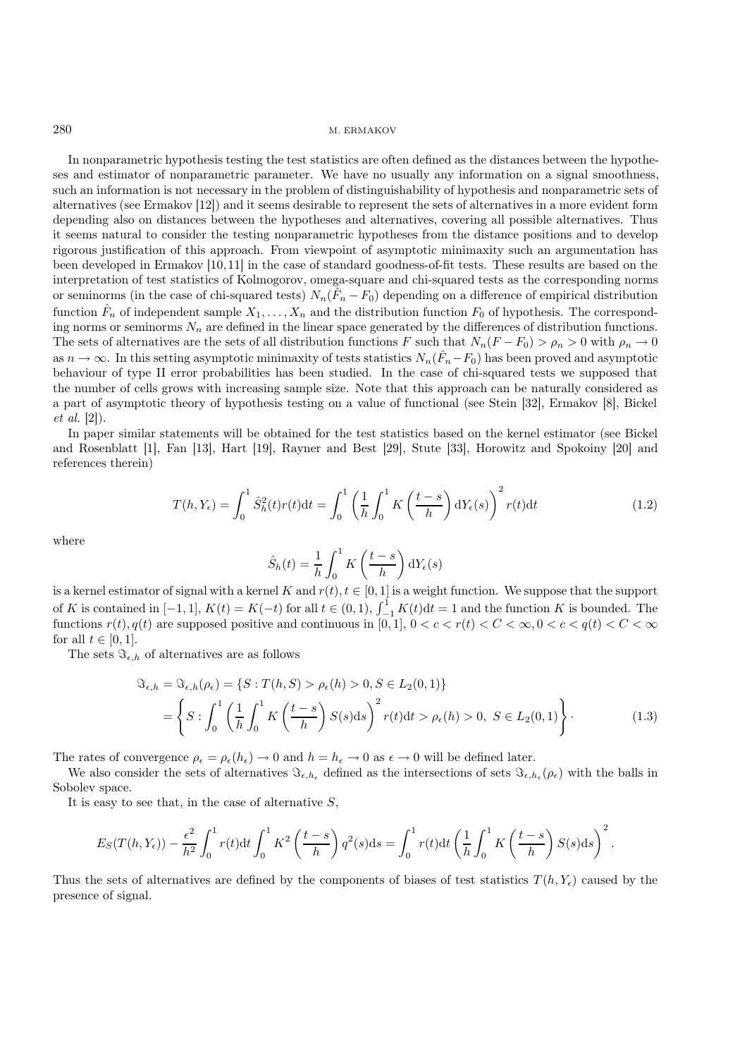In nonparametric hypothesis testing the test statistics are often defined as the distances between the hypotheses and estimator of nonparametric parameter. We have no usually any information on a signal smoothness, such an information is not necessary in the problem of distinguishability of hypothesis and nonparametric sets of alternatives (see Ermakov [12]) and it seems desirable to represent the sets of alternatives in a more evident form depending also on distances between the hypotheses and alternatives, covering all possible alternatives. Thus it seems natural to consider the testing nonparametric hypotheses from the distance positions and to develop rigorous justification of this approach. From viewpoint of asymptotic minimaxity such an argumentation has been developed in Ermakov [10, 11] in the case of standard goodness-of-fit tests. These results are based on the interpretation of test statistics of Kolmogorov, omega-square and chi-squared tests as the corresponding norms or seminorms (in the case of chi-squared tests)  $N_n(\hat{F}_n - F_0)$  depending on a difference of empirical distribution function  $\hat{F}_n$  of independent sample  $X_1,\ldots,X_n$  and the distribution function  $F_0$  of hypothesis. The corresponding norms or seminorms  $N_n$  are defined in the linear space generated by the differences of distribution functions. The sets of alternatives are the sets of all distribution functions F such that  $N_n(F - F_0) > \rho_n > 0$  with  $\rho_n \to 0$ as  $n \to \infty$ . In this setting asymptotic minimaxity of tests statistics  $N_n(\hat{F}_n-F_0)$  has been proved and asymptotic behaviour of type II error probabilities has been studied. In the case of chi-squared tests we supposed that the number of cells grows with increasing sample size. Note that this approach can be naturally considered as a part of asymptotic theory of hypothesis testing on a value of functional (see Stein [32], Ermakov [8], Bickel *et al.* [2]).

In paper similar statements will be obtained for the test statistics based on the kernel estimator (see Bickel and Rosenblatt [1], Fan [13], Hart [19], Rayner and Best [29], Stute [33], Horowitz and Spokoiny [20] and references therein)

$$
T(h, Y_{\epsilon}) = \int_0^1 \hat{S}_h^2(t) r(t) dt = \int_0^1 \left(\frac{1}{h} \int_0^1 K\left(\frac{t-s}{h}\right) dY_{\epsilon}(s)\right)^2 r(t) dt \tag{1.2}
$$

where

$$
\hat{S}_h(t) = \frac{1}{h} \int_0^1 K\left(\frac{t-s}{h}\right) dY_{\epsilon}(s)
$$

is a kernel estimator of signal with a kernel K and  $r(t)$ ,  $t \in [0,1]$  is a weight function. We suppose that the support of K is contained in  $[-1, 1]$ ,  $K(t) = K(-t)$  for all  $t \in (0, 1)$ ,  $\int_{-1}^{1} K(t) dt = 1$  and the function K is bounded. The functions  $r(t)$ ,  $q(t)$  are supposed positive and continuous in [0, 1],  $0 < c < r(t) < C < \infty$ ,  $0 < c < q(t) < C < \infty$ for all  $t \in [0, 1]$ .

The sets  $\Im_{\epsilon,h}$  of alternatives are as follows

$$
\mathfrak{S}_{\epsilon,h} = \mathfrak{S}_{\epsilon,h}(\rho_{\epsilon}) = \{ S : T(h, S) > \rho_{\epsilon}(h) > 0, S \in L_2(0,1) \}
$$
  
= 
$$
\left\{ S : \int_0^1 \left( \frac{1}{h} \int_0^1 K\left(\frac{t-s}{h}\right) S(s) \, ds \right)^2 r(t) \, dt > \rho_{\epsilon}(h) > 0, S \in L_2(0,1) \right\}.
$$
 (1.3)

The rates of convergence  $\rho_{\epsilon} = \rho_{\epsilon}(h_{\epsilon}) \to 0$  and  $h = h_{\epsilon} \to 0$  as  $\epsilon \to 0$  will be defined later.

We also consider the sets of alternatives  $\Im_{\epsilon,h_{\epsilon}}$  defined as the intersections of sets  $\Im_{\epsilon,h_{\epsilon}}(\rho_{\epsilon})$  with the balls in Sobolev space.

It is easy to see that, in the case of alternative  $S$ ,

$$
E_S(T(h,Y_\epsilon))-\frac{\epsilon^2}{h^2}\int_0^1r(t)\mathrm{d} t\int_0^1K^2\left(\frac{t-s}{h}\right)q^2(s)\mathrm{d} s=\int_0^1r(t)\mathrm{d} t\left(\frac{1}{h}\int_0^1K\left(\frac{t-s}{h}\right)S(s)\mathrm{d} s\right)^2.
$$

Thus the sets of alternatives are defined by the components of biases of test statistics  $T(h, Y_{\epsilon})$  caused by the presence of signal.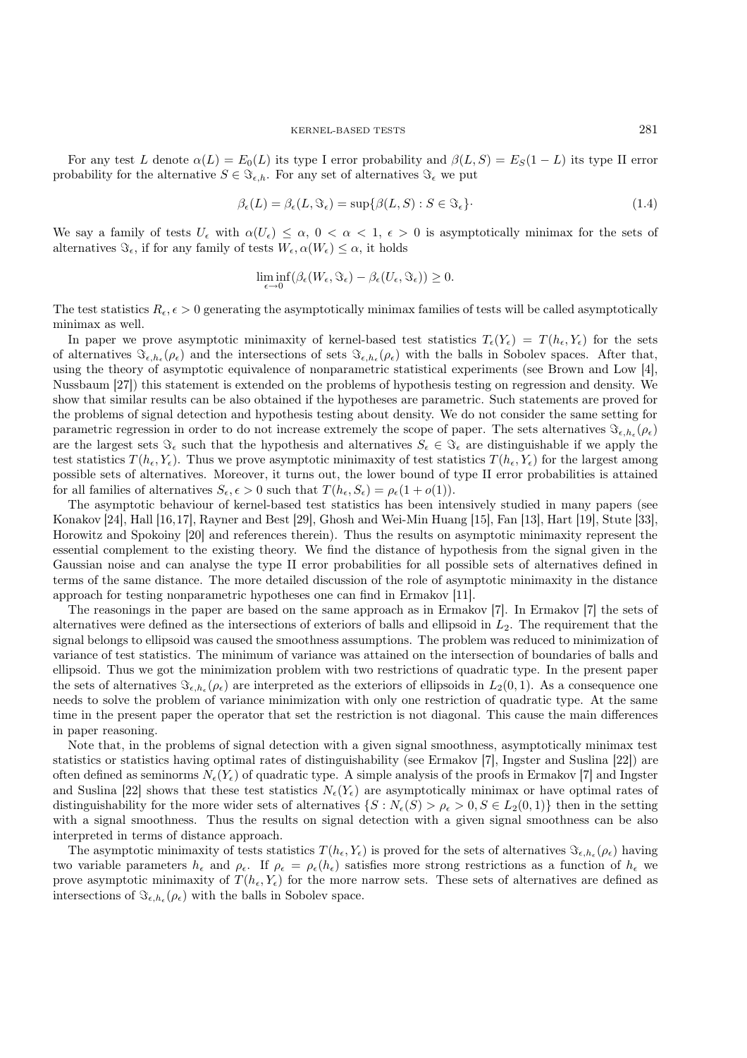For any test L denote  $\alpha(L) = E_0(L)$  its type I error probability and  $\beta(L, S) = E_S(1-L)$  its type II error probability for the alternative  $S \in \Im_{\epsilon,h}$ . For any set of alternatives  $\Im_{\epsilon}$  we put

$$
\beta_{\epsilon}(L) = \beta_{\epsilon}(L, \Im_{\epsilon}) = \sup \{ \beta(L, S) : S \in \Im_{\epsilon} \}.
$$
\n(1.4)

We say a family of tests  $U_{\epsilon}$  with  $\alpha(U_{\epsilon}) \leq \alpha$ ,  $0 < \alpha < 1$ ,  $\epsilon > 0$  is asymptotically minimax for the sets of alternatives  $\Im_{\epsilon}$ , if for any family of tests  $W_{\epsilon}$ ,  $\alpha(W_{\epsilon}) \leq \alpha$ , it holds

$$
\liminf_{\epsilon \to 0} (\beta_{\epsilon}(W_{\epsilon}, \Im_{\epsilon}) - \beta_{\epsilon}(U_{\epsilon}, \Im_{\epsilon})) \geq 0.
$$

The test statistics  $R_{\epsilon}, \epsilon > 0$  generating the asymptotically minimax families of tests will be called asymptotically minimax as well.

In paper we prove asymptotic minimaxity of kernel-based test statistics  $T_{\epsilon}(Y_{\epsilon}) = T(h_{\epsilon}, Y_{\epsilon})$  for the sets of alternatives  $\mathfrak{S}_{\epsilon,h}(\rho_{\epsilon})$  and the intersections of sets  $\mathfrak{S}_{\epsilon,h_{\epsilon}}(\rho_{\epsilon})$  with the balls in Sobolev spaces. After that, using the theory of asymptotic equivalence of nonparametric statistical experiments (see Brown and Low [4], Nussbaum [27]) this statement is extended on the problems of hypothesis testing on regression and density. We show that similar results can be also obtained if the hypotheses are parametric. Such statements are proved for the problems of signal detection and hypothesis testing about density. We do not consider the same setting for parametric regression in order to do not increase extremely the scope of paper. The sets alternatives  $\Im_{\epsilon, h_{\epsilon}}(\rho_{\epsilon})$ are the largest sets  $\Im_{\epsilon}$  such that the hypothesis and alternatives  $S_{\epsilon} \in \Im_{\epsilon}$  are distinguishable if we apply the test statistics  $T(h_{\epsilon}, Y_{\epsilon})$ . Thus we prove asymptotic minimaxity of test statistics  $T(h_{\epsilon}, Y_{\epsilon})$  for the largest among possible sets of alternatives. Moreover, it turns out, the lower bound of type II error probabilities is attained for all families of alternatives  $S_{\epsilon}, \epsilon > 0$  such that  $T (h_{\epsilon}, S_{\epsilon}) = \rho_{\epsilon} (1 + o(1)).$ 

The asymptotic behaviour of kernel-based test statistics has been intensively studied in many papers (see Konakov [24], Hall [16,17], Rayner and Best [29], Ghosh and Wei-Min Huang [15], Fan [13], Hart [19], Stute [33], Horowitz and Spokoiny [20] and references therein). Thus the results on asymptotic minimaxity represent the essential complement to the existing theory. We find the distance of hypothesis from the signal given in the Gaussian noise and can analyse the type II error probabilities for all possible sets of alternatives defined in terms of the same distance. The more detailed discussion of the role of asymptotic minimaxity in the distance approach for testing nonparametric hypotheses one can find in Ermakov [11].

The reasonings in the paper are based on the same approach as in Ermakov [7]. In Ermakov [7] the sets of alternatives were defined as the intersections of exteriors of balls and ellipsoid in  $L_2$ . The requirement that the signal belongs to ellipsoid was caused the smoothness assumptions. The problem was reduced to minimization of variance of test statistics. The minimum of variance was attained on the intersection of boundaries of balls and ellipsoid. Thus we got the minimization problem with two restrictions of quadratic type. In the present paper the sets of alternatives  $\Im_{\epsilon,h_{\epsilon}}(\rho_{\epsilon})$  are interpreted as the exteriors of ellipsoids in  $L_2(0,1)$ . As a consequence one needs to solve the problem of variance minimization with only one restriction of quadratic type. At the same time in the present paper the operator that set the restriction is not diagonal. This cause the main differences in paper reasoning.

Note that, in the problems of signal detection with a given signal smoothness, asymptotically minimax test statistics or statistics having optimal rates of distinguishability (see Ermakov [7], Ingster and Suslina [22]) are often defined as seminorms  $N_{\epsilon}(Y_{\epsilon})$  of quadratic type. A simple analysis of the proofs in Ermakov [7] and Ingster and Suslina [22] shows that these test statistics  $N_{\epsilon}(Y_{\epsilon})$  are asymptotically minimax or have optimal rates of distinguishability for the more wider sets of alternatives  $\{S: N_{\epsilon}(S) > \rho_{\epsilon} > 0, S \in L_2(0,1)\}\$  then in the setting with a signal smoothness. Thus the results on signal detection with a given signal smoothness can be also interpreted in terms of distance approach.

The asymptotic minimaxity of tests statistics  $T(h_{\epsilon}, Y_{\epsilon})$  is proved for the sets of alternatives  $\Im_{\epsilon, h_{\epsilon}}(\rho_{\epsilon})$  having two variable parameters  $h_{\epsilon}$  and  $\rho_{\epsilon}$ . If  $\rho_{\epsilon} = \rho_{\epsilon}(h_{\epsilon})$  satisfies more strong restrictions as a function of  $h_{\epsilon}$  we prove asymptotic minimaxity of  $T(h_{\epsilon}, Y_{\epsilon})$  for the more narrow sets. These sets of alternatives are defined as intersections of  $\Im_{\epsilon, h_{\epsilon}}(\rho_{\epsilon})$  with the balls in Sobolev space.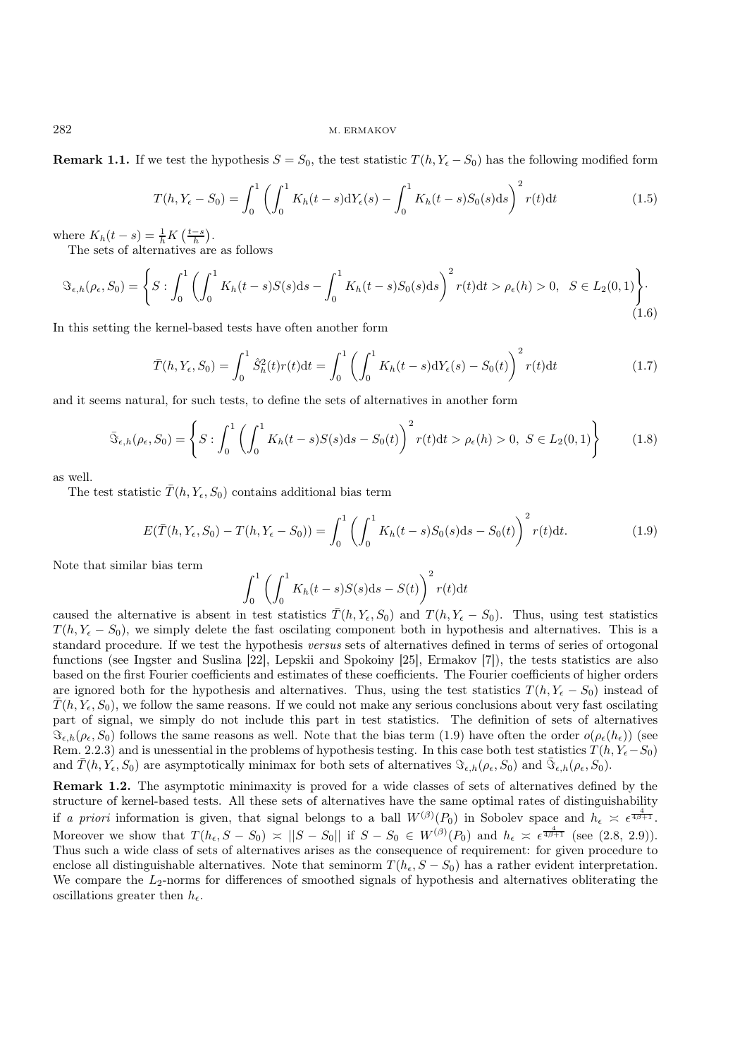**Remark 1.1.** If we test the hypothesis  $S = S_0$ , the test statistic  $T(h, Y_e - S_0)$  has the following modified form

$$
T(h, Y_{\epsilon} - S_0) = \int_0^1 \left( \int_0^1 K_h(t - s) dY_{\epsilon}(s) - \int_0^1 K_h(t - s) S_0(s) ds \right)^2 r(t) dt
$$
\n(1.5)

where  $K_h(t-s) = \frac{1}{h}K\left(\frac{t-s}{h}\right)$ .

The sets of alternatives are as follows

$$
\mathfrak{S}_{\epsilon,h}(\rho_{\epsilon}, S_0) = \left\{ S : \int_0^1 \left( \int_0^1 K_h(t-s)S(s)ds - \int_0^1 K_h(t-s)S_0(s)ds \right)^2 r(t)dt > \rho_{\epsilon}(h) > 0, \ \ S \in L_2(0,1) \right\}.
$$
\n(1.6)

In this setting the kernel-based tests have often another form

$$
\bar{T}(h, Y_{\epsilon}, S_0) = \int_0^1 \hat{S}_h^2(t) r(t) dt = \int_0^1 \left( \int_0^1 K_h(t - s) dY_{\epsilon}(s) - S_0(t) \right)^2 r(t) dt \tag{1.7}
$$

and it seems natural, for such tests, to define the sets of alternatives in another form

$$
\bar{\mathfrak{B}}_{\epsilon,h}(\rho_{\epsilon}, S_0) = \left\{ S : \int_0^1 \left( \int_0^1 K_h(t-s)S(s)ds - S_0(t) \right)^2 r(t)dt > \rho_{\epsilon}(h) > 0, \ S \in L_2(0,1) \right\}
$$
(1.8)

as well.

The test statistic  $\bar{T}(h, Y_{\epsilon}, S_0)$  contains additional bias term

$$
E(\bar{T}(h, Y_{\epsilon}, S_0) - T(h, Y_{\epsilon} - S_0)) = \int_0^1 \left( \int_0^1 K_h(t - s) S_0(s) \mathrm{d}s - S_0(t) \right)^2 r(t) \mathrm{d}t. \tag{1.9}
$$

Note that similar bias term

$$
\int_0^1 \left( \int_0^1 K_h(t-s)S(s)ds - S(t) \right)^2 r(t)dt
$$

caused the alternative is absent in test statistics  $\overline{T}(h, Y_{\epsilon}, S_0)$  and  $T(h, Y_{\epsilon} - S_0)$ . Thus, using test statistics  $T(h, Y_{\epsilon} - S_0)$ , we simply delete the fast oscilating component both in hypothesis and alternatives. This is a standard procedure. If we test the hypothesis *versus* sets of alternatives defined in terms of series of ortogonal functions (see Ingster and Suslina [22], Lepskii and Spokoiny [25], Ermakov [7]), the tests statistics are also based on the first Fourier coefficients and estimates of these coefficients. The Fourier coefficients of higher orders are ignored both for the hypothesis and alternatives. Thus, using the test statistics  $T(h, Y_{\epsilon} - S_0)$  instead of  $T(h, Y_{\epsilon}, S_0)$ , we follow the same reasons. If we could not make any serious conclusions about very fast oscilating part of signal, we simply do not include this part in test statistics. The definition of sets of alternatives  $\Im_{\epsilon,h}(\rho_{\epsilon}, S_0)$  follows the same reasons as well. Note that the bias term (1.9) have often the order  $o(\rho_{\epsilon}(h_{\epsilon}))$  (see Rem. 2.2.3) and is unessential in the problems of hypothesis testing. In this case both test statistics  $T(h, Y_5 - S_0)$ and  $\overline{T}(h, Y_{\epsilon}, S_0)$  are asymptotically minimax for both sets of alternatives  $\Im_{\epsilon,h}(\rho_{\epsilon}, S_0)$  and  $\overline{\Im}_{\epsilon,h}(\rho_{\epsilon}, S_0)$ .

Remark 1.2. The asymptotic minimaxity is proved for a wide classes of sets of alternatives defined by the structure of kernel-based tests. All these sets of alternatives have the same optimal rates of distinguishability if *a priori* information is given, that signal belongs to a ball  $W^{(\beta)}(P_0)$  in Sobolev space and  $h_{\epsilon} \leq \epsilon^{\frac{4}{4\beta+1}}$ . Moreover we show that  $T(h_{\epsilon}, S - S_0) \approx ||S - S_0||$  if  $S - S_0 \in W^{(\beta)}(P_0)$  and  $h_{\epsilon} \approx \epsilon^{\frac{4}{4\beta+1}}$  (see (2.8, 2.9)). Thus such a wide class of sets of alternatives arises as the consequence of requirement: for given procedure to enclose all distinguishable alternatives. Note that seminorm  $T(h_{\epsilon}, S - S_0)$  has a rather evident interpretation. We compare the  $L_2$ -norms for differences of smoothed signals of hypothesis and alternatives obliterating the oscillations greater then  $h_{\epsilon}$ .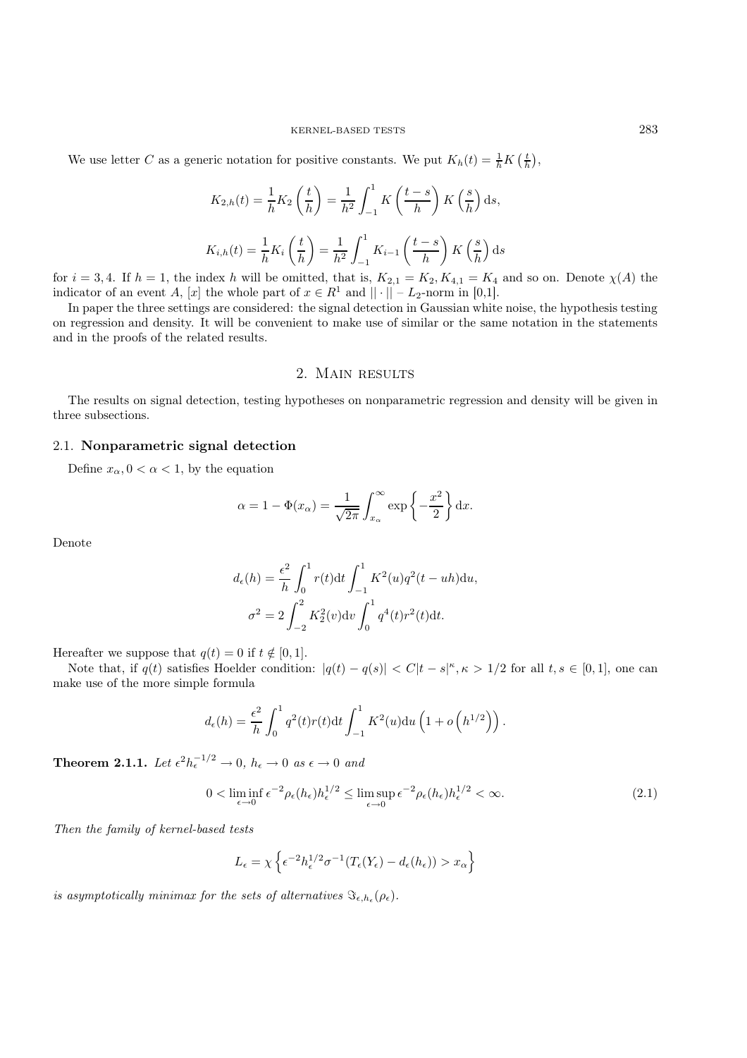#### KERNEL-BASED TESTS 283

We use letter C as a generic notation for positive constants. We put  $K_h(t) = \frac{1}{h} K\left(\frac{t}{h}\right)$ ,

$$
K_{2,h}(t) = \frac{1}{h} K_2 \left(\frac{t}{h}\right) = \frac{1}{h^2} \int_{-1}^1 K\left(\frac{t-s}{h}\right) K\left(\frac{s}{h}\right) ds,
$$
  

$$
K_{i,h}(t) = \frac{1}{h} K_i \left(\frac{t}{h}\right) = \frac{1}{h^2} \int_{-1}^1 K_{i-1} \left(\frac{t-s}{h}\right) K\left(\frac{s}{h}\right) ds
$$

for  $i = 3, 4$ . If  $h = 1$ , the index h will be omitted, that is,  $K_{2,1} = K_2, K_{4,1} = K_4$  and so on. Denote  $\chi(A)$  the indicator of an event A, [x] the whole part of  $x \in R^1$  and  $|| \cdot || - L_2$ -norm in [0,1].

In paper the three settings are considered: the signal detection in Gaussian white noise, the hypothesis testing on regression and density. It will be convenient to make use of similar or the same notation in the statements and in the proofs of the related results.

## 2. MAIN RESULTS

The results on signal detection, testing hypotheses on nonparametric regression and density will be given in three subsections.

# 2.1. Nonparametric signal detection

Define  $x_{\alpha}, 0 < \alpha < 1$ , by the equation

$$
\alpha = 1 - \Phi(x_{\alpha}) = \frac{1}{\sqrt{2\pi}} \int_{x_{\alpha}}^{\infty} \exp\left\{-\frac{x^2}{2}\right\} dx.
$$

Denote

$$
d_{\epsilon}(h) = \frac{\epsilon^2}{h} \int_0^1 r(t) dt \int_{-1}^1 K^2(u) q^2(t - uh) du,
$$
  

$$
\sigma^2 = 2 \int_{-2}^2 K_2^2(v) dv \int_0^1 q^4(t) r^2(t) dt.
$$

Hereafter we suppose that  $q(t)=0$  if  $t \notin [0, 1]$ .

Note that, if  $q(t)$  satisfies Hoelder condition:  $|q(t) - q(s)| < C|t - s|^{\kappa}, \kappa > 1/2$  for all  $t, s \in [0, 1]$ , one can make use of the more simple formula

$$
d_{\epsilon}(h) = \frac{\epsilon^2}{h} \int_0^1 q^2(t) r(t) dt \int_{-1}^1 K^2(u) du \left(1 + o\left(h^{1/2}\right)\right).
$$

**Theorem 2.1.1.** Let  $\epsilon^2 h_{\epsilon}^{-1/2} \to 0$ ,  $h_{\epsilon} \to 0$  as  $\epsilon \to 0$  and

$$
0 < \liminf_{\epsilon \to 0} \epsilon^{-2} \rho_{\epsilon}(h_{\epsilon}) h_{\epsilon}^{1/2} \le \limsup_{\epsilon \to 0} \epsilon^{-2} \rho_{\epsilon}(h_{\epsilon}) h_{\epsilon}^{1/2} < \infty. \tag{2.1}
$$

*Then the family of kernel-based tests*

$$
L_{\epsilon} = \chi \left\{ \epsilon^{-2} h_{\epsilon}^{1/2} \sigma^{-1} (T_{\epsilon}(Y_{\epsilon}) - d_{\epsilon}(h_{\epsilon})) > x_{\alpha} \right\}
$$

*is asymptotically minimax for the sets of alternatives*  $\Im \epsilon_{h,\kappa}(\rho_{\epsilon})$ .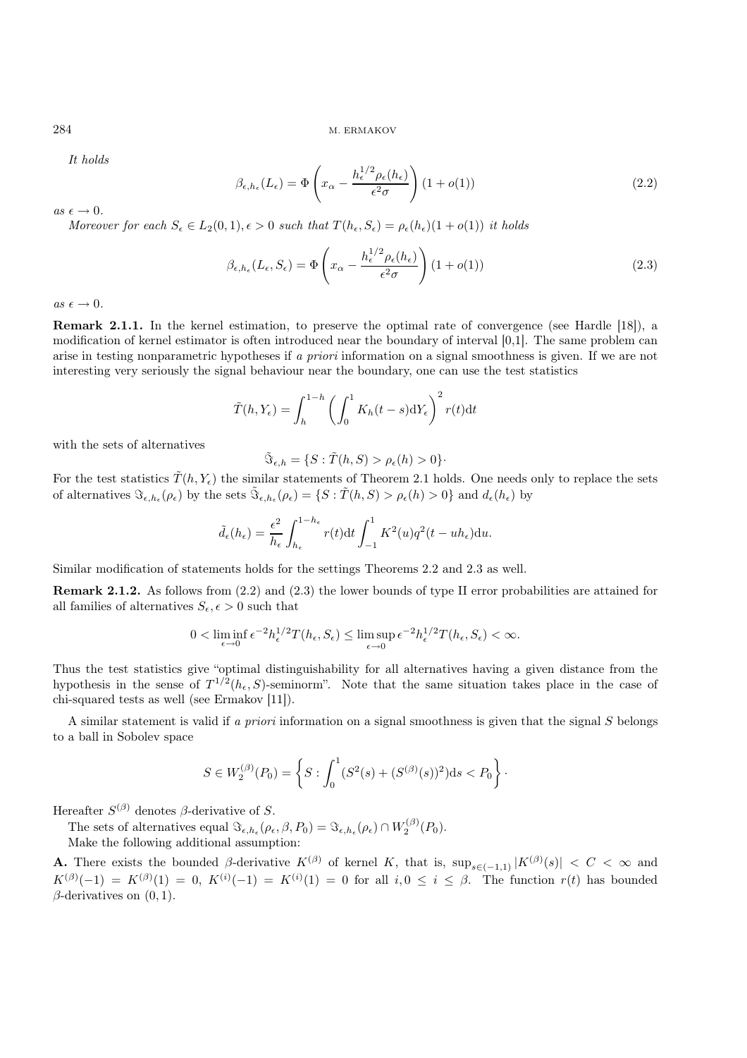*It holds*

$$
\beta_{\epsilon,h_{\epsilon}}(L_{\epsilon}) = \Phi\left(x_{\alpha} - \frac{h_{\epsilon}^{1/2}\rho_{\epsilon}(h_{\epsilon})}{\epsilon^2\sigma}\right) (1 + o(1))
$$
\n(2.2)

 $as \epsilon \rightarrow 0$ .

*Moreover for each*  $S_{\epsilon} \in L_2(0,1), \epsilon > 0$  *such that*  $T(h_{\epsilon}, S_{\epsilon}) = \rho_{\epsilon}(h_{\epsilon})(1 + o(1))$  *it holds* 

$$
\beta_{\epsilon,h_{\epsilon}}(L_{\epsilon},S_{\epsilon}) = \Phi\left(x_{\alpha} - \frac{h_{\epsilon}^{1/2}\rho_{\epsilon}(h_{\epsilon})}{\epsilon^2\sigma}\right)(1+o(1))\tag{2.3}
$$

 $as \epsilon \rightarrow 0$ .

Remark 2.1.1. In the kernel estimation, to preserve the optimal rate of convergence (see Hardle [18]), a modification of kernel estimator is often introduced near the boundary of interval [0,1]. The same problem can arise in testing nonparametric hypotheses if *a priori* information on a signal smoothness is given. If we are not interesting very seriously the signal behaviour near the boundary, one can use the test statistics

$$
\tilde{T}(h, Y_{\epsilon}) = \int_{h}^{1-h} \left( \int_{0}^{1} K_{h}(t-s) dY_{\epsilon} \right)^{2} r(t) dt
$$

with the sets of alternatives

$$
\tilde{\Im}_{\epsilon,h} = \{ S : \tilde{T}(h,S) > \rho_{\epsilon}(h) > 0 \}.
$$

For the test statistics  $\tilde{T}(h, Y_{\epsilon})$  the similar statements of Theorem 2.1 holds. One needs only to replace the sets of alternatives  $\Im_{\epsilon,h_{\epsilon}}(\rho_{\epsilon})$  by the sets  $\Im_{\epsilon,h_{\epsilon}}(\rho_{\epsilon}) = \{S : \tilde{T}(h,S) > \rho_{\epsilon}(h) > 0\}$  and  $d_{\epsilon}(h_{\epsilon})$  by

$$
\tilde{d}_\epsilon(h_\epsilon)=\frac{\epsilon^2}{h_\epsilon}\int_{h_\epsilon}^{1-h_\epsilon}r(t)\mathrm{d}t\int_{-1}^1K^2(u)q^2(t-uh_\epsilon)\mathrm{d}u.
$$

Similar modification of statements holds for the settings Theorems 2.2 and 2.3 as well.

Remark 2.1.2. As follows from (2.2) and (2.3) the lower bounds of type II error probabilities are attained for all families of alternatives  $S_{\epsilon}, \epsilon>0$  such that

$$
0 < \liminf_{\epsilon \to 0} \epsilon^{-2} h_{\epsilon}^{1/2} T(h_{\epsilon}, S_{\epsilon}) \le \limsup_{\epsilon \to 0} \epsilon^{-2} h_{\epsilon}^{1/2} T(h_{\epsilon}, S_{\epsilon}) < \infty.
$$

Thus the test statistics give "optimal distinguishability for all alternatives having a given distance from the hypothesis in the sense of  $T^{1/2}(h_{\epsilon}, S)$ -seminorm". Note that the same situation takes place in the case of chi-squared tests as well (see Ermakov [11]).

A similar statement is valid if *a priori* information on a signal smoothness is given that the signal S belongs to a ball in Sobolev space

$$
S \in W_2^{(\beta)}(P_0) = \left\{ S : \int_0^1 (S^2(s) + (S^{(\beta)}(s))^2) ds < P_0 \right\}.
$$

Hereafter  $S^{(\beta)}$  denotes  $\beta$ -derivative of S.

The sets of alternatives equal  $\Im_{\epsilon,h_{\epsilon}}(\rho_{\epsilon},\beta,P_0) = \Im_{\epsilon,h_{\epsilon}}(\rho_{\epsilon}) \cap W_2^{(\beta)}(P_0)$ .

Make the following additional assumption:

**A.** There exists the bounded  $\beta$ -derivative  $K^{(\beta)}$  of kernel K, that is,  $\sup_{s\in(-1,1)}|K^{(\beta)}(s)| < C < \infty$  and  $K^{(\beta)}(-1) = K^{(\beta)}(1) = 0$ ,  $K^{(i)}(-1) = K^{(i)}(1) = 0$  for all  $i, 0 \le i \le \beta$ . The function  $r(t)$  has bounded  $\beta$ -derivatives on  $(0, 1)$ .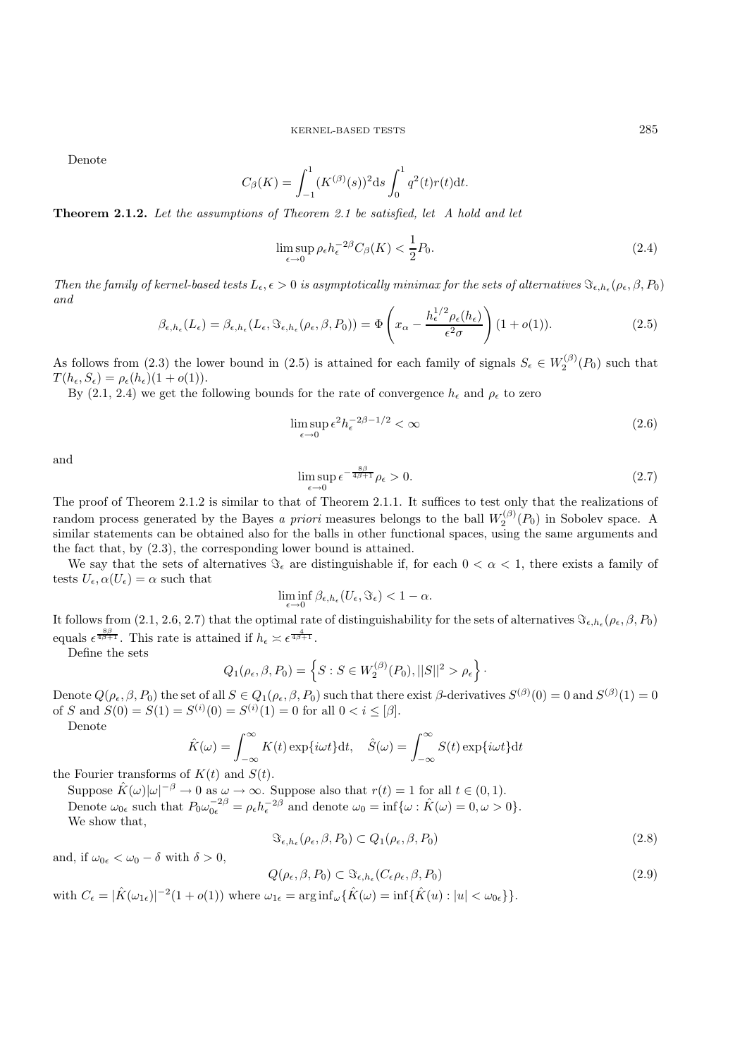Denote

$$
C_{\beta}(K) = \int_{-1}^{1} (K^{(\beta)}(s))^2 ds \int_{0}^{1} q^2(t) r(t) dt.
$$

Theorem 2.1.2. *Let the assumptions of Theorem 2.1 be satisfied, let A hold and let*

$$
\limsup_{\epsilon \to 0} \rho_{\epsilon} h_{\epsilon}^{-2\beta} C_{\beta}(K) < \frac{1}{2} P_0. \tag{2.4}
$$

*Then the family of kernel-based tests*  $L_{\epsilon}, \epsilon > 0$  *is asymptotically minimax for the sets of alternatives*  $\mathcal{F}_{\epsilon, h_{\epsilon}}(\rho_{\epsilon}, \beta, P_0)$ *and*

$$
\beta_{\epsilon,h_{\epsilon}}(L_{\epsilon}) = \beta_{\epsilon,h_{\epsilon}}(L_{\epsilon}, \mathfrak{F}_{\epsilon,h_{\epsilon}}(\rho_{\epsilon}, \beta, P_{0})) = \Phi\left(x_{\alpha} - \frac{h_{\epsilon}^{1/2}\rho_{\epsilon}(h_{\epsilon})}{\epsilon^{2}\sigma}\right)(1+o(1)).
$$
\n(2.5)

As follows from (2.3) the lower bound in (2.5) is attained for each family of signals  $S_{\epsilon} \in W_2^{(\beta)}(P_0)$  such that  $T(h_{\epsilon}, S_{\epsilon}) = \rho_{\epsilon}(h_{\epsilon})(1 + o(1)).$ 

By (2.1, 2.4) we get the following bounds for the rate of convergence  $h_{\epsilon}$  and  $\rho_{\epsilon}$  to zero

$$
\limsup_{\epsilon \to 0} \epsilon^2 h_{\epsilon}^{-2\beta - 1/2} < \infty \tag{2.6}
$$

and

$$
\limsup_{\epsilon \to 0} \epsilon^{-\frac{8\beta}{4\beta + 1}} \rho_{\epsilon} > 0. \tag{2.7}
$$

The proof of Theorem 2.1.2 is similar to that of Theorem 2.1.1. It suffices to test only that the realizations of random process generated by the Bayes *a priori* measures belongs to the ball  $W_2^{(\beta)}(P_0)$  in Sobolev space. A similar statements can be obtained also for the balls in other functional spaces, using the same arguments and the fact that, by (2.3), the corresponding lower bound is attained.

We say that the sets of alternatives  $\Im_{\epsilon}$  are distinguishable if, for each  $0 < \alpha < 1$ , there exists a family of tests  $U_{\epsilon}$ ,  $\alpha(U_{\epsilon}) = \alpha$  such that

$$
\liminf_{\epsilon \to 0} \beta_{\epsilon, h_{\epsilon}}(U_{\epsilon}, \Im_{\epsilon}) < 1 - \alpha.
$$

It follows from (2.1, 2.6, 2.7) that the optimal rate of distinguishability for the sets of alternatives  $\Im_{\epsilon,h_{\epsilon}}(\rho_{\epsilon},\beta,P_0)$ equals  $\epsilon^{\frac{8\beta}{4\beta+1}}$ . This rate is attained if  $h_{\epsilon} \approx \epsilon^{\frac{4}{4\beta+1}}$ .

Define the sets

$$
Q_1(\rho_{\epsilon}, \beta, P_0) = \left\{ S : S \in W_2^{(\beta)}(P_0), ||S||^2 > \rho_{\epsilon} \right\}.
$$

Denote  $Q(\rho_{\epsilon}, \beta, P_0)$  the set of all  $S \in Q_1(\rho_{\epsilon}, \beta, P_0)$  such that there exist  $\beta$ -derivatives  $S^{(\beta)}(0) = 0$  and  $S^{(\beta)}(1) = 0$ of S and  $S(0) = S(1) = S^{(i)}(0) = S^{(i)}(1) = 0$  for all  $0 < i \leq [\beta]$ .

Denote

$$
\hat{K}(\omega) = \int_{-\infty}^{\infty} K(t) \exp\{i\omega t\} dt, \quad \hat{S}(\omega) = \int_{-\infty}^{\infty} S(t) \exp\{i\omega t\} dt
$$

the Fourier transforms of  $K(t)$  and  $S(t)$ .

Suppose  $\hat{K}(\omega)|\omega|^{-\beta} \to 0$  as  $\omega \to \infty$ . Suppose also that  $r(t)=1$  for all  $t \in (0,1)$ . Denote  $\omega_{0\epsilon}$  such that  $P_0\omega_{0\epsilon}^{-2\beta} = \rho_{\epsilon}h_{\epsilon}^{-2\beta}$  and denote  $\omega_0 = \inf{\omega : \hat{K}(\omega) = 0, \omega > 0}.$ We show that,

$$
\Im_{\epsilon, h_{\epsilon}}(\rho_{\epsilon}, \beta, P_0) \subset Q_1(\rho_{\epsilon}, \beta, P_0)
$$
\n(2.8)

and, if  $\omega_{0\epsilon} < \omega_0 - \delta$  with  $\delta > 0$ ,

$$
Q(\rho_{\epsilon}, \beta, P_0) \subset \Im_{\epsilon, h_{\epsilon}}(C_{\epsilon} \rho_{\epsilon}, \beta, P_0)
$$
\n(2.9)

with  $C_{\epsilon} = |\hat{K}(\omega_{1\epsilon})|^{-2} (1 + o(1))$  where  $\omega_{1\epsilon} = \arg \inf_{\omega} {\{\hat{K}(\omega) = \inf \{\hat{K}(u) : |u| < \omega_{0\epsilon}\}}$ .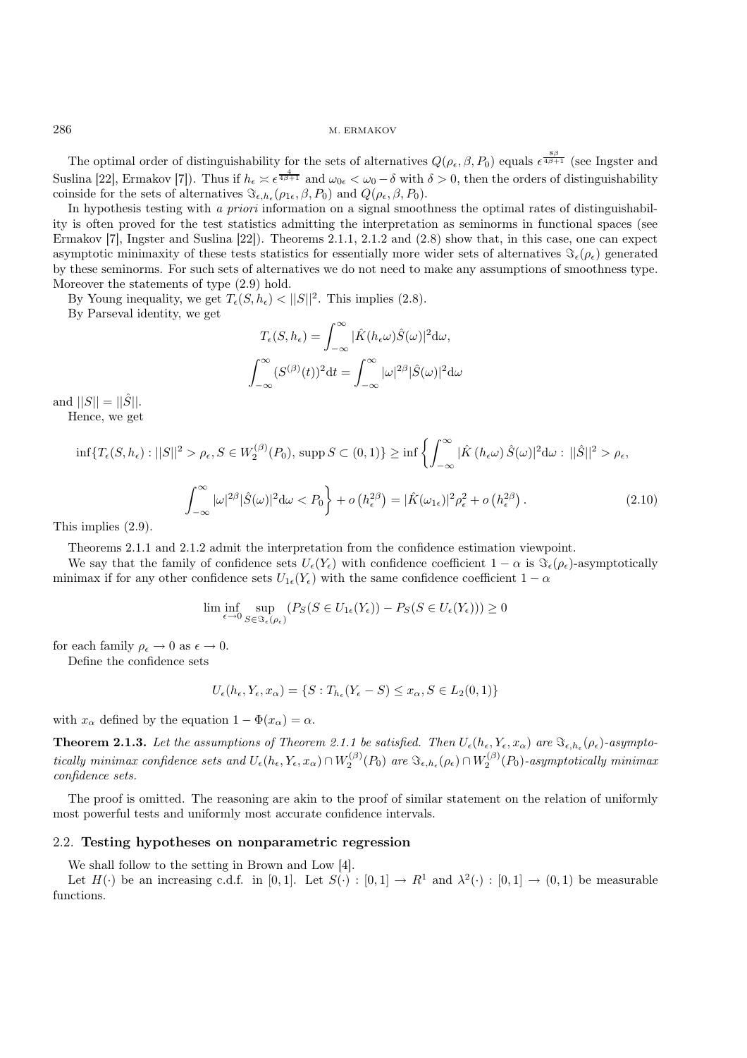The optimal order of distinguishability for the sets of alternatives  $Q(\rho_{\epsilon}, \beta, P_0)$  equals  $\epsilon^{\frac{8\beta}{4\beta+1}}$  (see Ingster and Suslina [22], Ermakov [7]). Thus if  $h_{\epsilon} \leq \epsilon^{\frac{4}{4\beta+1}}$  and  $\omega_{0\epsilon} < \omega_0 - \delta$  with  $\delta > 0$ , then the orders of distinguishability coinside for the sets of alternatives  $\Im_{\epsilon, h_{\epsilon}}(\rho_{1\epsilon}, \beta, P_0)$  and  $Q(\rho_{\epsilon}, \beta, P_0)$ .

In hypothesis testing with *a priori* information on a signal smoothness the optimal rates of distinguishability is often proved for the test statistics admitting the interpretation as seminorms in functional spaces (see Ermakov [7], Ingster and Suslina [22]). Theorems 2.1.1, 2.1.2 and (2.8) show that, in this case, one can expect asymptotic minimaxity of these tests statistics for essentially more wider sets of alternatives  $\Im_{\epsilon}(\rho_{\epsilon})$  generated by these seminorms. For such sets of alternatives we do not need to make any assumptions of smoothness type. Moreover the statements of type (2.9) hold.

By Young inequality, we get  $T_{\epsilon}(S, h_{\epsilon}) < ||S||^2$ . This implies (2.8).

By Parseval identity, we get

$$
T_{\epsilon}(S, h_{\epsilon}) = \int_{-\infty}^{\infty} |\hat{K}(h_{\epsilon}\omega)\hat{S}(\omega)|^2 d\omega,
$$

$$
\int_{-\infty}^{\infty} (S^{(\beta)}(t))^2 dt = \int_{-\infty}^{\infty} |\omega|^{2\beta} |\hat{S}(\omega)|^2 d\omega
$$

and  $||S|| = ||\hat{S}||$ . Hence, we get

$$
\inf \{ T_{\epsilon}(S, h_{\epsilon}) : ||S||^2 > \rho_{\epsilon}, S \in W_2^{(\beta)}(P_0), \, \sup \, S \subset (0, 1) \} \geq \inf \left\{ \int_{-\infty}^{\infty} |\hat{K}(h_{\epsilon}\omega) \hat{S}(\omega)|^2 d\omega : ||\hat{S}||^2 > \rho_{\epsilon}, \right\}
$$
\n
$$
\int_{-\infty}^{\infty} |\omega|^{2\beta} |\hat{S}(\omega)|^2 d\omega < P_0 \right\} + o\left(h_{\epsilon}^{2\beta}\right) = |\hat{K}(\omega_{1\epsilon})|^2 \rho_{\epsilon}^2 + o\left(h_{\epsilon}^{2\beta}\right). \tag{2.10}
$$

This implies (2.9).

Theorems 2.1.1 and 2.1.2 admit the interpretation from the confidence estimation viewpoint.

We say that the family of confidence sets  $U_{\epsilon}(Y_{\epsilon})$  with confidence coefficient  $1 - \alpha$  is  $\Im_{\epsilon}(\rho_{\epsilon})$ -asymptotically minimax if for any other confidence sets  $U_{1\epsilon}(Y_{\epsilon})$  with the same confidence coefficient  $1 - \alpha$ 

$$
\lim_{\epsilon \to 0} \inf_{S \in \Im_{\epsilon}(\rho_{\epsilon})} \left( P_S(S \in U_{1\epsilon}(Y_{\epsilon})) - P_S(S \in U_{\epsilon}(Y_{\epsilon})) \right) \ge 0
$$

for each family  $\rho_{\epsilon} \to 0$  as  $\epsilon \to 0$ .

Define the confidence sets

$$
U_{\epsilon}(h_{\epsilon}, Y_{\epsilon}, x_{\alpha}) = \{ S : T_{h_{\epsilon}}(Y_{\epsilon} - S) \le x_{\alpha}, S \in L_2(0, 1) \}
$$

with  $x_{\alpha}$  defined by the equation  $1 - \Phi(x_{\alpha}) = \alpha$ .

**Theorem 2.1.3.** Let the assumptions of Theorem 2.1.1 be satisfied. Then  $U_{\epsilon}(h_{\epsilon}, Y_{\epsilon}, x_{\alpha})$  are  $\Im_{\epsilon, h_{\epsilon}}(\rho_{\epsilon})$ -asympto- $\emph{tically minimax confidence sets and } U_{\epsilon}(h_{\epsilon},Y_{\epsilon},x_{\alpha}) \cap W_{2}^{(\beta)}(P_{0}) \text{ are } \Im_{\epsilon,h_{\epsilon}}(\rho_{\epsilon}) \cap W_{2}^{(\beta)}(P_{0}) \text{-asymptotically minimax}$ *confidence sets.*

The proof is omitted. The reasoning are akin to the proof of similar statement on the relation of uniformly most powerful tests and uniformly most accurate confidence intervals.

### 2.2. Testing hypotheses on nonparametric regression

We shall follow to the setting in Brown and Low [4].

Let  $H(\cdot)$  be an increasing c.d.f. in [0,1]. Let  $S(\cdot) : [0,1] \to R^1$  and  $\lambda^2(\cdot) : [0,1] \to (0,1)$  be measurable functions.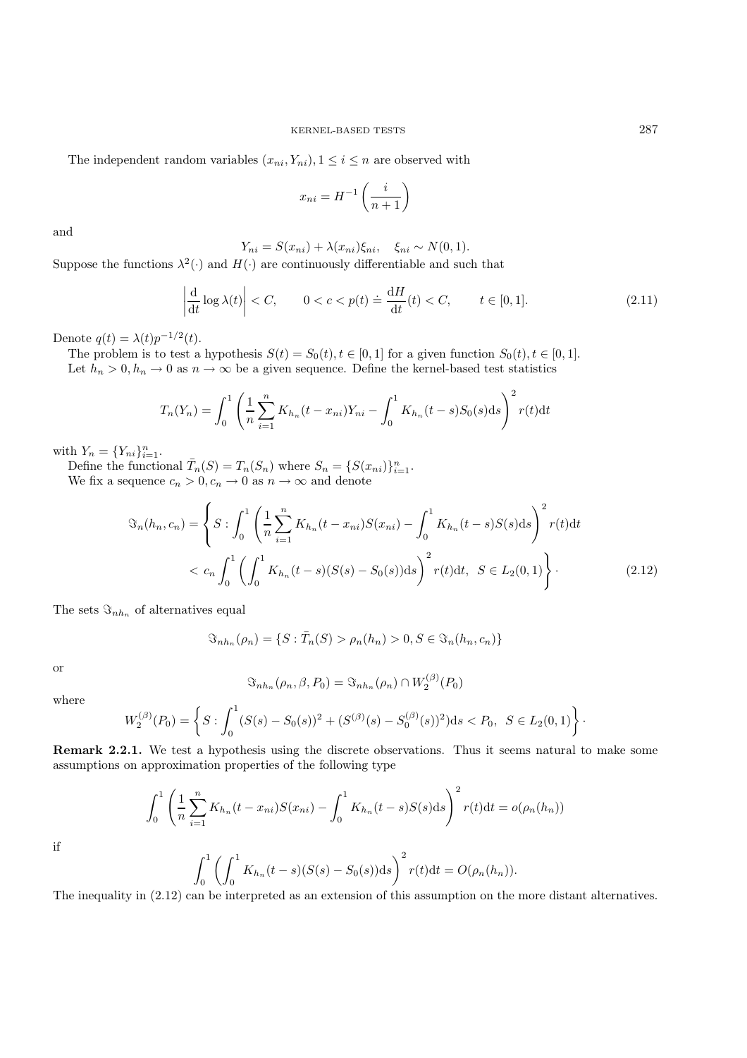The independent random variables  $(x_{ni}, Y_{ni}), 1 \leq i \leq n$  are observed with

$$
x_{ni} = H^{-1}\left(\frac{i}{n+1}\right)
$$

and

$$
Y_{ni} = S(x_{ni}) + \lambda(x_{ni})\xi_{ni}, \quad \xi_{ni} \sim N(0,1).
$$

Suppose the functions  $\lambda^2(\cdot)$  and  $H(\cdot)$  are continuously differentiable and such that

$$
\left| \frac{\mathrm{d}}{\mathrm{d}t} \log \lambda(t) \right| < C, \qquad 0 < c < p(t) \doteq \frac{\mathrm{d}H}{\mathrm{d}t}(t) < C, \qquad t \in [0, 1]. \tag{2.11}
$$

Denote  $q(t) = \lambda(t)p^{-1/2}(t)$ .

The problem is to test a hypothesis  $S(t) = S_0(t), t \in [0, 1]$  for a given function  $S_0(t), t \in [0, 1]$ . Let  $h_n > 0, h_n \to 0$  as  $n \to \infty$  be a given sequence. Define the kernel-based test statistics

$$
T_n(Y_n) = \int_0^1 \left(\frac{1}{n}\sum_{i=1}^n K_{h_n}(t - x_{ni})Y_{ni} - \int_0^1 K_{h_n}(t - s)S_0(s)ds\right)^2 r(t)dt
$$

with  $Y_n = \{Y_{ni}\}_{i=1}^n$ .

Define the functional  $\overline{T}_n(S) = T_n(S_n)$  where  $S_n = \{S(x_{ni})\}_{i=1}^n$ . We fix a sequence  $c_n > 0, c_n \to 0$  as  $n \to \infty$  and denote

$$
\mathfrak{S}_n(h_n, c_n) = \left\{ S : \int_0^1 \left( \frac{1}{n} \sum_{i=1}^n K_{h_n}(t - x_{ni}) S(x_{ni}) - \int_0^1 K_{h_n}(t - s) S(s) \, ds \right)^2 r(t) \, dt \right\}
$$
\n
$$
\langle c_n \int_0^1 \left( \int_0^1 K_{h_n}(t - s) (S(s) - S_0(s)) \, ds \right)^2 r(t) \, dt, \quad S \in L_2(0, 1) \right\}.
$$
\n(2.12)

The sets  $\Im_{nh_n}$  of alternatives equal

$$
\mathfrak{S}_{n h_n}(\rho_n) = \{ S : \overline{T}_n(S) > \rho_n(h_n) > 0, S \in \mathfrak{S}_n(h_n, c_n) \}
$$

or

$$
\Im_{nh_n}(\rho_n, \beta, P_0) = \Im_{nh_n}(\rho_n) \cap W_2^{(\beta)}(P_0)
$$

where

$$
W_2^{(\beta)}(P_0) = \left\{ S : \int_0^1 (S(s) - S_0(s))^2 + (S^{(\beta)}(s) - S_0^{(\beta)}(s))^2 \, ds < P_0, \ S \in L_2(0, 1) \right\}.
$$

Remark 2.2.1. We test a hypothesis using the discrete observations. Thus it seems natural to make some assumptions on approximation properties of the following type

$$
\int_0^1 \left(\frac{1}{n}\sum_{i=1}^n K_{h_n}(t - x_{ni})S(x_{ni}) - \int_0^1 K_{h_n}(t - s)S(s)ds\right)^2 r(t)dt = o(\rho_n(h_n))
$$

$$
\int_0^1 \left(\int_0^1 K_{h_n}(t - s)(S(s) - S_0(s))ds\right)^2 r(t)dt = O(\rho_n(h_n)).
$$

if

$$
\int_0^1 \left( \int_0^1 K_{h_n}(t-s)(S(s) - S_0(s))ds \right)^2 r(t) dt = O(\rho_n(h_n))
$$

The inequality in (2.12) can be interpreted as an extension of this assumption on the more distant alternatives.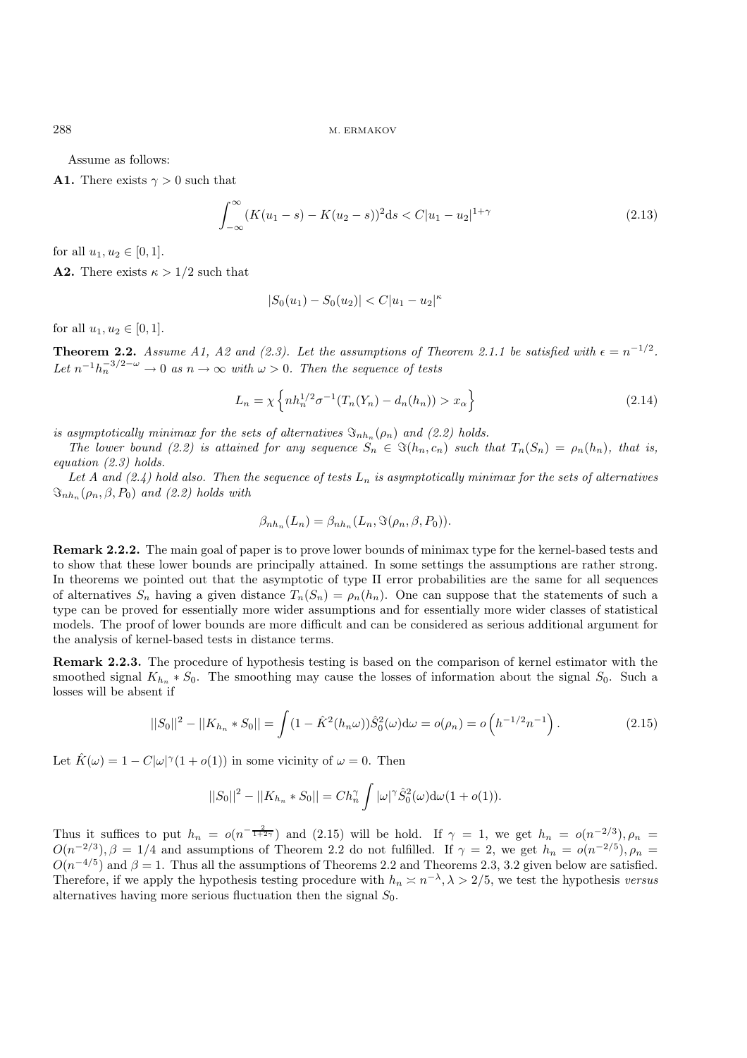Assume as follows:

**A1.** There exists  $\gamma > 0$  such that

$$
\int_{-\infty}^{\infty} (K(u_1 - s) - K(u_2 - s))^2 ds < C|u_1 - u_2|^{1 + \gamma} \tag{2.13}
$$

for all  $u_1, u_2 \in [0, 1]$ .

**A2.** There exists  $\kappa > 1/2$  such that

$$
|S_0(u_1) - S_0(u_2)| < C|u_1 - u_2|^\kappa
$$

for all  $u_1, u_2 \in [0, 1]$ .

**Theorem 2.2.** *Assume A1, A2 and (2.3). Let the assumptions of Theorem 2.1.1 be satisfied with*  $\epsilon = n^{-1/2}$ *. Let*  $n^{-1}h_n^{-3/2-\omega} \to 0$  *as*  $n \to \infty$  *with*  $\omega > 0$ *. Then the sequence of tests* 

$$
L_n = \chi \left\{ nh_n^{1/2} \sigma^{-1} (T_n(Y_n) - d_n(h_n)) > x_\alpha \right\}
$$
 (2.14)

*is asymptotically minimax for the sets of alternatives*  $\mathcal{S}_{nh_n}(\rho_n)$  *and (2.2) holds.* 

*The lower bound (2.2) is attained for any sequence*  $S_n \in \Im(h_n, c_n)$  *such that*  $T_n(S_n) = \rho_n(h_n)$ *, that is, equation (2.3) holds.*

Let A and  $(2.4)$  hold also. Then the sequence of tests  $L_n$  is asymptotically minimax for the sets of alternatives  $\Im_{nh_n}(\rho_n, \beta, P_0)$  *and (2.2) holds with* 

$$
\beta_{nh_n}(L_n) = \beta_{nh_n}(L_n, \Im(\rho_n, \beta, P_0)).
$$

Remark 2.2.2. The main goal of paper is to prove lower bounds of minimax type for the kernel-based tests and to show that these lower bounds are principally attained. In some settings the assumptions are rather strong. In theorems we pointed out that the asymptotic of type II error probabilities are the same for all sequences of alternatives  $S_n$  having a given distance  $T_n(S_n) = \rho_n(h_n)$ . One can suppose that the statements of such a type can be proved for essentially more wider assumptions and for essentially more wider classes of statistical models. The proof of lower bounds are more difficult and can be considered as serious additional argument for the analysis of kernel-based tests in distance terms.

Remark 2.2.3. The procedure of hypothesis testing is based on the comparison of kernel estimator with the smoothed signal  $K_{h_n} * S_0$ . The smoothing may cause the losses of information about the signal  $S_0$ . Such a losses will be absent if

$$
||S_0||^2 - ||K_{h_n} * S_0|| = \int (1 - \hat{K}^2(h_n \omega)) \hat{S}_0^2(\omega) d\omega = o(\rho_n) = o\left(h^{-1/2} n^{-1}\right).
$$
 (2.15)

Let  $\hat{K}(\omega) = 1 - C|\omega|^{\gamma}(1 + o(1))$  in some vicinity of  $\omega = 0$ . Then

$$
||S_0||^2 - ||K_{h_n} * S_0|| = Ch_n^{\gamma} \int |\omega|^{\gamma} \hat{S}_0^2(\omega) d\omega (1 + o(1)).
$$

Thus it suffices to put  $h_n = o(n^{-\frac{2}{1+2\gamma}})$  and (2.15) will be hold. If  $\gamma = 1$ , we get  $h_n = o(n^{-2/3})$ ,  $\rho_n =$  $O(n^{-2/3}), \beta = 1/4$  and assumptions of Theorem 2.2 do not fulfilled. If  $\gamma = 2$ , we get  $h_n = o(n^{-2/5}), \rho_n =$  $O(n^{-4/5})$  and  $\beta = 1$ . Thus all the assumptions of Theorems 2.2 and Theorems 2.3, 3.2 given below are satisfied. Therefore, if we apply the hypothesis testing procedure with  $h_n \geq n^{-\lambda}, \lambda > 2/5$ , we test the hypothesis *versus* alternatives having more serious fluctuation then the signal  $S_0$ .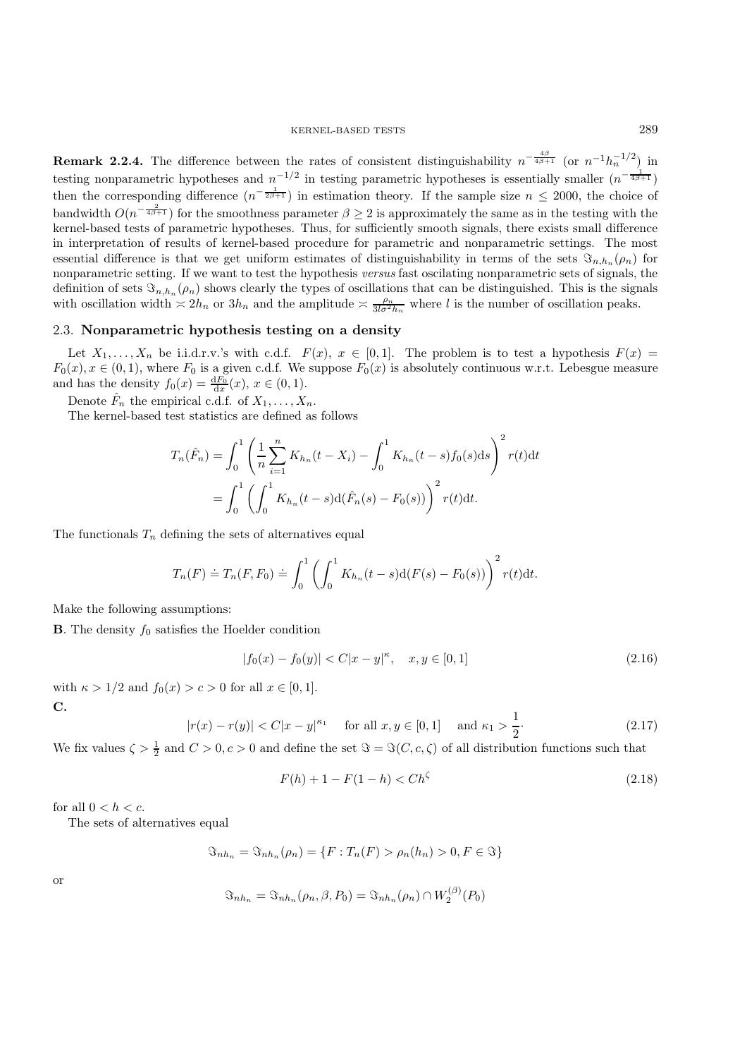**Remark 2.2.4.** The difference between the rates of consistent distinguishability  $n^{-\frac{4\beta}{4\beta+1}}$  (or  $n^{-1}h_n^{-1/2}$ ) in testing nonparametric hypotheses and  $n^{-1/2}$  in testing parametric hypotheses is essentially smaller  $(n^{-\frac{1}{4\beta+1}})$ then the corresponding difference  $(n^{-\frac{1}{2\beta+1}})$  in estimation theory. If the sample size  $n \leq 2000$ , the choice of bandwidth  $O(n^{-\frac{2}{4\beta+1}})$  for the smoothness parameter  $\beta \geq 2$  is approximately the same as in the testing with the kernel-based tests of parametric hypotheses. Thus, for sufficiently smooth signals, there exists small difference in interpretation of results of kernel-based procedure for parametric and nonparametric settings. The most essential difference is that we get uniform estimates of distinguishability in terms of the sets  $\Im_{n,h_n}(\rho_n)$  for nonparametric setting. If we want to test the hypothesis *versus* fast oscilating nonparametric sets of signals, the definition of sets  $\Im_{n,h_n}(\rho_n)$  shows clearly the types of oscillations that can be distinguished. This is the signals with oscillation width  $\leq 2h_n$  or  $3h_n$  and the amplitude  $\leq \frac{\rho_n}{3l\sigma^2h_n}$  where l is the number of oscillation peaks.

#### 2.3. Nonparametric hypothesis testing on a density

Let  $X_1,\ldots,X_n$  be i.i.d.r.v.'s with c.d.f.  $F(x), x \in [0,1]$ . The problem is to test a hypothesis  $F(x) =$  $F_0(x), x \in (0, 1)$ , where  $F_0$  is a given c.d.f. We suppose  $F_0(x)$  is absolutely continuous w.r.t. Lebesgue measure and has the density  $f_0(x) = \frac{dF_0}{dx}(x), x \in (0, 1)$ .

Denote  $\hat{F}_n$  the empirical c.d.f. of  $X_1, \ldots, X_n$ .

The kernel-based test statistics are defined as follows

$$
T_n(\hat{F}_n) = \int_0^1 \left( \frac{1}{n} \sum_{i=1}^n K_{h_n}(t - X_i) - \int_0^1 K_{h_n}(t - s) f_0(s) \, ds \right)^2 r(t) \, dt
$$
\n
$$
= \int_0^1 \left( \int_0^1 K_{h_n}(t - s) \, d\left(\hat{F}_n(s) - F_0(s)\right) \right)^2 r(t) \, dt.
$$

The functionals  $T_n$  defining the sets of alternatives equal

$$
T_n(F) \doteq T_n(F, F_0) \doteq \int_0^1 \left( \int_0^1 K_{h_n}(t-s) d(F(s) - F_0(s)) \right)^2 r(t) dt.
$$

Make the following assumptions:

**B**. The density  $f_0$  satisfies the Hoelder condition

$$
|f_0(x) - f_0(y)| < C|x - y|^{\kappa}, \quad x, y \in [0, 1] \tag{2.16}
$$

with  $\kappa > 1/2$  and  $f_0(x) > c > 0$  for all  $x \in [0, 1]$ . C.

$$
|r(x) - r(y)| < C|x - y|^{\kappa_1} \quad \text{for all } x, y \in [0, 1] \quad \text{and } \kappa_1 > \frac{1}{2}.\tag{2.17}
$$

We fix values  $\zeta > \frac{1}{2}$  and  $C > 0, c > 0$  and define the set  $\Im = \Im(C, c, \zeta)$  of all distribution functions such that

$$
F(h) + 1 - F(1 - h) < Ch^{\zeta} \tag{2.18}
$$

for all  $0 < h < c$ .

The sets of alternatives equal

$$
\mathfrak{S}_{n h_n} = \mathfrak{S}_{n h_n}(\rho_n) = \{ F : T_n(F) > \rho_n(h_n) > 0, F \in \mathfrak{S} \}
$$

or

$$
\Im_{nh_n} = \Im_{nh_n}(\rho_n, \beta, P_0) = \Im_{nh_n}(\rho_n) \cap W_2^{(\beta)}(P_0)
$$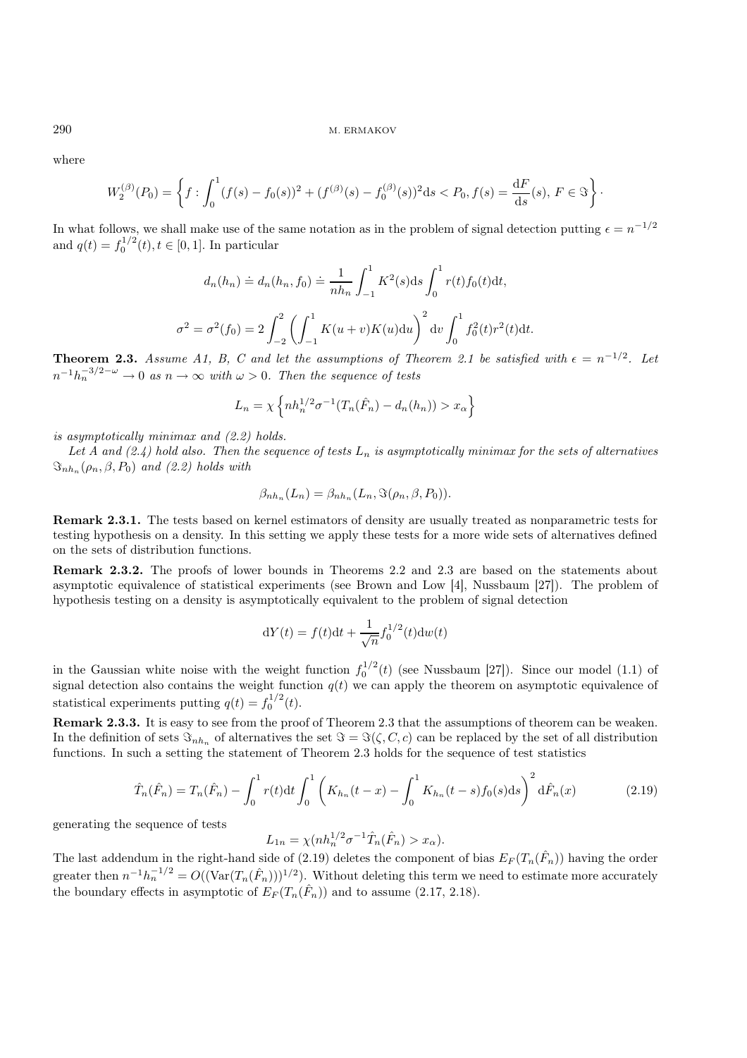where

$$
W_2^{(\beta)}(P_0) = \left\{ f : \int_0^1 (f(s) - f_0(s))^2 + (f^{(\beta)}(s) - f_0^{(\beta)}(s))^2 ds < P_0, f(s) = \frac{dF}{ds}(s), F \in \mathcal{F} \right\}.
$$

In what follows, we shall make use of the same notation as in the problem of signal detection putting  $\epsilon = n^{-1/2}$ and  $q(t) = f_0^{1/2}(t), t \in [0, 1]$ . In particular

$$
d_n(h_n) \doteq d_n(h_n, f_0) \doteq \frac{1}{nh_n} \int_{-1}^1 K^2(s) \, ds \int_0^1 r(t) f_0(t) \, dt,
$$
  

$$
\sigma^2 = \sigma^2(f_0) = 2 \int_{-2}^2 \left( \int_{-1}^1 K(u+v) K(u) \, du \right)^2 \, dv \int_0^1 f_0^2(t) r^2(t) \, dt.
$$

**Theorem 2.3.** Assume A1, B, C and let the assumptions of Theorem 2.1 be satisfied with  $\epsilon = n^{-1/2}$ . Let  $n^{-1}h_n^{-3/2-\omega} \to 0$  *as*  $n \to \infty$  *with*  $\omega > 0$ *. Then the sequence of tests* 

$$
L_n = \chi \left\{ nh_n^{1/2} \sigma^{-1} (T_n(\hat{F}_n) - d_n(h_n)) > x_\alpha \right\}
$$

*is asymptotically minimax and (2.2) holds.*

Let A and  $(2.4)$  hold also. Then the sequence of tests  $L_n$  is asymptotically minimax for the sets of alternatives  $\Im_{nh_n}(\rho_n, \beta, P_0)$  *and (2.2) holds with* 

$$
\beta_{n h_n}(L_n) = \beta_{n h_n}(L_n, \Im(\rho_n, \beta, P_0)).
$$

Remark 2.3.1. The tests based on kernel estimators of density are usually treated as nonparametric tests for testing hypothesis on a density. In this setting we apply these tests for a more wide sets of alternatives defined on the sets of distribution functions.

Remark 2.3.2. The proofs of lower bounds in Theorems 2.2 and 2.3 are based on the statements about asymptotic equivalence of statistical experiments (see Brown and Low [4], Nussbaum [27]). The problem of hypothesis testing on a density is asymptotically equivalent to the problem of signal detection

$$
dY(t) = f(t)dt + \frac{1}{\sqrt{n}} f_0^{1/2}(t)dw(t)
$$

in the Gaussian white noise with the weight function  $f_0^{1/2}(t)$  (see Nussbaum [27]). Since our model (1.1) of signal detection also contains the weight function  $q(t)$  we can apply the theorem on asymptotic equivalence of statistical experiments putting  $q(t) = f_0^{1/2}(t)$ .

Remark 2.3.3. It is easy to see from the proof of Theorem 2.3 that the assumptions of theorem can be weaken. In the definition of sets  $\Im_{nh_n}$  of alternatives the set  $\Im = \Im(\zeta, C, c)$  can be replaced by the set of all distribution functions. In such a setting the statement of Theorem 2.3 holds for the sequence of test statistics

$$
\hat{T}_n(\hat{F}_n) = T_n(\hat{F}_n) - \int_0^1 r(t)dt \int_0^1 \left( K_{h_n}(t-x) - \int_0^1 K_{h_n}(t-s)f_0(s)ds \right)^2 d\hat{F}_n(x) \tag{2.19}
$$

generating the sequence of tests

$$
L_{1n} = \chi(nh_n^{1/2}\sigma^{-1}\hat{T}_n(\hat{F}_n) > x_\alpha).
$$

The last addendum in the right-hand side of (2.19) deletes the component of bias  $E_F(T_n(\hat{F}_n))$  having the order greater then  $n^{-1}h_n^{-1/2} = O((\text{Var}(T_n(\hat{F}_n)))^{1/2})$ . Without deleting this term we need to estimate more accurately the boundary effects in asymptotic of  $E_F(T_n(\hat{F}_n))$  and to assume (2.17, 2.18).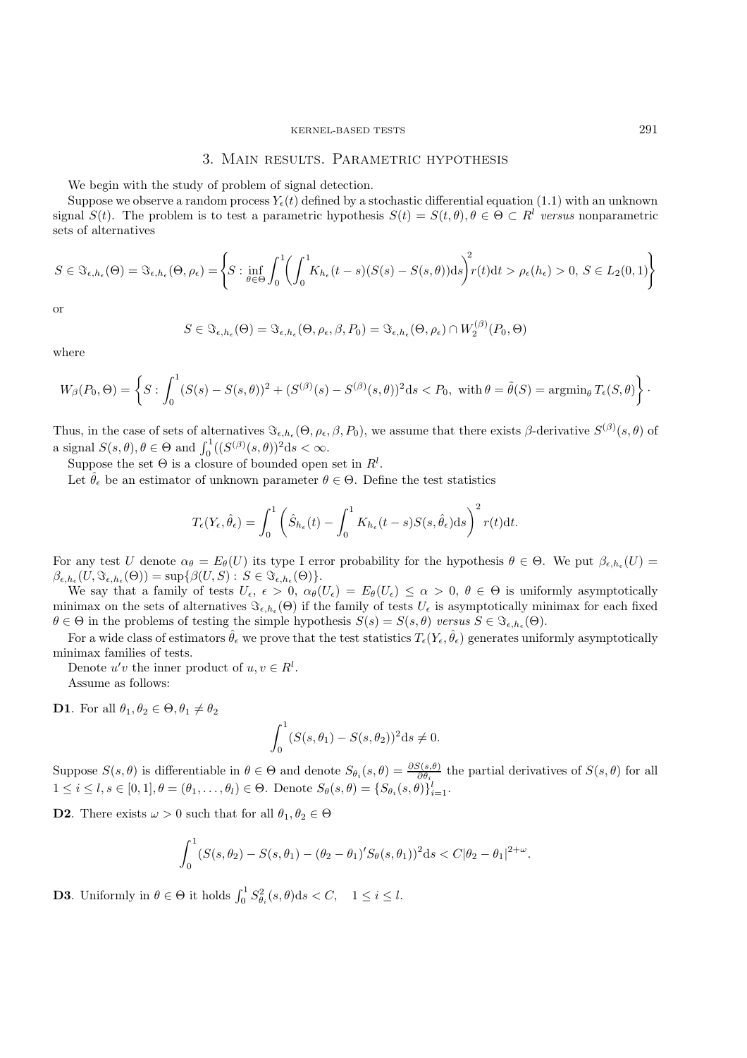## 3. Main results. Parametric hypothesis

We begin with the study of problem of signal detection.

Suppose we observe a random process  $Y<sub>e</sub>(t)$  defined by a stochastic differential equation (1.1) with an unknown signal  $S(t)$ . The problem is to test a parametric hypothesis  $S(t) = S(t, \theta), \theta \in \Theta \subset R^l$  versus nonparametric sets of alternatives

$$
S \in \Im_{\epsilon, h_{\epsilon}}(\Theta) = \Im_{\epsilon, h_{\epsilon}}(\Theta, \rho_{\epsilon}) = \left\{ S : \inf_{\theta \in \Theta} \int_{0}^{1} \left( \int_{0}^{1} K_{h_{\epsilon}}(t-s)(S(s) - S(s, \theta)) \mathrm{d}s \right)^{2} r(t) \mathrm{d}t > \rho_{\epsilon}(h_{\epsilon}) > 0, S \in L_{2}(0, 1) \right\}
$$

or

$$
S\in \Im_{\epsilon,h_{\epsilon}}(\Theta)=\Im_{\epsilon,h_{\epsilon}}(\Theta,\rho_{\epsilon},\beta,P_{0})=\Im_{\epsilon,h_{\epsilon}}(\Theta,\rho_{\epsilon})\cap W_{2}^{(\beta)}(P_{0},\Theta)
$$

where

$$
W_{\beta}(P_0,\Theta) = \left\{ S : \int_0^1 (S(s) - S(s,\theta))^2 + (S^{(\beta)}(s) - S^{(\beta)}(s,\theta))^2 ds < P_0, \text{ with } \theta = \tilde{\theta}(S) = \operatorname{argmin}_{\theta} T_{\epsilon}(S,\theta) \right\}.
$$

Thus, in the case of sets of alternatives  $\Im_{\epsilon,h_\epsilon}(\Theta,\rho_\epsilon,\beta,P_0)$ , we assume that there exists  $\beta$ -derivative  $S^{(\beta)}(s,\theta)$  of a signal  $S(s, \theta), \theta \in \Theta$  and  $\int_0^1 ((S^{(\beta)}(s, \theta))^2 ds < \infty$ .

Suppose the set  $\Theta$  is a closure of bounded open set in  $R^l$ .

Let  $\hat{\theta}_{\epsilon}$  be an estimator of unknown parameter  $\theta \in \Theta$ . Define the test statistics

$$
T_{\epsilon}(Y_{\epsilon}, \hat{\theta}_{\epsilon}) = \int_0^1 \left( \hat{S}_{h_{\epsilon}}(t) - \int_0^1 K_{h_{\epsilon}}(t-s)S(s, \hat{\theta}_{\epsilon})ds \right)^2 r(t)dt.
$$

For any test U denote  $\alpha_{\theta} = E_{\theta}(U)$  its type I error probability for the hypothesis  $\theta \in \Theta$ . We put  $\beta_{\epsilon, h_{\epsilon}}(U)$  $\beta_{\epsilon,h_{\epsilon}}(U, \Im_{\epsilon,h_{\epsilon}}(\Theta)) = \sup \{\beta(U, S) : S \in \Im_{\epsilon,h_{\epsilon}}(\Theta)\}.$ 

We say that a family of tests  $U_{\epsilon}$ ,  $\epsilon > 0$ ,  $\alpha_{\theta}(U_{\epsilon}) = E_{\theta}(U_{\epsilon}) \leq \alpha > 0$ ,  $\theta \in \Theta$  is uniformly asymptotically minimax on the sets of alternatives  $\mathfrak{S}_{\epsilon,h_{\epsilon}}(\Theta)$  if the family of tests  $U_{\epsilon}$  is asymptotically minimax for each fixed  $\theta \in \Theta$  in the problems of testing the simple hypothesis  $S(s) = S(s, \theta)$  *versus*  $S \in \Im_{\epsilon, h_{\epsilon}}(\Theta)$ .

For a wide class of estimators  $\hat{\theta}_{\epsilon}$  we prove that the test statistics  $T_{\epsilon}(Y_{\epsilon}, \hat{\theta}_{\epsilon})$  generates uniformly asymptotically minimax families of tests.

Denote  $u'v$  the inner product of  $u, v \in R^l$ . Assume as follows:

**D1**. For all  $\theta_1, \theta_2 \in \Theta, \theta_1 \neq \theta_2$ 

$$
\int_0^1 (S(s, \theta_1) - S(s, \theta_2))^2 ds \neq 0.
$$

Suppose  $S(s, \theta)$  is differentiable in  $\theta \in \Theta$  and denote  $S_{\theta_i}(s, \theta) = \frac{\partial S(s, \theta)}{\partial \theta_i}$  the partial derivatives of  $S(s, \theta)$  for all  $1 \leq i \leq l, s \in [0,1], \theta = (\theta_1, \ldots, \theta_l) \in \Theta$ . Denote  $S_{\theta}(s, \theta) = \{S_{\theta_i}(s, \theta)\}_{i=1}^l$ .

**D2**. There exists  $\omega > 0$  such that for all  $\theta_1, \theta_2 \in \Theta$ 

$$
\int_0^1 (S(s,\theta_2) - S(s,\theta_1) - (\theta_2 - \theta_1)' S_{\theta}(s,\theta_1))^2 ds < C |\theta_2 - \theta_1|^{2+\omega}.
$$

**D3**. Uniformly in  $\theta \in \Theta$  it holds  $\int_0^1 S_{\theta_i}^2(s,\theta) ds < C, \quad 1 \leq i \leq l$ .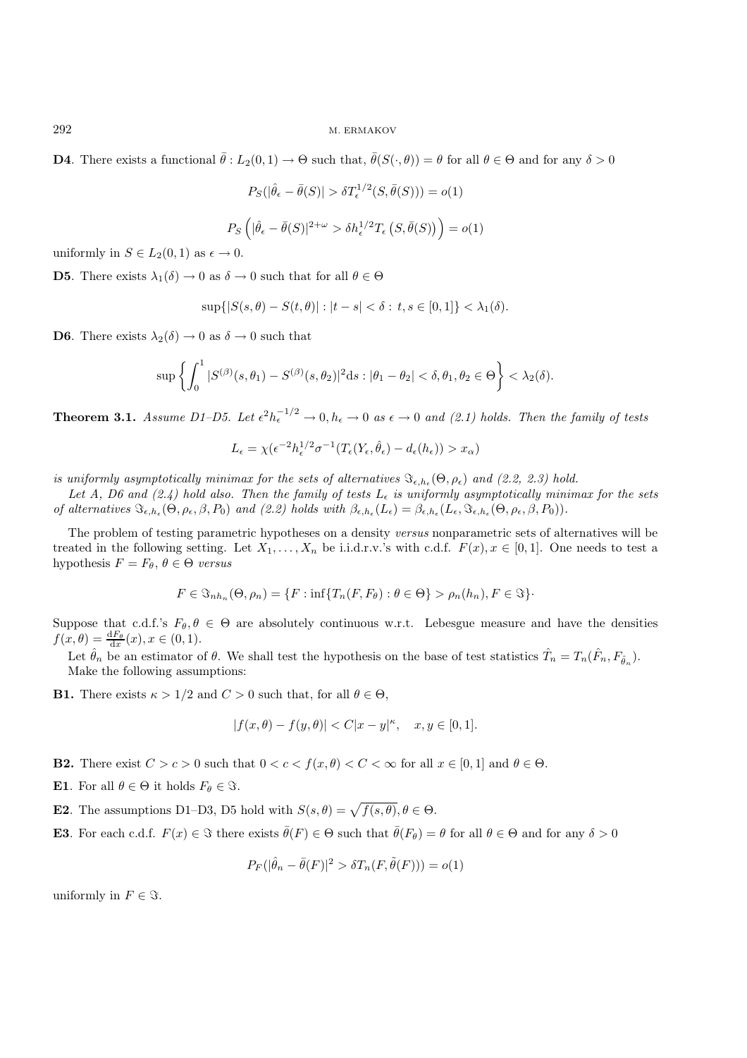**D4**. There exists a functional  $\bar{\theta}$ :  $L_2(0,1) \to \Theta$  such that,  $\bar{\theta}(S(\cdot,\theta)) = \theta$  for all  $\theta \in \Theta$  and for any  $\delta > 0$ 

$$
P_S(|\hat{\theta}_{\epsilon} - \bar{\theta}(S)| > \delta T_{\epsilon}^{1/2}(S, \bar{\theta}(S))) = o(1)
$$

$$
P_S\left(|\hat{\theta}_{\epsilon} - \bar{\theta}(S)|^{2+\omega} > \delta h_{\epsilon}^{1/2} T_{\epsilon}\left(S, \bar{\theta}(S)\right)\right) = o(1)
$$

uniformly in  $S \in L_2(0,1)$  as  $\epsilon \to 0$ .

**D5**. There exists  $\lambda_1(\delta) \to 0$  as  $\delta \to 0$  such that for all  $\theta \in \Theta$ 

$$
\sup\{|S(s,\theta) - S(t,\theta)| : |t - s| < \delta : t, s \in [0,1]\} < \lambda_1(\delta).
$$

**D6.** There exists  $\lambda_2(\delta) \to 0$  as  $\delta \to 0$  such that

$$
\sup\left\{\int_0^1|S^{(\beta)}(s,\theta_1)-S^{(\beta)}(s,\theta_2)|^2\mathrm{d}s:|\theta_1-\theta_2|<\delta,\theta_1,\theta_2\in\Theta\right\}<\lambda_2(\delta).
$$

Theorem 3.1. *Assume D1–D5.* Let  $\epsilon^2 h_{\epsilon}^{-1/2} \to 0, h_{\epsilon} \to 0$  as  $\epsilon \to 0$  and (2.1) holds. Then the family of tests

$$
L_{\epsilon} = \chi(\epsilon^{-2}h_{\epsilon}^{1/2}\sigma^{-1}(T_{\epsilon}(Y_{\epsilon},\hat{\theta}_{\epsilon}) - d_{\epsilon}(h_{\epsilon})) > x_{\alpha})
$$

*is uniformly asymptotically minimax for the sets of alternatives*  $\mathfrak{S}_{\epsilon, h_{\epsilon}}(\Theta, \rho_{\epsilon})$  *and (2.2, 2.3) hold.* 

Let A, D6 and  $(2.4)$  hold also. Then the family of tests  $L_{\epsilon}$  is uniformly asymptotically minimax for the sets *of alternatives*  $\Im_{\epsilon, h_{\epsilon}}(\Theta, \rho_{\epsilon}, \beta, P_0)$  *and (2.2) holds with*  $\beta_{\epsilon, h_{\epsilon}}(L_{\epsilon}) = \beta_{\epsilon, h_{\epsilon}}(L_{\epsilon}, \Im_{\epsilon, h_{\epsilon}}(\Theta, \rho_{\epsilon}, \beta, P_0)).$ 

The problem of testing parametric hypotheses on a density *versus* nonparametric sets of alternatives will be treated in the following setting. Let  $X_1,\ldots,X_n$  be i.i.d.r.v.'s with c.d.f.  $F(x), x \in [0,1]$ . One needs to test a hypothesis  $F = F_{\theta}, \theta \in \Theta$  *versus* 

$$
F \in \mathfrak{S}_{n h_n}(\Theta, \rho_n) = \{ F : \inf \{ T_n(F, F_{\theta}) : \theta \in \Theta \} > \rho_n(h_n), F \in \mathfrak{S} \}.
$$

Suppose that c.d.f.'s  $F_{\theta}, \theta \in \Theta$  are absolutely continuous w.r.t. Lebesgue measure and have the densities  $f(x,\theta) = \frac{\mathrm{d}F_{\theta}}{\mathrm{d}x}(x), x \in (0,1).$ 

Let  $\hat{\theta}_n$  be an estimator of  $\theta$ . We shall test the hypothesis on the base of test statistics  $\hat{T}_n = T_n(\hat{F}_n, F_{\hat{\theta}_n})$ . Make the following assumptions:

**B1.** There exists  $\kappa > 1/2$  and  $C > 0$  such that, for all  $\theta \in \Theta$ ,

$$
|f(x, \theta) - f(y, \theta)| < C|x - y|^{\kappa}, \quad x, y \in [0, 1].
$$

**B2.** There exist  $C>c>0$  such that  $0 < c < f(x, \theta) < C < \infty$  for all  $x \in [0, 1]$  and  $\theta \in \Theta$ .

- **E1.** For all  $\theta \in \Theta$  it holds  $F_{\theta} \in \Im$ .
- **E2**. The assumptions D1–D3, D5 hold with  $S(s, \theta) = \sqrt{f(s, \theta)}, \theta \in \Theta$ .
- **E3**. For each c.d.f.  $F(x) \in \Im$  there exists  $\bar{\theta}(F) \in \Theta$  such that  $\bar{\theta}(F_{\theta}) = \theta$  for all  $\theta \in \Theta$  and for any  $\delta > 0$

$$
P_F(|\hat{\theta}_n - \bar{\theta}(F)|^2 > \delta T_n(F, \tilde{\theta}(F))) = o(1)
$$

uniformly in  $F \in \Im$ .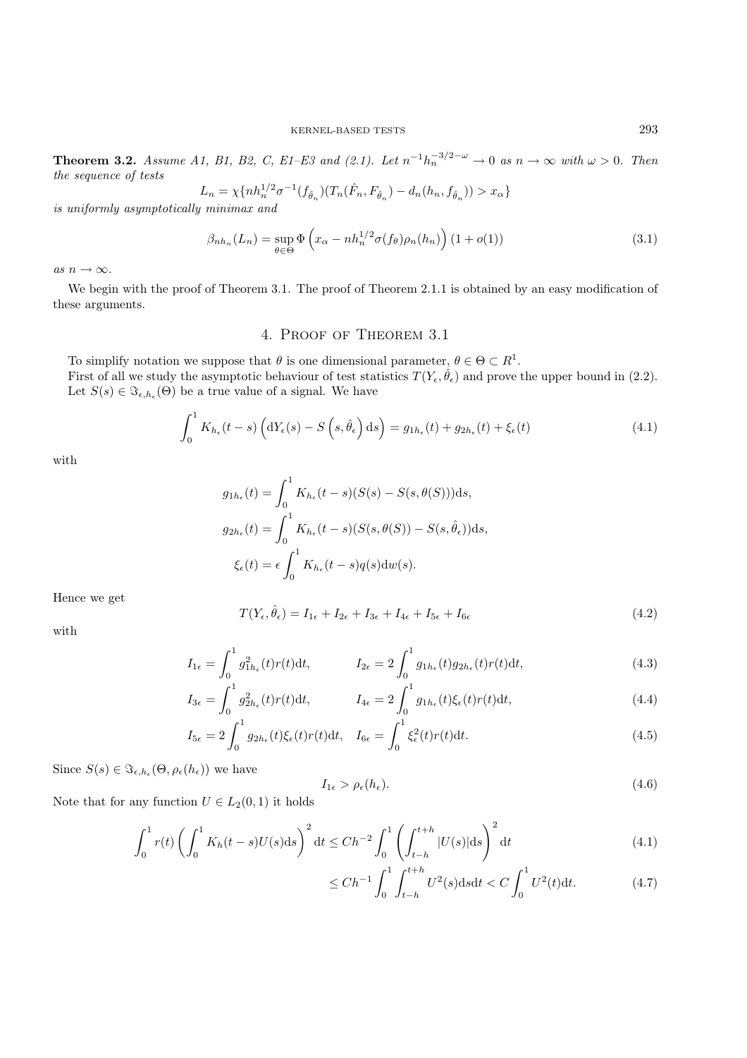**Theorem 3.2.** *Assume A1, B1, B2, C, E1–E3 and (2.1). Let*  $n^{-1}h_n^{-3/2-\omega}$  → 0 *as*  $n \to \infty$  *with*  $\omega > 0$ *. Then the sequence of tests*

$$
L_n = \chi\{nh_n^{1/2}\sigma^{-1}(f_{\hat{\theta}_n})(T_n(\hat{F}_n, F_{\hat{\theta}_n}) - d_n(h_n, f_{\hat{\theta}_n})) > x_\alpha\}
$$

*is uniformly asymptotically minimax and*

$$
\beta_{n h_n}(L_n) = \sup_{\theta \in \Theta} \Phi\left(x_\alpha - n h_n^{1/2} \sigma(f_\theta) \rho_n(h_n)\right) (1 + o(1)) \tag{3.1}
$$

*as*  $n \to \infty$ *.* 

We begin with the proof of Theorem 3.1. The proof of Theorem 2.1.1 is obtained by an easy modification of these arguments.

## 4. Proof of Theorem 3.1

To simplify notation we suppose that  $\theta$  is one dimensional parameter,  $\theta \in \Theta \subset R^1$ . First of all we study the asymptotic behaviour of test statistics  $T(Y_{\epsilon}, \hat{\theta}_{\epsilon})$  and prove the upper bound in (2.2). Let  $S(s) \in \Im_{\epsilon,h_{\epsilon}}(\Theta)$  be a true value of a signal. We have

$$
\int_0^1 K_{h_\epsilon}(t-s) \left( dY_\epsilon(s) - S\left(s, \hat{\theta}_\epsilon\right) ds \right) = g_{1h_\epsilon}(t) + g_{2h_\epsilon}(t) + \xi_\epsilon(t) \tag{4.1}
$$

with

$$
g_{1h_{\epsilon}}(t) = \int_0^1 K_{h_{\epsilon}}(t-s)(S(s) - S(s, \theta(S)))ds,
$$
  
\n
$$
g_{2h_{\epsilon}}(t) = \int_0^1 K_{h_{\epsilon}}(t-s)(S(s, \theta(S)) - S(s, \hat{\theta}_{\epsilon}))ds,
$$
  
\n
$$
\xi_{\epsilon}(t) = \epsilon \int_0^1 K_{h_{\epsilon}}(t-s)q(s)dw(s).
$$

Hence we get

$$
T(Y_{\epsilon}, \hat{\theta}_{\epsilon}) = I_{1\epsilon} + I_{2\epsilon} + I_{3\epsilon} + I_{4\epsilon} + I_{5\epsilon} + I_{6\epsilon}
$$
\n
$$
(4.2)
$$

with

$$
I_{1\epsilon} = \int_0^1 g_{1h_{\epsilon}}^2(t)r(t)dt, \qquad I_{2\epsilon} = 2\int_0^1 g_{1h_{\epsilon}}(t)g_{2h_{\epsilon}}(t)r(t)dt,
$$
\n(4.3)

$$
I_{3\epsilon} = \int_0^1 g_{2h_{\epsilon}}^2(t)r(t)dt, \qquad I_{4\epsilon} = 2\int_0^1 g_{1h_{\epsilon}}(t)\xi_{\epsilon}(t)r(t)dt,
$$
\n(4.4)

$$
I_{5\epsilon} = 2 \int_0^1 g_{2h_\epsilon}(t)\xi_\epsilon(t)r(t)dt, \quad I_{6\epsilon} = \int_0^1 \xi_\epsilon^2(t)r(t)dt.
$$
\n(4.5)

Since  $S(s) \in \Im_{\epsilon, h_{\epsilon}}(\Theta, \rho_{\epsilon}(h_{\epsilon}))$  we have

$$
I_{1\epsilon} > \rho_{\epsilon}(h_{\epsilon}).\tag{4.6}
$$

Note that for any function  $U \in L_2(0, 1)$  it holds

$$
\int_0^1 r(t) \left( \int_0^1 K_h(t-s) U(s) \, \mathrm{d} s \right)^2 \, \mathrm{d} t \le C h^{-2} \int_0^1 \left( \int_{t-h}^{t+h} |U(s)| \, \mathrm{d} s \right)^2 \, \mathrm{d} t \tag{4.1}
$$

$$
\le Ch^{-1} \int_0^1 \int_{t-h}^{t+h} U^2(s) \, \mathrm{d} s \, \mathrm{d} t < C \int_0^1 U^2(t) \, \mathrm{d} t. \tag{4.7}
$$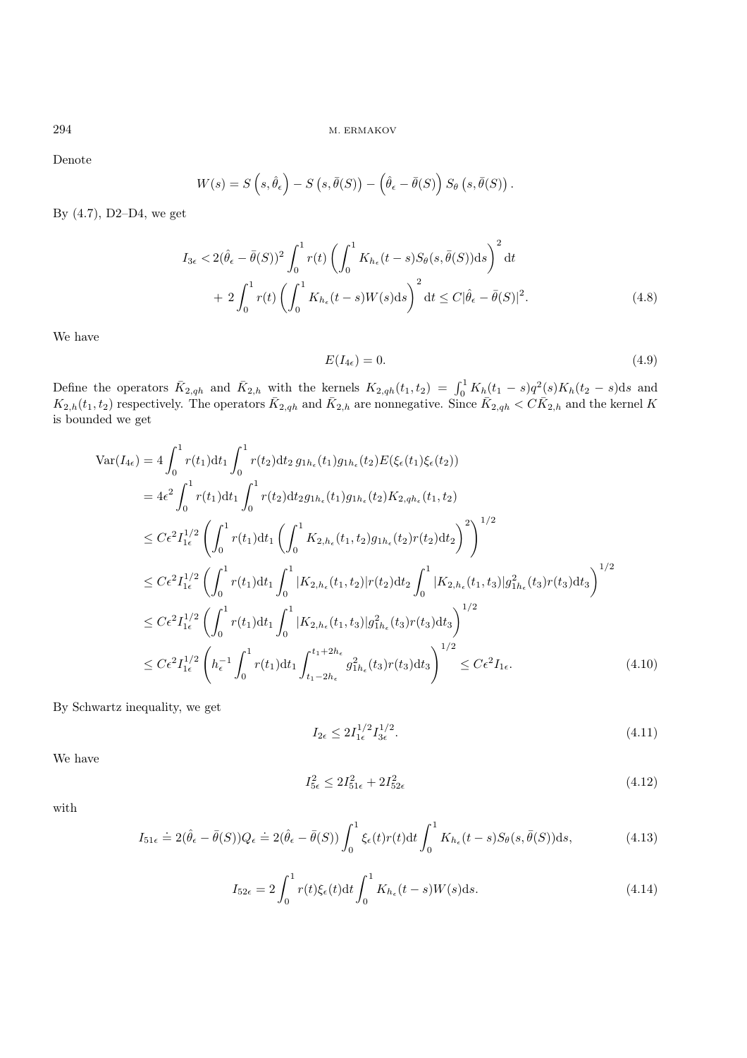Denote

$$
W(s) = S\left(s, \hat{\theta}_{\epsilon}\right) - S\left(s, \bar{\theta}(S)\right) - \left(\hat{\theta}_{\epsilon} - \bar{\theta}(S)\right)S_{\theta}\left(s, \bar{\theta}(S)\right)
$$

By (4.7), D2–D4, we get

$$
I_{3\epsilon} < 2(\hat{\theta}_{\epsilon} - \bar{\theta}(S))^2 \int_0^1 r(t) \left( \int_0^1 K_{h_{\epsilon}}(t-s) S_{\theta}(s, \bar{\theta}(S)) ds \right)^2 dt
$$
  
+ 
$$
2 \int_0^1 r(t) \left( \int_0^1 K_{h_{\epsilon}}(t-s) W(s) ds \right)^2 dt \le C |\hat{\theta}_{\epsilon} - \bar{\theta}(S)|^2.
$$
 (4.8)

We have

$$
E(I_{4\epsilon}) = 0.\t\t(4.9)
$$

.

Define the operators  $\bar{K}_{2,qh}$  and  $\bar{K}_{2,h}$  with the kernels  $K_{2,qh}(t_1,t_2) = \int_0^1 K_h(t_1-s)q^2(s)K_h(t_2-s)ds$  and  $K_{2,h}(t_1,t_2)$  respectively. The operators  $\bar{K}_{2,qh}$  and  $\bar{K}_{2,h}$  are nonnegative. Since  $\bar{K}_{2,qh} < C \bar{K}_{2,h}$  and the kernel K is bounded we get

$$
\begin{split}\n\text{Var}(I_{4\epsilon}) &= 4 \int_{0}^{1} r(t_{1}) dt_{1} \int_{0}^{1} r(t_{2}) dt_{2} g_{1h_{\epsilon}}(t_{1}) g_{1h_{\epsilon}}(t_{2}) E(\xi_{\epsilon}(t_{1}) \xi_{\epsilon}(t_{2})) \\
&= 4 \epsilon^{2} \int_{0}^{1} r(t_{1}) dt_{1} \int_{0}^{1} r(t_{2}) dt_{2} g_{1h_{\epsilon}}(t_{1}) g_{1h_{\epsilon}}(t_{2}) K_{2,qh_{\epsilon}}(t_{1}, t_{2}) \\
&\leq C \epsilon^{2} I_{1\epsilon}^{1/2} \left( \int_{0}^{1} r(t_{1}) dt_{1} \left( \int_{0}^{1} K_{2,h_{\epsilon}}(t_{1}, t_{2}) g_{1h_{\epsilon}}(t_{2}) r(t_{2}) dt_{2} \right)^{2} \right)^{1/2} \\
&\leq C \epsilon^{2} I_{1\epsilon}^{1/2} \left( \int_{0}^{1} r(t_{1}) dt_{1} \int_{0}^{1} |K_{2,h_{\epsilon}}(t_{1}, t_{2})| r(t_{2}) dt_{2} \int_{0}^{1} |K_{2,h_{\epsilon}}(t_{1}, t_{3})| g_{1h_{\epsilon}}^{2}(t_{3}) r(t_{3}) dt_{3} \right)^{1/2} \\
&\leq C \epsilon^{2} I_{1\epsilon}^{1/2} \left( \int_{0}^{1} r(t_{1}) dt_{1} \int_{0}^{1} |K_{2,h_{\epsilon}}(t_{1}, t_{3})| g_{1h_{\epsilon}}^{2}(t_{3}) r(t_{3}) dt_{3} \right)^{1/2} \\
&\leq C \epsilon^{2} I_{1\epsilon}^{1/2} \left( h_{\epsilon}^{-1} \int_{0}^{1} r(t_{1}) dt_{1} \int_{t_{1}-2h_{\epsilon}}^{t_{1}+2h_{\epsilon}} g_{1h_{\epsilon}}^{2}(t_{3}) r(t_{3}) dt_{3} \right)^{1/2} \leq C \epsilon^{2} I_{1\epsilon}.\n\end{split} \tag{4.10}
$$

By Schwartz inequality, we get

$$
I_{2\epsilon} \le 2I_{1\epsilon}^{1/2} I_{3\epsilon}^{1/2}.\tag{4.11}
$$

We have

$$
I_{5\epsilon}^2 \le 2I_{51\epsilon}^2 + 2I_{52\epsilon}^2 \tag{4.12}
$$

with

$$
I_{51\epsilon} \doteq 2(\hat{\theta}_{\epsilon} - \bar{\theta}(S))Q_{\epsilon} \doteq 2(\hat{\theta}_{\epsilon} - \bar{\theta}(S))\int_0^1 \xi_{\epsilon}(t)r(t)dt \int_0^1 K_{h_{\epsilon}}(t-s)S_{\theta}(s,\bar{\theta}(S))ds,
$$
\n(4.13)

$$
I_{52\epsilon} = 2 \int_0^1 r(t)\xi_{\epsilon}(t)dt \int_0^1 K_{h_{\epsilon}}(t-s)W(s)ds.
$$
 (4.14)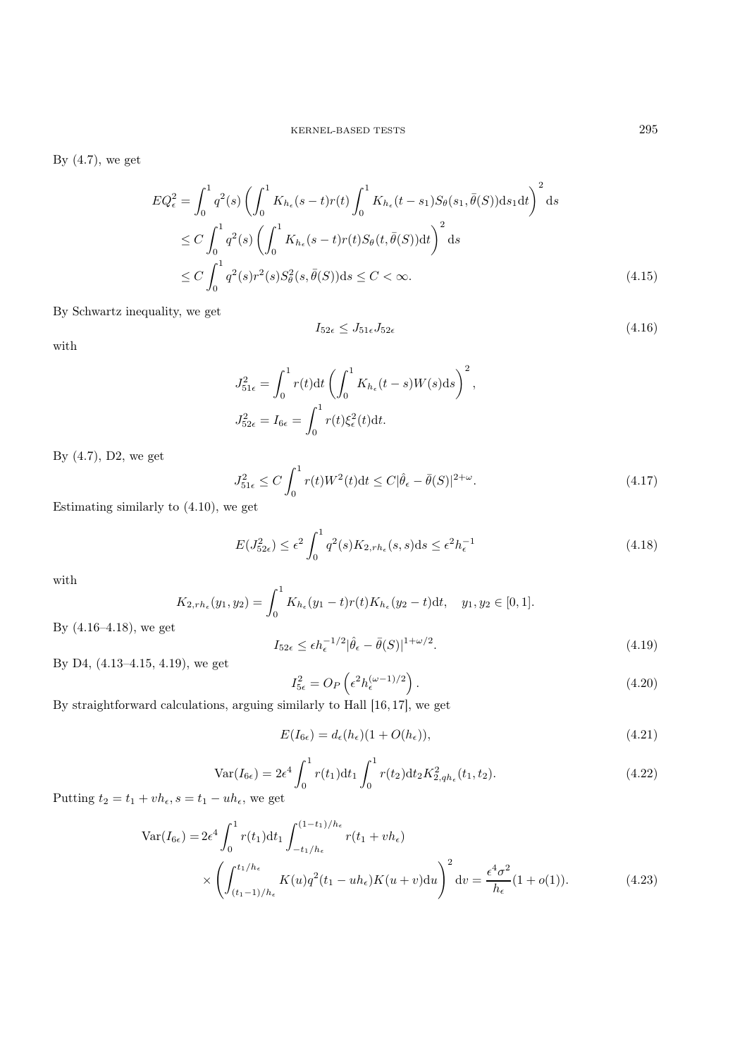By  $(4.7)$ , we get

$$
EQ_{\epsilon}^{2} = \int_{0}^{1} q^{2}(s) \left( \int_{0}^{1} K_{h_{\epsilon}}(s-t)r(t) \int_{0}^{1} K_{h_{\epsilon}}(t-s_{1}) S_{\theta}(s_{1}, \bar{\theta}(S)) \, ds_{1} dt \right)^{2} ds
$$
  
\n
$$
\leq C \int_{0}^{1} q^{2}(s) \left( \int_{0}^{1} K_{h_{\epsilon}}(s-t)r(t) S_{\theta}(t, \bar{\theta}(S)) dt \right)^{2} ds
$$
  
\n
$$
\leq C \int_{0}^{1} q^{2}(s)r^{2}(s) S_{\theta}^{2}(s, \bar{\theta}(S)) ds \leq C < \infty.
$$
\n(4.15)

By Schwartz inequality, we get

$$
I_{52\epsilon} \le J_{51\epsilon} J_{52\epsilon} \tag{4.16}
$$

with

$$
\begin{split} J_{51\epsilon}^2 &= \int_0^1 r(t)\mathrm{d}t \left(\int_0^1 K_{h_\epsilon}(t-s)W(s)\mathrm{d}s\right)^2,\\ J_{52\epsilon}^2 &= I_{6\epsilon} = \int_0^1 r(t)\xi_\epsilon^2(t)\mathrm{d}t. \end{split}
$$

By (4.7), D2, we get

$$
J_{51\epsilon}^2 \le C \int_0^1 r(t)W^2(t)dt \le C|\hat{\theta}_{\epsilon} - \bar{\theta}(S)|^{2+\omega}.
$$
\n(4.17)

Estimating similarly to (4.10), we get

$$
E(J_{52\epsilon}^2) \le \epsilon^2 \int_0^1 q^2(s) K_{2,rh_\epsilon}(s,s) \, \mathrm{d}s \le \epsilon^2 h_\epsilon^{-1} \tag{4.18}
$$

with

$$
K_{2,rh_{\epsilon}}(y_1, y_2) = \int_0^1 K_{h_{\epsilon}}(y_1 - t)r(t)K_{h_{\epsilon}}(y_2 - t)dt, \quad y_1, y_2 \in [0, 1].
$$

By (4.16–4.18), we get

$$
I_{52\epsilon} \le \epsilon h_{\epsilon}^{-1/2} |\hat{\theta}_{\epsilon} - \bar{\theta}(S)|^{1+\omega/2}.
$$
\n(4.19)

By D4, (4.13–4.15, 4.19), we get

$$
I_{5\epsilon}^2 = O_P\left(\epsilon^2 h_{\epsilon}^{(\omega - 1)/2}\right). \tag{4.20}
$$

By straightforward calculations, arguing similarly to Hall [16, 17], we get

$$
E(I_{6\epsilon}) = d_{\epsilon}(h_{\epsilon})(1 + O(h_{\epsilon})),
$$
\n(4.21)

$$
\text{Var}(I_{6\epsilon}) = 2\epsilon^4 \int_0^1 r(t_1) \, \mathrm{d}t_1 \int_0^1 r(t_2) \, \mathrm{d}t_2 K_{2,qh_\epsilon}^2(t_1, t_2). \tag{4.22}
$$

Putting  $t_2 = t_1 + v h_\epsilon$ ,  $s = t_1 - u h_\epsilon$ , we get

$$
\operatorname{Var}(I_{6\epsilon}) = 2\epsilon^4 \int_0^1 r(t_1) dt_1 \int_{-t_1/h_{\epsilon}}^{(1-t_1)/h_{\epsilon}} r(t_1 + vh_{\epsilon})
$$
  
\$\times \left( \int\_{(t\_1-1)/h\_{\epsilon}}^{t\_1/h\_{\epsilon}} K(u)q^2(t\_1 - uh\_{\epsilon})K(u+v)du \right)^2 dv = \frac{\epsilon^4 \sigma^2}{h\_{\epsilon}} (1+o(1)). \qquad (4.23)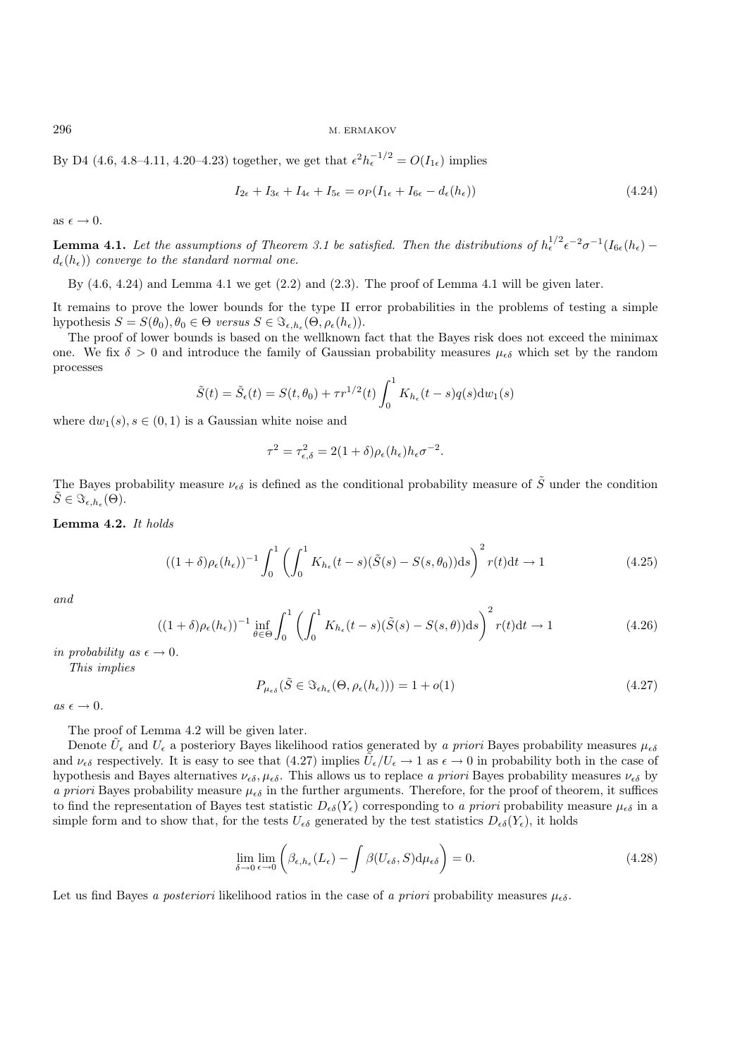By D4 (4.6, 4.8–4.11, 4.20–4.23) together, we get that  $\epsilon^2 h_{\epsilon}^{-1/2} = O(I_{1\epsilon})$  implies

$$
I_{2\epsilon} + I_{3\epsilon} + I_{4\epsilon} + I_{5\epsilon} = o_P(I_{1\epsilon} + I_{6\epsilon} - d_{\epsilon}(h_{\epsilon}))
$$
\n
$$
(4.24)
$$

as  $\epsilon \to 0$ .

**Lemma 4.1.** Let the assumptions of Theorem 3.1 be satisfied. Then the distributions of  $h_{\epsilon}^{1/2} \epsilon^{-2} \sigma^{-1}(I_{6\epsilon}(h_{\epsilon}))$  –  $d_{\epsilon}(h_{\epsilon})$  *converge to the standard normal one.* 

By  $(4.6, 4.24)$  and Lemma  $4.1$  we get  $(2.2)$  and  $(2.3)$ . The proof of Lemma  $4.1$  will be given later.

It remains to prove the lower bounds for the type II error probabilities in the problems of testing a simple hypothesis  $S = S(\theta_0), \theta_0 \in \Theta$  *versus*  $S \in \Im_{\epsilon, h_{\epsilon}}(\Theta, \rho_{\epsilon}(h_{\epsilon}))$ .

The proof of lower bounds is based on the wellknown fact that the Bayes risk does not exceed the minimax one. We fix  $\delta > 0$  and introduce the family of Gaussian probability measures  $\mu_{\epsilon}$  which set by the random processes

$$
\tilde{S}(t) = \tilde{S}_{\epsilon}(t) = S(t, \theta_0) + \tau r^{1/2}(t) \int_0^1 K_{h_{\epsilon}}(t - s) q(s) \mathrm{d}w_1(s)
$$

where  $dw_1(s)$ ,  $s \in (0, 1)$  is a Gaussian white noise and

$$
\tau^2 = \tau_{\epsilon,\delta}^2 = 2(1+\delta)\rho_{\epsilon}(h_{\epsilon})h_{\epsilon}\sigma^{-2}.
$$

The Bayes probability measure  $\nu_{\epsilon\delta}$  is defined as the conditional probability measure of  $\tilde{S}$  under the condition  $\tilde{S} \in \Im_{\epsilon,h_{\epsilon}}(\Theta).$ 

Lemma 4.2. *It holds*

$$
((1+\delta)\rho_{\epsilon}(h_{\epsilon}))^{-1}\int_{0}^{1}\left(\int_{0}^{1}K_{h_{\epsilon}}(t-s)(\tilde{S}(s)-S(s,\theta_{0}))\mathrm{d}s\right)^{2}r(t)\mathrm{d}t\to 1
$$
\n(4.25)

*and*

$$
((1+\delta)\rho_{\epsilon}(h_{\epsilon}))^{-1}\inf_{\theta\in\Theta}\int_{0}^{1}\left(\int_{0}^{1}K_{h_{\epsilon}}(t-s)(\tilde{S}(s)-S(s,\theta))\mathrm{d}s\right)^{2}r(t)\mathrm{d}t\to 1
$$
\n(4.26)

*in probability as*  $\epsilon \rightarrow 0$ *.* 

*This implies*

$$
P_{\mu_{\epsilon\delta}}(\tilde{S} \in \Im_{\epsilon h_{\epsilon}}(\Theta, \rho_{\epsilon}(h_{\epsilon}))) = 1 + o(1)
$$
\n(4.27)

 $as \epsilon \rightarrow 0$ .

The proof of Lemma 4.2 will be given later.

Denote  $U_\epsilon$  and  $U_\epsilon$  a posteriory Bayes likelihood ratios generated by *a priori* Bayes probability measures  $\mu_{\epsilon\delta}$ and  $\nu_{\epsilon\delta}$  respectively. It is easy to see that (4.27) implies  $U_{\epsilon}/U_{\epsilon} \to 1$  as  $\epsilon \to 0$  in probability both in the case of hypothesis and Bayes alternatives  $\nu_{\epsilon\delta}$ ,  $\mu_{\epsilon\delta}$ . This allows us to replace *a priori* Bayes probability measures  $\nu_{\epsilon\delta}$  by *a priori* Bayes probability measure  $\mu_{\epsilon\delta}$  in the further arguments. Therefore, for the proof of theorem, it suffices to find the representation of Bayes test statistic  $D_{\epsilon\delta}(Y_{\epsilon})$  corresponding to *a priori* probability measure  $\mu_{\epsilon\delta}$  in a simple form and to show that, for the tests  $U_{\epsilon\delta}$  generated by the test statistics  $D_{\epsilon\delta}(Y_{\epsilon})$ , it holds

$$
\lim_{\delta \to 0} \lim_{\epsilon \to 0} \left( \beta_{\epsilon, h_{\epsilon}} (L_{\epsilon}) - \int \beta (U_{\epsilon \delta}, S) d\mu_{\epsilon \delta} \right) = 0. \tag{4.28}
$$

Let us find Bayes *a posteriori* likelihood ratios in the case of *a priori* probability measures  $\mu_{\epsilon\delta}$ .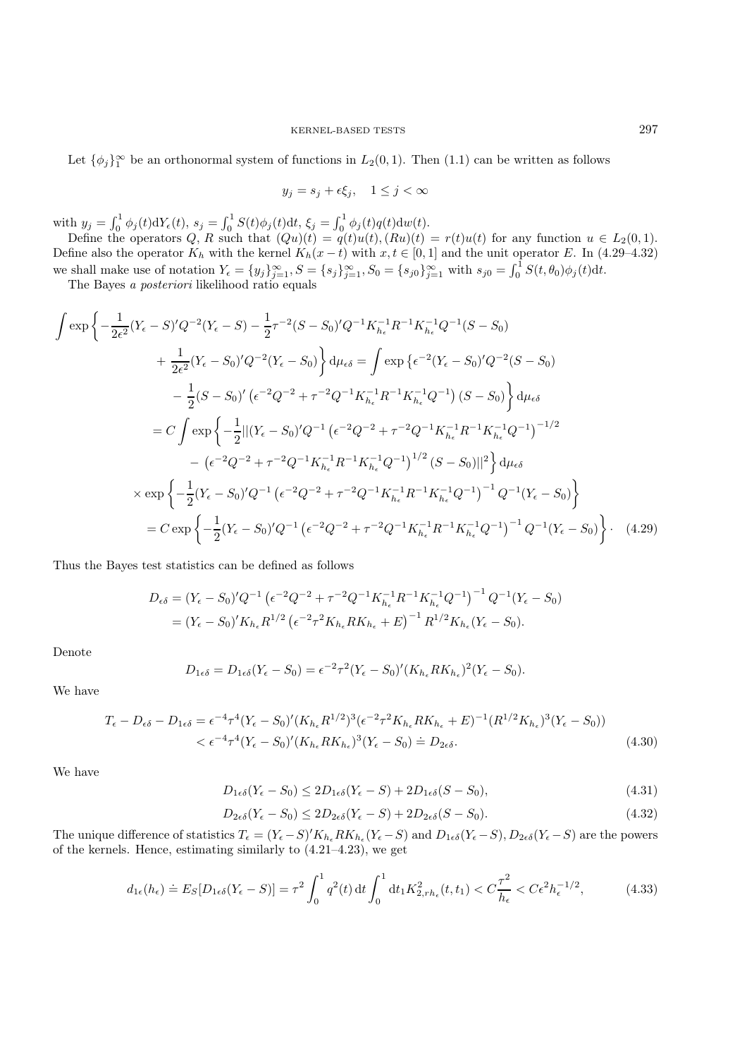Let  $\{\phi_j\}_1^{\infty}$  be an orthonormal system of functions in  $L_2(0,1)$ . Then  $(1.1)$  can be written as follows

$$
y_j = s_j + \epsilon \xi_j, \quad 1 \le j < \infty
$$

with  $y_j = \int_0^1 \phi_j(t) dY_{\epsilon}(t)$ ,  $s_j = \int_0^1 S(t)\phi_j(t) dt$ ,  $\xi_j = \int_0^1 \phi_j(t)q(t)dw(t)$ .

Define the operators  $Q, R$  such that  $(Qu)(t) = q(t)u(t), (Ru)(t) = r(t)u(t)$  for any function  $u \in L_2(0, 1)$ . Define also the operator  $K_h$  with the kernel  $K_h(x-t)$  with  $x, t \in [0,1]$  and the unit operator E. In (4.29–4.32) we shall make use of notation  $Y_{\epsilon} = \{y_j\}_{j=1}^{\infty}$ ,  $S = \{s_j\}_{j=1}^{\infty}$ ,  $S_0 = \{s_{j0}\}_{j=1}^{\infty}$  with  $s_{j0} = \int_0^1 S(t, \theta_0) \phi_j(t) dt$ .

The Bayes *a posteriori* likelihood ratio equals

$$
\int \exp\left\{-\frac{1}{2\epsilon^{2}}(Y_{\epsilon}-S)^{\prime}Q^{-2}(Y_{\epsilon}-S)-\frac{1}{2}\tau^{-2}(S-S_{0})^{\prime}Q^{-1}K_{h_{\epsilon}}^{-1}R^{-1}K_{h_{\epsilon}}^{-1}Q^{-1}(S-S_{0})\right\}
$$

$$
+\frac{1}{2\epsilon^{2}}(Y_{\epsilon}-S_{0})^{\prime}Q^{-2}(Y_{\epsilon}-S_{0})\Big\}\,d\mu_{\epsilon\delta} = \int \exp\left\{\epsilon^{-2}(Y_{\epsilon}-S_{0})^{\prime}Q^{-2}(S-S_{0})\right\}
$$

$$
-\frac{1}{2}(S-S_{0})^{\prime}\left(\epsilon^{-2}Q^{-2}+\tau^{-2}Q^{-1}K_{h_{\epsilon}}^{-1}R^{-1}K_{h_{\epsilon}}^{-1}Q^{-1}\right)(S-S_{0})\Big\}\,d\mu_{\epsilon\delta}
$$

$$
= C\int \exp\left\{-\frac{1}{2}||(Y_{\epsilon}-S_{0})^{\prime}Q^{-1}(\epsilon^{-2}Q^{-2}+\tau^{-2}Q^{-1}K_{h_{\epsilon}}^{-1}R^{-1}K_{h_{\epsilon}}^{-1}Q^{-1})^{-1/2}\right.
$$

$$
-(\epsilon^{-2}Q^{-2}+\tau^{-2}Q^{-1}K_{h_{\epsilon}}^{-1}R^{-1}K_{h_{\epsilon}}^{-1}Q^{-1})^{1/2}(S-S_{0})||^{2}\Big\}\,d\mu_{\epsilon\delta}
$$

$$
\times \exp\left\{-\frac{1}{2}(Y_{\epsilon}-S_{0})^{\prime}Q^{-1}(\epsilon^{-2}Q^{-2}+\tau^{-2}Q^{-1}K_{h_{\epsilon}}^{-1}R^{-1}K_{h_{\epsilon}}^{-1}Q^{-1})^{-1}Q^{-1}(Y_{\epsilon}-S_{0})\right\}
$$

$$
= C \exp\left\{-\frac{1}{2}(Y_{\epsilon}-S_{0})^{\prime}Q^{-1}(\epsilon^{-2}Q^{-2}+\tau^{-2}Q^{-1}K_{h_{\epsilon}}^{-1}R^{-1}K_{h_{\epsilon}}^{-1}Q^{-1})^{-1}Q^{-1}(Y_{\epsilon}-S_{0})\right\}.
$$
(4.29)

Thus the Bayes test statistics can be defined as follows

$$
D_{\epsilon\delta} = (Y_{\epsilon} - S_0)'Q^{-1} (\epsilon^{-2}Q^{-2} + \tau^{-2}Q^{-1}K_{h_{\epsilon}}^{-1}R^{-1}K_{h_{\epsilon}}^{-1}Q^{-1})^{-1} Q^{-1}(Y_{\epsilon} - S_0)
$$
  
=  $(Y_{\epsilon} - S_0)'K_{h_{\epsilon}}R^{1/2} (\epsilon^{-2}\tau^2K_{h_{\epsilon}}RK_{h_{\epsilon}} + E)^{-1} R^{1/2}K_{h_{\epsilon}}(Y_{\epsilon} - S_0).$ 

Denote

$$
D_{1\epsilon\delta} = D_{1\epsilon\delta}(Y_{\epsilon} - S_0) = \epsilon^{-2}\tau^2 (Y_{\epsilon} - S_0)' (K_{h_{\epsilon}} R K_{h_{\epsilon}})^2 (Y_{\epsilon} - S_0).
$$

We have

$$
T_{\epsilon} - D_{\epsilon\delta} - D_{1\epsilon\delta} = \epsilon^{-4} \tau^4 (Y_{\epsilon} - S_0)' (K_{h_{\epsilon}} R^{1/2})^3 (\epsilon^{-2} \tau^2 K_{h_{\epsilon}} R K_{h_{\epsilon}} + E)^{-1} (R^{1/2} K_{h_{\epsilon}})^3 (Y_{\epsilon} - S_0))
$$
  

$$
< \epsilon^{-4} \tau^4 (Y_{\epsilon} - S_0)' (K_{h_{\epsilon}} R K_{h_{\epsilon}})^3 (Y_{\epsilon} - S_0) \doteq D_{2\epsilon\delta}.
$$
 (4.30)

We have

$$
D_{1\epsilon\delta}(Y_{\epsilon}-S_0) \le 2D_{1\epsilon\delta}(Y_{\epsilon}-S) + 2D_{1\epsilon\delta}(S-S_0),\tag{4.31}
$$

$$
D_{2\epsilon\delta}(Y_{\epsilon} - S_0) \le 2D_{2\epsilon\delta}(Y_{\epsilon} - S) + 2D_{2\epsilon\delta}(S - S_0). \tag{4.32}
$$

The unique difference of statistics  $T_{\epsilon} = (Y_{\epsilon} - S)' K_{h_{\epsilon}} R K_{h_{\epsilon}} (Y_{\epsilon} - S)$  and  $D_{1\epsilon\delta}(Y_{\epsilon} - S)$ ,  $D_{2\epsilon\delta}(Y_{\epsilon} - S)$  are the powers of the kernels. Hence, estimating similarly to (4.21–4.23), we get

$$
d_{1\epsilon}(h_{\epsilon}) \doteq E_{S}[D_{1\epsilon\delta}(Y_{\epsilon} - S)] = \tau^{2} \int_{0}^{1} q^{2}(t) dt \int_{0}^{1} dt_{1} K_{2,rh_{\epsilon}}^{2}(t, t_{1}) < C \frac{\tau^{2}}{h_{\epsilon}} < C\epsilon^{2} h_{\epsilon}^{-1/2},\tag{4.33}
$$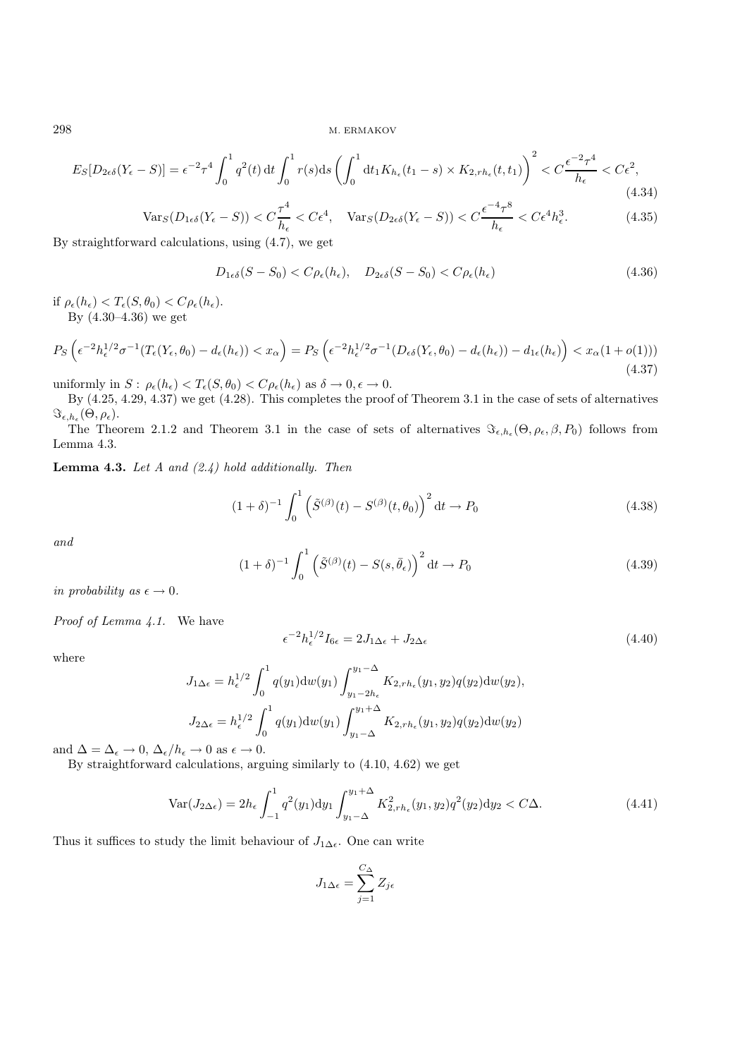$$
E_S[D_{2\epsilon\delta}(Y_{\epsilon}-S)] = \epsilon^{-2}\tau^4 \int_0^1 q^2(t) dt \int_0^1 r(s)ds \left(\int_0^1 dt_1 K_{h_{\epsilon}}(t_1-s) \times K_{2,rh_{\epsilon}}(t,t_1)\right)^2 < C\frac{\epsilon^{-2}\tau^4}{h_{\epsilon}} < C\epsilon^2,
$$
\n(4.34)

$$
\text{Var}_S(D_{1\epsilon\delta}(Y_\epsilon - S)) < C\frac{\tau^4}{h_\epsilon} < C\epsilon^4, \quad \text{Var}_S(D_{2\epsilon\delta}(Y_\epsilon - S)) < C\frac{\epsilon^{-4}\tau^8}{h_\epsilon} < C\epsilon^4 h_\epsilon^3. \tag{4.35}
$$

By straightforward calculations, using (4.7), we get

$$
D_{1\epsilon\delta}(S - S_0) < C\rho_{\epsilon}(h_{\epsilon}), \quad D_{2\epsilon\delta}(S - S_0) < C\rho_{\epsilon}(h_{\epsilon}) \tag{4.36}
$$

if  $\rho_{\epsilon}(h_{\epsilon}) < T_{\epsilon}(S, \theta_0) < C \rho_{\epsilon}(h_{\epsilon}).$ By (4.30–4.36) we get

$$
P_S\left(\epsilon^{-2}h_{\epsilon}^{1/2}\sigma^{-1}(T_{\epsilon}(Y_{\epsilon},\theta_0)-d_{\epsilon}(h_{\epsilon}))
$$

uniformly in  $S: \rho_{\epsilon}(h_{\epsilon}) < T_{\epsilon}(S, \theta_0) < C \rho_{\epsilon}(h_{\epsilon})$  as  $\delta \to 0, \epsilon \to 0$ .

By (4.25, 4.29, 4.37) we get (4.28). This completes the proof of Theorem 3.1 in the case of sets of alternatives  $\Im_{\epsilon,h_{\epsilon}}(\Theta,\rho_{\epsilon}).$ 

The Theorem 2.1.2 and Theorem 3.1 in the case of sets of alternatives  $\Im_{\epsilon,h_{\epsilon}}(\Theta,\rho_{\epsilon},\beta,P_0)$  follows from Lemma 4.3.

Lemma 4.3. *Let A and (2.4) hold additionally. Then*

$$
(1+\delta)^{-1} \int_0^1 \left( \tilde{S}^{(\beta)}(t) - S^{(\beta)}(t,\theta_0) \right)^2 dt \to P_0 \tag{4.38}
$$

*and*

$$
(1+\delta)^{-1} \int_0^1 \left( \tilde{S}^{(\beta)}(t) - S(s,\bar{\theta}_{\epsilon}) \right)^2 dt \to P_0 \tag{4.39}
$$

*in probability as*  $\epsilon \to 0$ *.* 

*Proof of Lemma 4.1.* We have

$$
\epsilon^{-2} h_{\epsilon}^{1/2} I_{6\epsilon} = 2J_{1\Delta\epsilon} + J_{2\Delta\epsilon} \tag{4.40}
$$

where

$$
J_{1\Delta\epsilon} = h_{\epsilon}^{1/2} \int_0^1 q(y_1) \mathrm{d}w(y_1) \int_{y_1 - 2h_{\epsilon}}^{y_1 - \Delta} K_{2, rh_{\epsilon}}(y_1, y_2) q(y_2) \mathrm{d}w(y_2),
$$
  

$$
J_{2\Delta\epsilon} = h_{\epsilon}^{1/2} \int_0^1 q(y_1) \mathrm{d}w(y_1) \int_{y_1 - \Delta}^{y_1 + \Delta} K_{2, rh_{\epsilon}}(y_1, y_2) q(y_2) \mathrm{d}w(y_2)
$$

and  $\Delta = \Delta_{\epsilon} \rightarrow 0$ ,  $\Delta_{\epsilon}/h_{\epsilon} \rightarrow 0$  as  $\epsilon \rightarrow 0$ .

By straightforward calculations, arguing similarly to (4.10, 4.62) we get

$$
\text{Var}(J_{2\Delta\epsilon}) = 2h_{\epsilon} \int_{-1}^{1} q^2(y_1) \mathrm{d}y_1 \int_{y_1 - \Delta}^{y_1 + \Delta} K_{2, rh_{\epsilon}}^2(y_1, y_2) q^2(y_2) \mathrm{d}y_2 < C\Delta. \tag{4.41}
$$

Thus it suffices to study the limit behaviour of  $J_{1\Delta\epsilon}$ . One can write

$$
J_{1\Delta\epsilon} = \sum_{j=1}^{C_{\Delta}} Z_{j\epsilon}
$$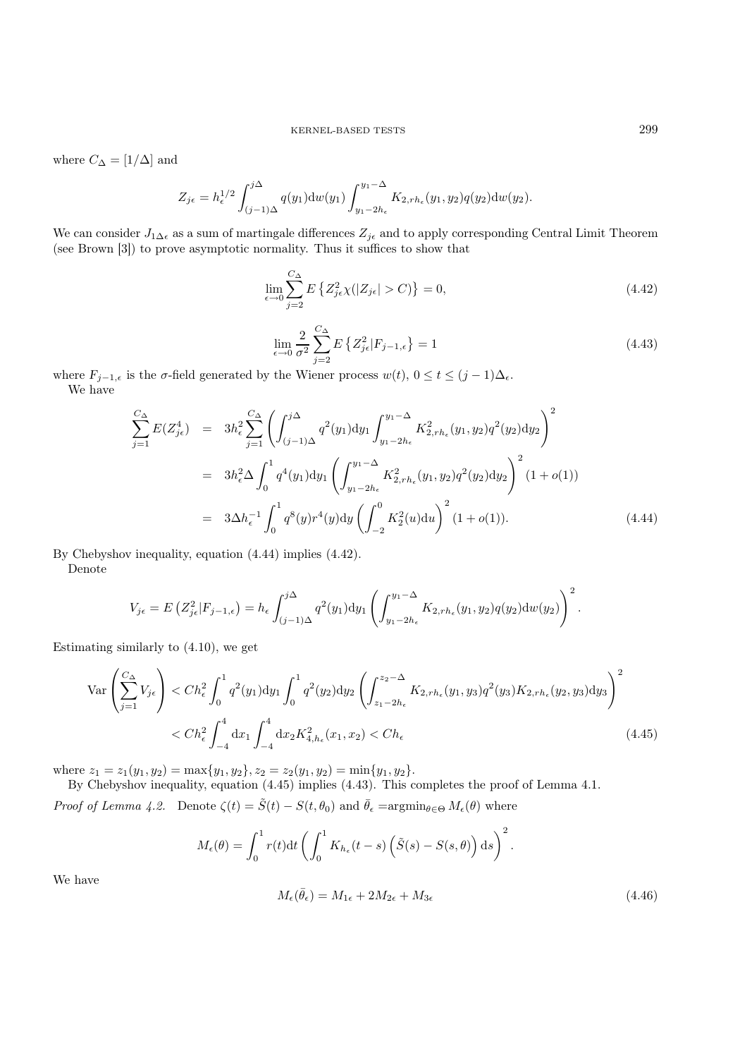where  $C_{\Delta} = [1/\Delta]$  and

$$
Z_{j\epsilon} = h_{\epsilon}^{1/2} \int_{(j-1)\Delta}^{j\Delta} q(y_1) \mathrm{d}w(y_1) \int_{y_1 - 2h_{\epsilon}}^{y_1 - \Delta} K_{2,rh_{\epsilon}}(y_1, y_2) q(y_2) \mathrm{d}w(y_2).
$$

We can consider  $J_{1\Delta\epsilon}$  as a sum of martingale differences  $Z_{j\epsilon}$  and to apply corresponding Central Limit Theorem (see Brown [3]) to prove asymptotic normality. Thus it suffices to show that

$$
\lim_{\epsilon \to 0} \sum_{j=2}^{C_{\Delta}} E\left\{ Z_{j\epsilon}^2 \chi(|Z_{j\epsilon}| > C) \right\} = 0,
$$
\n(4.42)

$$
\lim_{\epsilon \to 0} \frac{2}{\sigma^2} \sum_{j=2}^{C_{\Delta}} E\left\{ Z_{j\epsilon}^2 | F_{j-1,\epsilon} \right\} = 1
$$
\n(4.43)

where  $F_{j-1,\epsilon}$  is the  $\sigma$ -field generated by the Wiener process  $w(t)$ ,  $0 \le t \le (j-1)\Delta_{\epsilon}$ . We have

$$
\sum_{j=1}^{C_{\Delta}} E(Z_{j\epsilon}^4) = 3h_{\epsilon}^2 \sum_{j=1}^{C_{\Delta}} \left( \int_{(j-1)\Delta}^{j\Delta} q^2(y_1) dy_1 \int_{y_1-2h_{\epsilon}}^{y_1-\Delta} K_{2,rh_{\epsilon}}^2(y_1, y_2) q^2(y_2) dy_2 \right)^2
$$
  
\n
$$
= 3h_{\epsilon}^2 \Delta \int_0^1 q^4(y_1) dy_1 \left( \int_{y_1-2h_{\epsilon}}^{y_1-\Delta} K_{2,rh_{\epsilon}}^2(y_1, y_2) q^2(y_2) dy_2 \right)^2 (1+o(1))
$$
  
\n
$$
= 3\Delta h_{\epsilon}^{-1} \int_0^1 q^8(y) r^4(y) dy \left( \int_{-2}^0 K_2^2(u) du \right)^2 (1+o(1)). \tag{4.44}
$$

By Chebyshov inequality, equation (4.44) implies (4.42).

Denote

$$
V_{j\epsilon} = E\left(Z_{j\epsilon}^2|F_{j-1,\epsilon}\right) = h_{\epsilon} \int_{(j-1)\Delta}^{j\Delta} q^2(y_1) \mathrm{d}y_1 \left(\int_{y_1-2h_{\epsilon}}^{y_1-\Delta} K_{2,rh_{\epsilon}}(y_1,y_2)q(y_2) \mathrm{d}w(y_2)\right)^2.
$$

Estimating similarly to (4.10), we get

$$
\operatorname{Var}\left(\sum_{j=1}^{C_{\Delta}} V_{j\epsilon}\right) < Ch_{\epsilon}^{2} \int_{0}^{1} q^{2}(y_{1}) \mathrm{d}y_{1} \int_{0}^{1} q^{2}(y_{2}) \mathrm{d}y_{2} \left(\int_{z_{1}-2h_{\epsilon}}^{z_{2}-\Delta} K_{2,rh_{\epsilon}}(y_{1}, y_{3}) q^{2}(y_{3}) K_{2,rh_{\epsilon}}(y_{2}, y_{3}) \mathrm{d}y_{3}\right)^{2} \\ < Ch_{\epsilon}^{2} \int_{-4}^{4} \mathrm{d}x_{1} \int_{-4}^{4} \mathrm{d}x_{2} K_{4,h_{\epsilon}}^{2}(x_{1}, x_{2}) < Ch_{\epsilon} \tag{4.45}
$$

where  $z_1 = z_1(y_1, y_2) = \max\{y_1, y_2\}, z_2 = z_2(y_1, y_2) = \min\{y_1, y_2\}.$ 

By Chebyshov inequality, equation (4.45) implies (4.43). This completes the proof of Lemma 4.1.

*Proof of Lemma 4.2.* Denote  $\zeta(t) = \tilde{S}(t) - S(t, \theta_0)$  and  $\bar{\theta}_{\epsilon} = \operatorname{argmin}_{\theta \in \Theta} M_{\epsilon}(\theta)$  where

$$
M_{\epsilon}(\theta) = \int_0^1 r(t) dt \left( \int_0^1 K_{h_{\epsilon}}(t-s) \left( \tilde{S}(s) - S(s, \theta) \right) ds \right)^2.
$$

We have

$$
M_{\epsilon}(\bar{\theta}_{\epsilon}) = M_{1\epsilon} + 2M_{2\epsilon} + M_{3\epsilon} \tag{4.46}
$$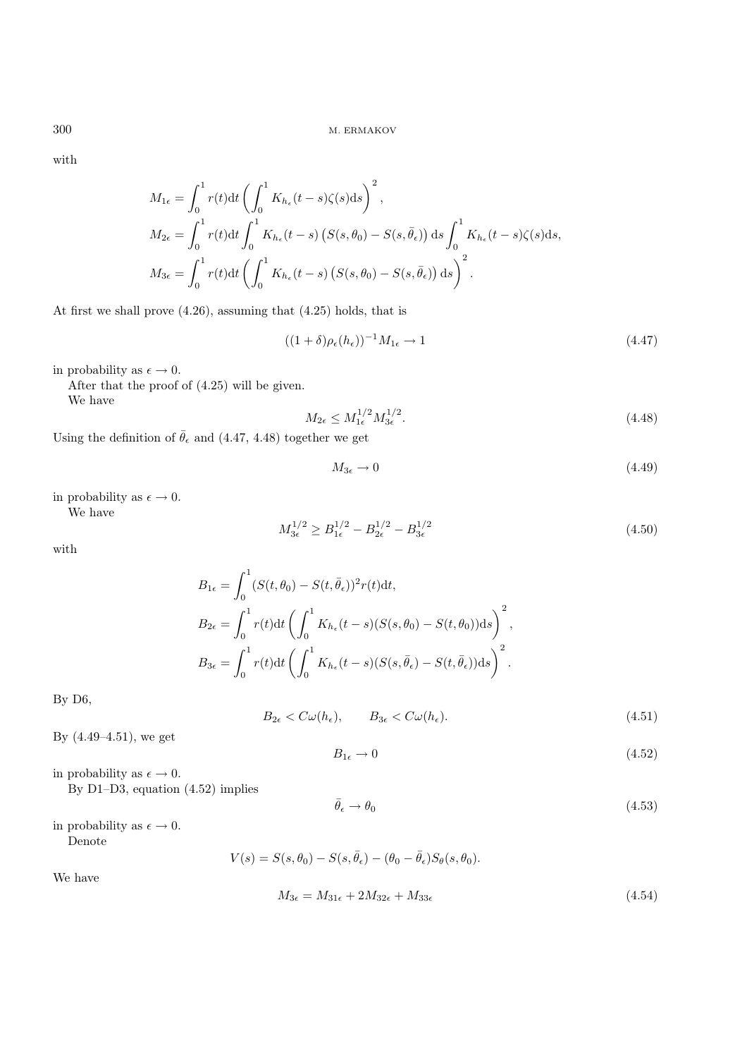with

$$
M_{1\epsilon} = \int_0^1 r(t)dt \left( \int_0^1 K_{h_\epsilon}(t-s)\zeta(s)ds \right)^2,
$$
  
\n
$$
M_{2\epsilon} = \int_0^1 r(t)dt \int_0^1 K_{h_\epsilon}(t-s) \left( S(s, \theta_0) - S(s, \bar{\theta}_\epsilon) \right) ds \int_0^1 K_{h_\epsilon}(t-s)\zeta(s)ds,
$$
  
\n
$$
M_{3\epsilon} = \int_0^1 r(t)dt \left( \int_0^1 K_{h_\epsilon}(t-s) \left( S(s, \theta_0) - S(s, \bar{\theta}_\epsilon) \right) ds \right)^2.
$$

At first we shall prove (4.26), assuming that (4.25) holds, that is

$$
((1+\delta)\rho_{\epsilon}(h_{\epsilon}))^{-1}M_{1\epsilon} \to 1
$$
\n(4.47)

in probability as  $\epsilon \to 0$ .

After that the proof of (4.25) will be given. We have

$$
M_{2\epsilon} \le M_{1\epsilon}^{1/2} M_{3\epsilon}^{1/2}.
$$
\n(4.48)

Using the definition of  $\bar{\theta}_{\epsilon}$  and (4.47, 4.48) together we get

$$
M_{3\epsilon} \to 0 \tag{4.49}
$$

in probability as  $\epsilon \to 0$ . We have

$$
M_{3\epsilon}^{1/2} \ge B_{1\epsilon}^{1/2} - B_{2\epsilon}^{1/2} - B_{3\epsilon}^{1/2} \tag{4.50}
$$

with

$$
B_{1\epsilon} = \int_0^1 (S(t, \theta_0) - S(t, \bar{\theta}_{\epsilon}))^2 r(t) dt,
$$
  
\n
$$
B_{2\epsilon} = \int_0^1 r(t) dt \left( \int_0^1 K_{h_{\epsilon}}(t - s) (S(s, \theta_0) - S(t, \theta_0)) ds \right)^2,
$$
  
\n
$$
B_{3\epsilon} = \int_0^1 r(t) dt \left( \int_0^1 K_{h_{\epsilon}}(t - s) (S(s, \bar{\theta}_{\epsilon}) - S(t, \bar{\theta}_{\epsilon})) ds \right)^2.
$$

By D6,

We have

$$
B_{2\epsilon} < C\omega(h_{\epsilon}), \qquad B_{3\epsilon} < C\omega(h_{\epsilon}).\tag{4.51}
$$

By (4.49–4.51), we get

$$
B_{1\epsilon} \to 0 \tag{4.52}
$$

in probability as  $\epsilon \to 0$ . By D1–D3, equation (4.52) implies

$$
\bar{\theta}_{\epsilon} \to \theta_0 \tag{4.53}
$$

in probability as  $\epsilon \to 0$ . Denote

$$
V(s) = S(s, \theta_0) - S(s, \bar{\theta}_{\epsilon}) - (\theta_0 - \bar{\theta}_{\epsilon})S_{\theta}(s, \theta_0).
$$
  

$$
M_{3\epsilon} = M_{31\epsilon} + 2M_{32\epsilon} + M_{33\epsilon}
$$
 (4.54)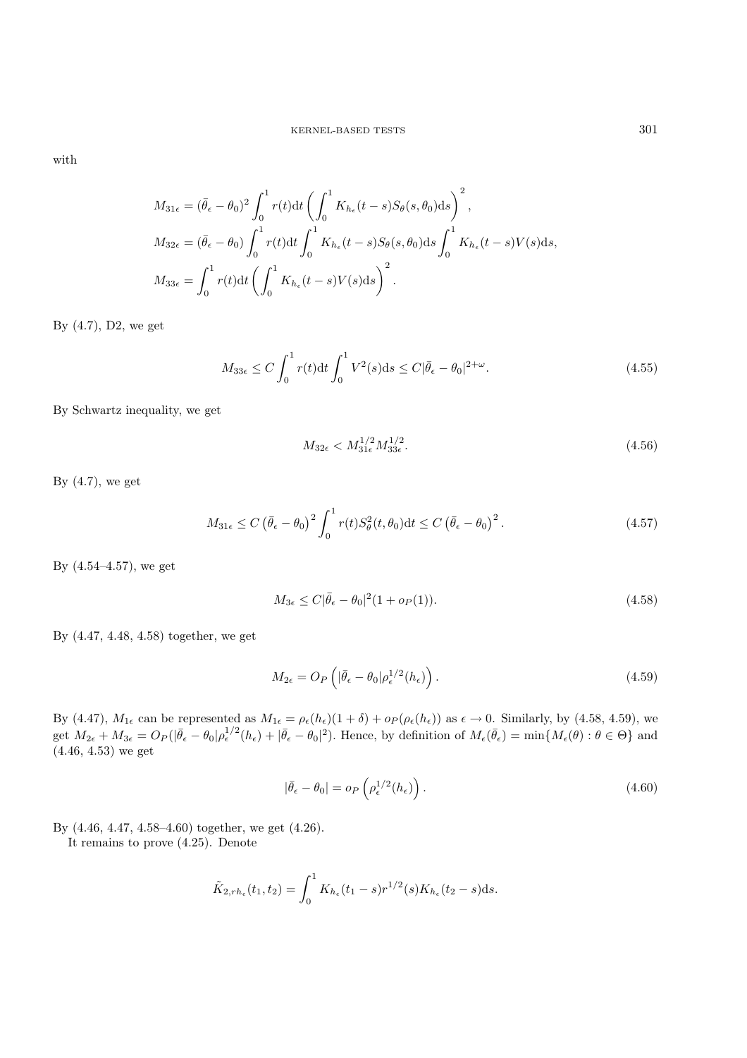with

$$
M_{31\epsilon} = (\bar{\theta}_{\epsilon} - \theta_0)^2 \int_0^1 r(t) dt \left( \int_0^1 K_{h_{\epsilon}}(t-s) S_{\theta}(s,\theta_0) ds \right)^2,
$$
  
\n
$$
M_{32\epsilon} = (\bar{\theta}_{\epsilon} - \theta_0) \int_0^1 r(t) dt \int_0^1 K_{h_{\epsilon}}(t-s) S_{\theta}(s,\theta_0) ds \int_0^1 K_{h_{\epsilon}}(t-s) V(s) ds,
$$
  
\n
$$
M_{33\epsilon} = \int_0^1 r(t) dt \left( \int_0^1 K_{h_{\epsilon}}(t-s) V(s) ds \right)^2.
$$

By (4.7), D2, we get

$$
M_{33\epsilon} \le C \int_0^1 r(t) \mathrm{d}t \int_0^1 V^2(s) \mathrm{d}s \le C |\bar{\theta}_{\epsilon} - \theta_0|^{2+\omega}.
$$
 (4.55)

By Schwartz inequality, we get

$$
M_{32\epsilon} < M_{31\epsilon}^{1/2} M_{33\epsilon}^{1/2}.\tag{4.56}
$$

By  $(4.7)$ , we get

$$
M_{31\epsilon} \le C \left(\bar{\theta}_{\epsilon} - \theta_0\right)^2 \int_0^1 r(t) S_{\theta}^2(t, \theta_0) dt \le C \left(\bar{\theta}_{\epsilon} - \theta_0\right)^2. \tag{4.57}
$$

By (4.54–4.57), we get

$$
M_{3\epsilon} \le C|\bar{\theta}_{\epsilon} - \theta_0|^2 (1 + o_P(1)).\tag{4.58}
$$

By (4.47, 4.48, 4.58) together, we get

$$
M_{2\epsilon} = O_P\left(|\bar{\theta}_{\epsilon} - \theta_0|\rho_{\epsilon}^{1/2}(h_{\epsilon})\right).
$$
\n(4.59)

By (4.47),  $M_{1\epsilon}$  can be represented as  $M_{1\epsilon} = \rho_{\epsilon}(h_{\epsilon})(1+\delta) + o_P(\rho_{\epsilon}(h_{\epsilon}))$  as  $\epsilon \to 0$ . Similarly, by (4.58, 4.59), we get  $M_{2\epsilon} + M_{3\epsilon} = O_P(|\bar{\theta}_{\epsilon} - \theta_0|\rho_{\epsilon}^{1/2}(h_{\epsilon}) + |\bar{\theta}_{\epsilon} - \theta_0|^2)$ . Hence, by definition of  $M_{\epsilon}(\bar{\theta}_{\epsilon}) = \min\{M_{\epsilon}(\theta): \theta \in \Theta\}$  and  $(4.46, 4.53)$  we get

$$
|\bar{\theta}_{\epsilon} - \theta_0| = o_P\left(\rho_{\epsilon}^{1/2}(h_{\epsilon})\right). \tag{4.60}
$$

By (4.46, 4.47, 4.58–4.60) together, we get (4.26).

It remains to prove (4.25). Denote

$$
\tilde{K}_{2,rh_{\epsilon}}(t_1,t_2) = \int_0^1 K_{h_{\epsilon}}(t_1-s)r^{1/2}(s)K_{h_{\epsilon}}(t_2-s)\mathrm{d}s.
$$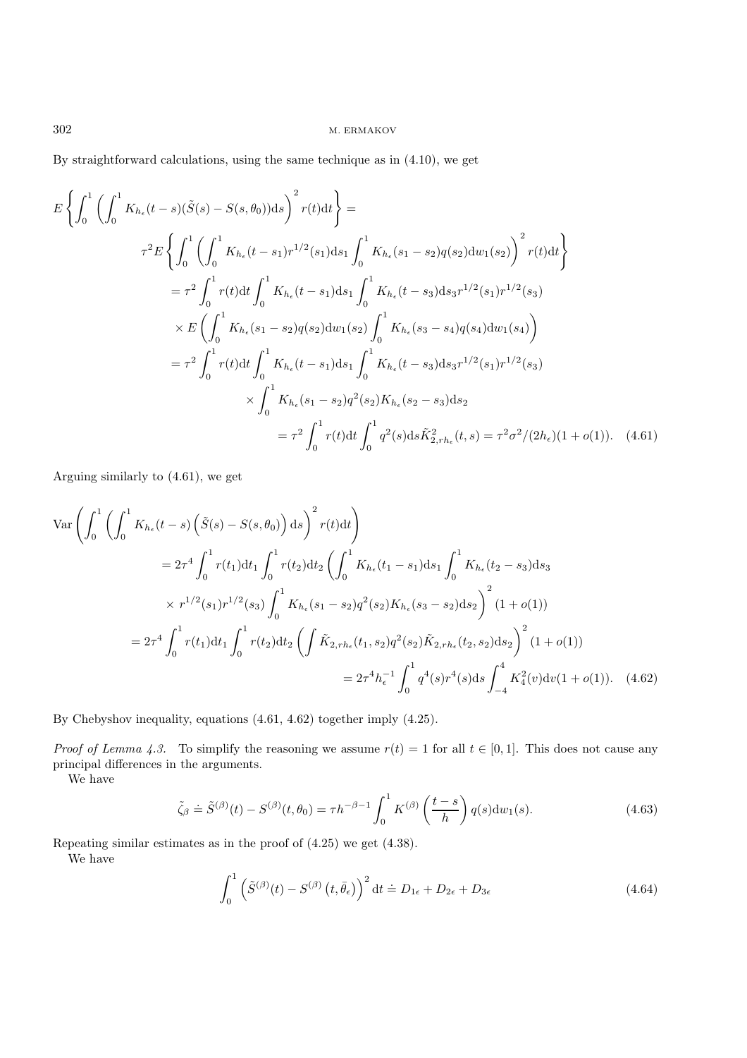By straightforward calculations, using the same technique as in (4.10), we get

$$
E\left\{\int_{0}^{1} \left(\int_{0}^{1} K_{h_{\epsilon}}(t-s)(\tilde{S}(s) - S(s,\theta_{0}))ds\right)^{2} r(t)dt\right\} =
$$
\n
$$
\tau^{2}E\left\{\int_{0}^{1} \left(\int_{0}^{1} K_{h_{\epsilon}}(t-s_{1})r^{1/2}(s_{1})ds_{1}\int_{0}^{1} K_{h_{\epsilon}}(s_{1}-s_{2})q(s_{2})dw_{1}(s_{2})\right)^{2} r(t)dt\right\}
$$
\n
$$
= \tau^{2} \int_{0}^{1} r(t)dt \int_{0}^{1} K_{h_{\epsilon}}(t-s_{1})ds_{1}\int_{0}^{1} K_{h_{\epsilon}}(t-s_{3})ds_{3}r^{1/2}(s_{1})r^{1/2}(s_{3})
$$
\n
$$
\times E\left(\int_{0}^{1} K_{h_{\epsilon}}(s_{1}-s_{2})q(s_{2})dw_{1}(s_{2})\int_{0}^{1} K_{h_{\epsilon}}(s_{3}-s_{4})q(s_{4})dw_{1}(s_{4})\right)
$$
\n
$$
= \tau^{2} \int_{0}^{1} r(t)dt \int_{0}^{1} K_{h_{\epsilon}}(t-s_{1})ds_{1} \int_{0}^{1} K_{h_{\epsilon}}(t-s_{3})ds_{3}r^{1/2}(s_{1})r^{1/2}(s_{3})
$$
\n
$$
\times \int_{0}^{1} K_{h_{\epsilon}}(s_{1}-s_{2})q^{2}(s_{2})K_{h_{\epsilon}}(s_{2}-s_{3})ds_{2}
$$
\n
$$
= \tau^{2} \int_{0}^{1} r(t)dt \int_{0}^{1} q^{2}(s)ds \tilde{K}_{2,rh_{\epsilon}}^{2}(t,s) = \tau^{2} \sigma^{2}/(2h_{\epsilon})(1+o(1)). \quad (4.61)
$$

Arguing similarly to (4.61), we get

$$
\operatorname{Var}\left(\int_{0}^{1} \left(\int_{0}^{1} K_{h_{\epsilon}}(t-s) \left(\tilde{S}(s) - S(s,\theta_{0})\right) ds\right)^{2} r(t) dt\right)
$$
  
\n
$$
= 2\tau^{4} \int_{0}^{1} r(t_{1}) dt_{1} \int_{0}^{1} r(t_{2}) dt_{2} \left(\int_{0}^{1} K_{h_{\epsilon}}(t_{1} - s_{1}) ds_{1} \int_{0}^{1} K_{h_{\epsilon}}(t_{2} - s_{3}) ds_{3}
$$
  
\n
$$
\times r^{1/2}(s_{1}) r^{1/2}(s_{3}) \int_{0}^{1} K_{h_{\epsilon}}(s_{1} - s_{2}) q^{2}(s_{2}) K_{h_{\epsilon}}(s_{3} - s_{2}) ds_{2}\right)^{2} (1 + o(1))
$$
  
\n
$$
= 2\tau^{4} \int_{0}^{1} r(t_{1}) dt_{1} \int_{0}^{1} r(t_{2}) dt_{2} \left(\int \tilde{K}_{2,rh_{\epsilon}}(t_{1}, s_{2}) q^{2}(s_{2}) \tilde{K}_{2,rh_{\epsilon}}(t_{2}, s_{2}) ds_{2}\right)^{2} (1 + o(1))
$$
  
\n
$$
= 2\tau^{4} h_{\epsilon}^{-1} \int_{0}^{1} q^{4}(s) r^{4}(s) ds \int_{-4}^{4} K_{4}^{2}(v) dv(1 + o(1)). \quad (4.62)
$$

By Chebyshov inequality, equations (4.61, 4.62) together imply (4.25).

*Proof of Lemma 4.3.* To simplify the reasoning we assume  $r(t)=1$  for all  $t \in [0,1]$ . This does not cause any principal differences in the arguments.

We have

$$
\tilde{\zeta}_{\beta} \doteq \tilde{S}^{(\beta)}(t) - S^{(\beta)}(t, \theta_0) = \tau h^{-\beta - 1} \int_0^1 K^{(\beta)} \left(\frac{t - s}{h}\right) q(s) \mathrm{d}w_1(s).
$$
\n(4.63)

Repeating similar estimates as in the proof of (4.25) we get (4.38). We have

$$
\int_0^1 \left( \tilde{S}^{(\beta)}(t) - S^{(\beta)}(t, \bar{\theta}_{\epsilon}) \right)^2 dt \doteq D_{1\epsilon} + D_{2\epsilon} + D_{3\epsilon}
$$
 (4.64)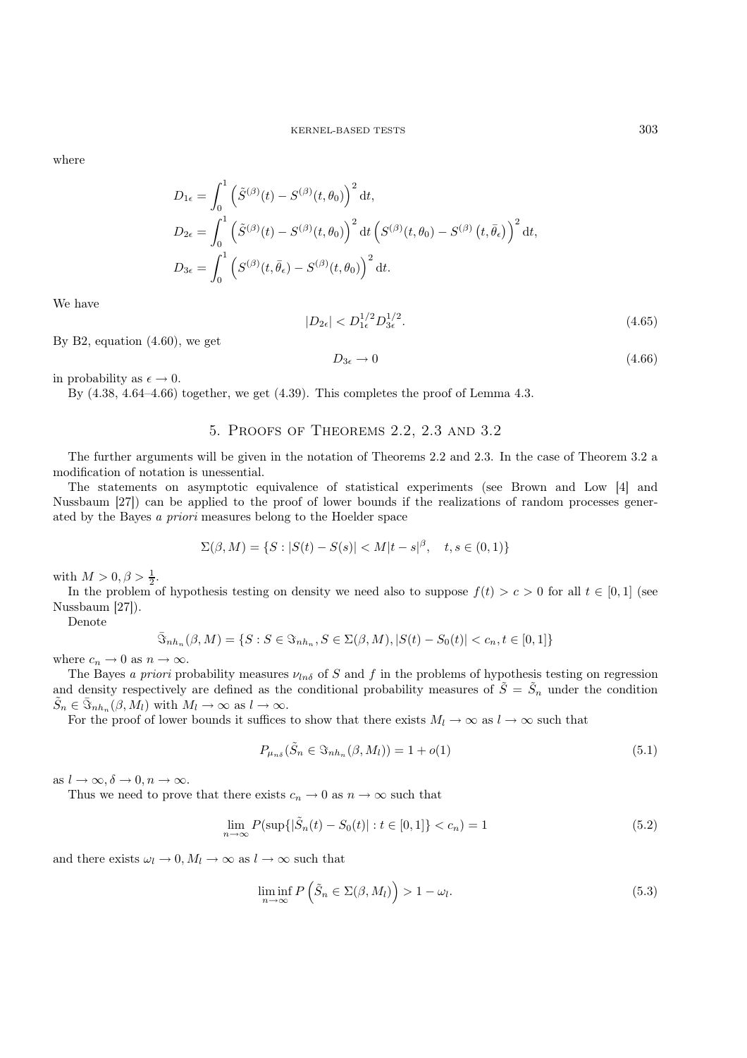where

$$
D_{1\epsilon} = \int_0^1 \left( \tilde{S}^{(\beta)}(t) - S^{(\beta)}(t, \theta_0) \right)^2 dt,
$$
  
\n
$$
D_{2\epsilon} = \int_0^1 \left( \tilde{S}^{(\beta)}(t) - S^{(\beta)}(t, \theta_0) \right)^2 dt \left( S^{(\beta)}(t, \theta_0) - S^{(\beta)}(t, \bar{\theta}_{\epsilon}) \right)^2 dt,
$$
  
\n
$$
D_{3\epsilon} = \int_0^1 \left( S^{(\beta)}(t, \bar{\theta}_{\epsilon}) - S^{(\beta)}(t, \theta_0) \right)^2 dt.
$$

We have

$$
|D_{2\epsilon}| < D_{1\epsilon}^{1/2} D_{3\epsilon}^{1/2}.\tag{4.65}
$$

By B2, equation (4.60), we get

$$
D_{3\epsilon} \to 0 \tag{4.66}
$$

in probability as  $\epsilon \to 0$ .

By  $(4.38, 4.64-4.66)$  together, we get  $(4.39)$ . This completes the proof of Lemma 4.3.

# 5. Proofs of Theorems 2.2, 2.3 and 3.2

The further arguments will be given in the notation of Theorems 2.2 and 2.3. In the case of Theorem 3.2 a modification of notation is unessential.

The statements on asymptotic equivalence of statistical experiments (see Brown and Low [4] and Nussbaum [27]) can be applied to the proof of lower bounds if the realizations of random processes generated by the Bayes *a priori* measures belong to the Hoelder space

$$
\Sigma(\beta, M) = \{ S : |S(t) - S(s)| < M |t - s|^{\beta}, \quad t, s \in (0, 1) \}
$$

with  $M > 0, \beta > \frac{1}{2}$ .

In the problem of hypothesis testing on density we need also to suppose  $f(t) > c > 0$  for all  $t \in [0,1]$  (see Nussbaum [27]).

Denote

$$
\bar{\Im}_{n h_n}(\beta,M)=\{S:S\in \Im_{n h_n},S\in \Sigma(\beta,M),|S(t)-S_0(t)|
$$

where  $c_n \to 0$  as  $n \to \infty$ .

The Bayes *a priori* probability measures  $\nu_{ln\delta}$  of S and f in the problems of hypothesis testing on regression and density respectively are defined as the conditional probability measures of  $\tilde{S} = \tilde{S}_n$  under the condition  $\tilde{S}_n \in \bar{\Im}_{n h_n}(\beta, M_l)$  with  $M_l \to \infty$  as  $l \to \infty$ .

For the proof of lower bounds it suffices to show that there exists  $M_l \to \infty$  as  $l \to \infty$  such that

$$
P_{\mu_{n\delta}}(\tilde{S}_n \in \Im_{n\{n\}}(\beta, M_l)) = 1 + o(1)
$$
\n(5.1)

as  $l \to \infty$ ,  $\delta \to 0$ ,  $n \to \infty$ .

Thus we need to prove that there exists  $c_n \to 0$  as  $n \to \infty$  such that

$$
\lim_{n \to \infty} P(\sup\{|\tilde{S}_n(t) - S_0(t)| : t \in [0, 1]\} < c_n) = 1 \tag{5.2}
$$

and there exists  $\omega_l \to 0$ ,  $M_l \to \infty$  as  $l \to \infty$  such that

$$
\liminf_{n \to \infty} P\left(\tilde{S}_n \in \Sigma(\beta, M_l)\right) > 1 - \omega_l. \tag{5.3}
$$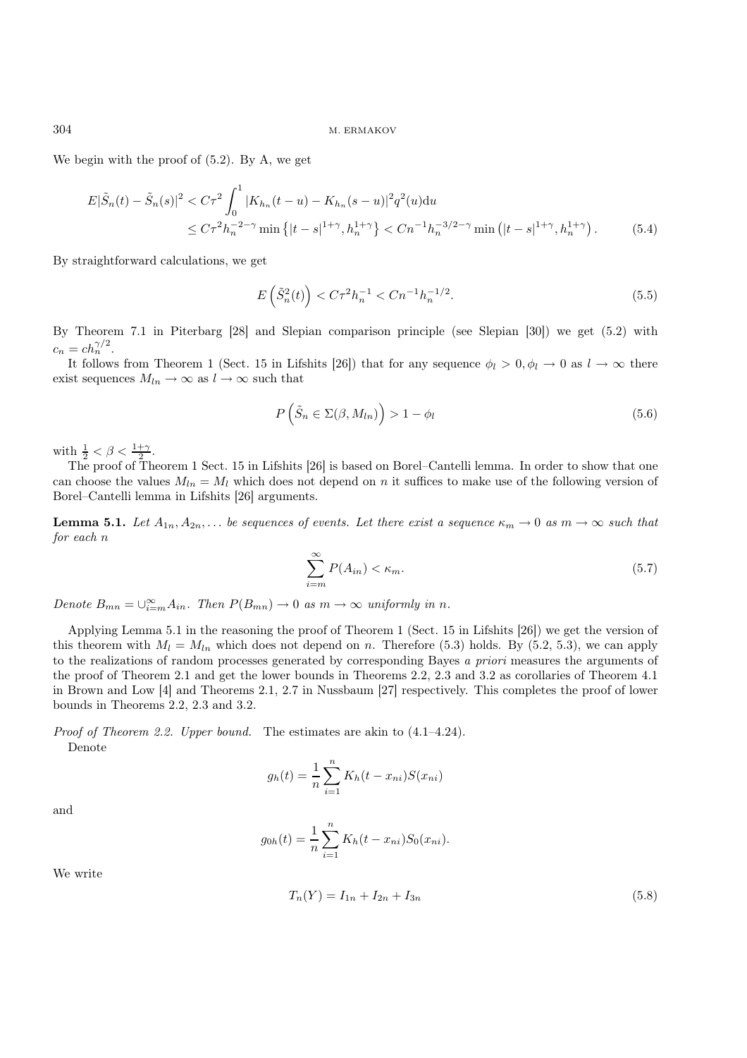We begin with the proof of (5.2). By A, we get

$$
E|\tilde{S}_n(t) - \tilde{S}_n(s)|^2 < C\tau^2 \int_0^1 |K_{h_n}(t - u) - K_{h_n}(s - u)|^2 q^2(u) \, du
$$
\n
$$
\leq C\tau^2 h_n^{-2-\gamma} \min\left\{|t - s|^{1+\gamma}, h_n^{1+\gamma}\right\} < Cn^{-1}h_n^{-3/2-\gamma} \min\left(|t - s|^{1+\gamma}, h_n^{1+\gamma}\right). \tag{5.4}
$$

By straightforward calculations, we get

$$
E\left(\tilde{S}_n^2(t)\right) < C\tau^2 h_n^{-1} < Cn^{-1}h_n^{-1/2}.\tag{5.5}
$$

By Theorem 7.1 in Piterbarg [28] and Slepian comparison principle (see Slepian [30]) we get (5.2) with  $c_n = ch_n^{\gamma/2}$ .

It follows from Theorem 1 (Sect. 15 in Lifshits [26]) that for any sequence  $\phi_l > 0, \phi_l \to 0$  as  $l \to \infty$  there exist sequences  $M_{ln} \rightarrow \infty$  as  $l \rightarrow \infty$  such that

$$
P\left(\tilde{S}_n \in \Sigma(\beta, M_{ln})\right) > 1 - \phi_l \tag{5.6}
$$

with  $\frac{1}{2} < \beta < \frac{1+\gamma}{2}$ .

The proof of Theorem 1 Sect. 15 in Lifshits [26] is based on Borel–Cantelli lemma. In order to show that one can choose the values  $M_{ln} = M_l$  which does not depend on n it suffices to make use of the following version of Borel–Cantelli lemma in Lifshits [26] arguments.

**Lemma 5.1.** Let  $A_{1n}, A_{2n}, \ldots$  be sequences of events. Let there exist a sequence  $\kappa_m \to 0$  as  $m \to \infty$  such that *for each* n

$$
\sum_{i=m}^{\infty} P(A_{in}) < \kappa_m. \tag{5.7}
$$

*Denote*  $B_{mn} = \bigcup_{i=m}^{\infty} A_{in}$ *. Then*  $P(B_{mn}) \to 0$  *as*  $m \to \infty$  *uniformly in n.* 

Applying Lemma 5.1 in the reasoning the proof of Theorem 1 (Sect. 15 in Lifshits [26]) we get the version of this theorem with  $M_l = M_{ln}$  which does not depend on n. Therefore (5.3) holds. By (5.2, 5.3), we can apply to the realizations of random processes generated by corresponding Bayes *a priori* measures the arguments of the proof of Theorem 2.1 and get the lower bounds in Theorems 2.2, 2.3 and 3.2 as corollaries of Theorem 4.1 in Brown and Low [4] and Theorems 2.1, 2.7 in Nussbaum [27] respectively. This completes the proof of lower bounds in Theorems 2.2, 2.3 and 3.2.

*Proof of Theorem 2.2. Upper bound.* The estimates are akin to (4.1–4.24). Denote

$$
g_h(t) = \frac{1}{n} \sum_{i=1}^{n} K_h(t - x_{ni}) S(x_{ni})
$$

and

$$
g_{0h}(t) = \frac{1}{n} \sum_{i=1}^{n} K_h(t - x_{ni}) S_0(x_{ni}).
$$

We write

$$
T_n(Y) = I_{1n} + I_{2n} + I_{3n} \tag{5.8}
$$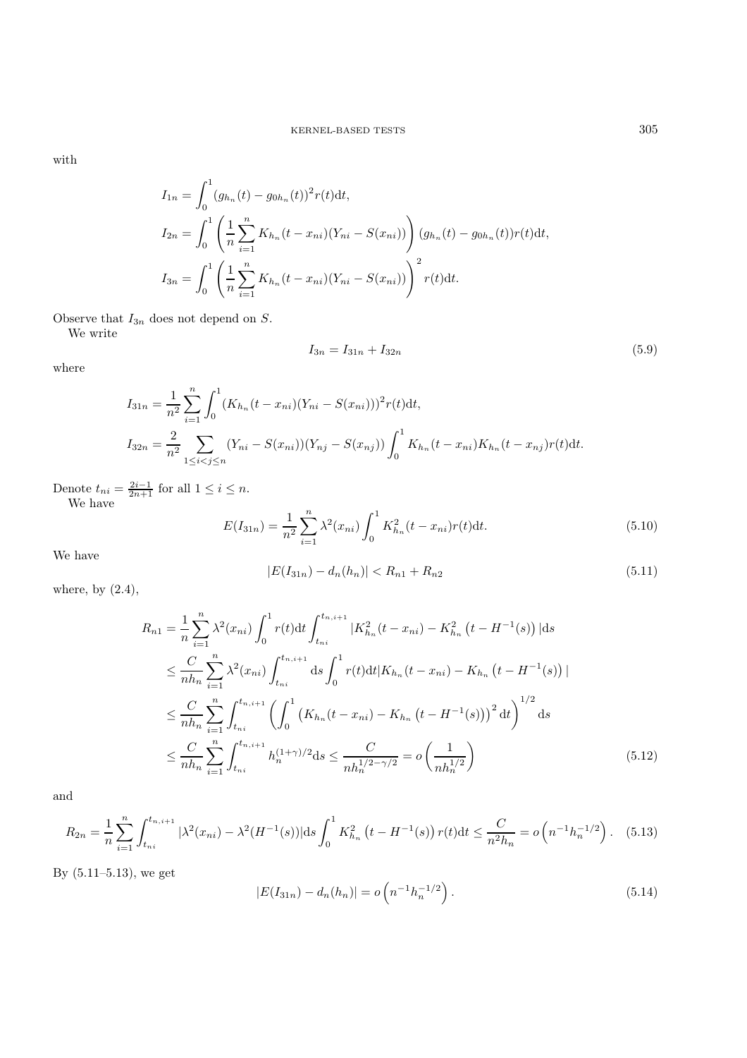with

$$
I_{1n} = \int_0^1 (g_{h_n}(t) - g_{0h_n}(t))^2 r(t) dt,
$$
  
\n
$$
I_{2n} = \int_0^1 \left( \frac{1}{n} \sum_{i=1}^n K_{h_n}(t - x_{ni})(Y_{ni} - S(x_{ni})) \right) (g_{h_n}(t) - g_{0h_n}(t)) r(t) dt,
$$
  
\n
$$
I_{3n} = \int_0^1 \left( \frac{1}{n} \sum_{i=1}^n K_{h_n}(t - x_{ni})(Y_{ni} - S(x_{ni})) \right)^2 r(t) dt.
$$

Observe that  $I_{3n}$  does not depend on  $S$ .

We write

$$
I_{3n} = I_{31n} + I_{32n} \tag{5.9}
$$

where

$$
I_{31n} = \frac{1}{n^2} \sum_{i=1}^{n} \int_0^1 (K_{h_n}(t - x_{ni})(Y_{ni} - S(x_{ni})))^2 r(t) dt,
$$
  
\n
$$
I_{32n} = \frac{2}{n^2} \sum_{1 \le i < j \le n} (Y_{ni} - S(x_{ni}))(Y_{nj} - S(x_{nj})) \int_0^1 K_{h_n}(t - x_{ni}) K_{h_n}(t - x_{nj}) r(t) dt.
$$

Denote  $t_{ni} = \frac{2i-1}{2n+1}$  for all  $1 \leq i \leq n$ . We have

$$
E(I_{31n}) = \frac{1}{n^2} \sum_{i=1}^{n} \lambda^2(x_{ni}) \int_0^1 K_{h_n}^2(t - x_{ni}) r(t) dt.
$$
 (5.10)

We have

$$
|E(I_{31n}) - d_n(h_n)| < R_{n1} + R_{n2} \tag{5.11}
$$

where, by (2.4),

$$
R_{n1} = \frac{1}{n} \sum_{i=1}^{n} \lambda^{2}(x_{ni}) \int_{0}^{1} r(t)dt \int_{t_{ni}}^{t_{n,i+1}} |K_{h_{n}}^{2}(t - x_{ni}) - K_{h_{n}}^{2}(t - H^{-1}(s))|ds
$$
  
\n
$$
\leq \frac{C}{nh_{n}} \sum_{i=1}^{n} \lambda^{2}(x_{ni}) \int_{t_{ni}}^{t_{n,i+1}} ds \int_{0}^{1} r(t)dt |K_{h_{n}}(t - x_{ni}) - K_{h_{n}}(t - H^{-1}(s))|
$$
  
\n
$$
\leq \frac{C}{nh_{n}} \sum_{i=1}^{n} \int_{t_{ni}}^{t_{n,i+1}} \left( \int_{0}^{1} (K_{h_{n}}(t - x_{ni}) - K_{h_{n}}(t - H^{-1}(s)))^{2} dt \right)^{1/2} ds
$$
  
\n
$$
\leq \frac{C}{nh_{n}} \sum_{i=1}^{n} \int_{t_{ni}}^{t_{n,i+1}} h_{n}^{(1+\gamma)/2} ds \leq \frac{C}{nh_{n}^{1/2 - \gamma/2}} = o\left(\frac{1}{nh_{n}^{1/2}}\right)
$$
(5.12)

and

$$
R_{2n} = \frac{1}{n} \sum_{i=1}^{n} \int_{t_{ni}}^{t_{n,i+1}} |\lambda^{2}(x_{ni}) - \lambda^{2}(H^{-1}(s))| \, ds \int_{0}^{1} K_{h_{n}}^{2}(t - H^{-1}(s)) \, r(t) \, dt \leq \frac{C}{n^{2}h_{n}} = o\left(n^{-1}h_{n}^{-1/2}\right). \tag{5.13}
$$

By (5.11–5.13), we get

$$
|E(I_{31n}) - d_n(h_n)| = o\left(n^{-1}h_n^{-1/2}\right).
$$
\n(5.14)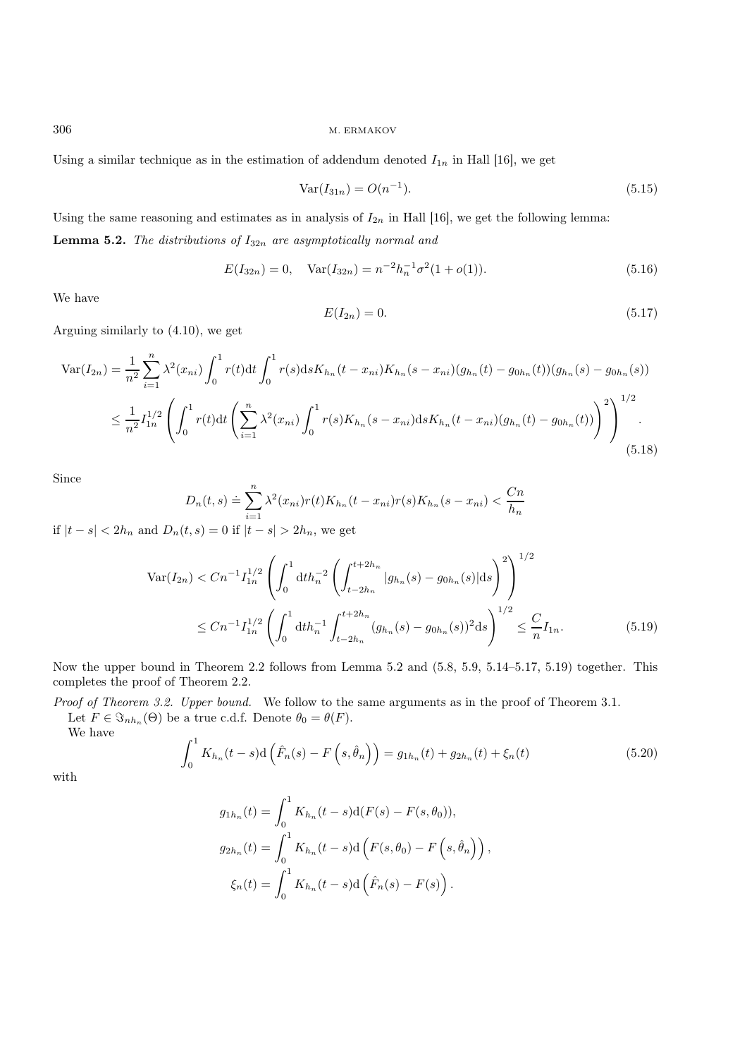Using a similar technique as in the estimation of addendum denoted  $I_{1n}$  in Hall [16], we get

$$
Var(I_{31n}) = O(n^{-1}).
$$
\n(5.15)

Using the same reasoning and estimates as in analysis of  $I_{2n}$  in Hall [16], we get the following lemma: Lemma 5.2. *The distributions of*  $I_{32n}$  *are asymptotically normal and* 

$$
E(I_{32n}) = 0, \quad \text{Var}(I_{32n}) = n^{-2}h_n^{-1}\sigma^2(1+o(1)).\tag{5.16}
$$

We have

$$
E(I_{2n}) = 0.\t\t(5.17)
$$

Arguing similarly to (4.10), we get

$$
\operatorname{Var}(I_{2n}) = \frac{1}{n^2} \sum_{i=1}^n \lambda^2(x_{ni}) \int_0^1 r(t) \mathrm{d}t \int_0^1 r(s) \mathrm{d}s K_{h_n}(t - x_{ni}) K_{h_n}(s - x_{ni})(g_{h_n}(t) - g_{0h_n}(t))(g_{h_n}(s) - g_{0h_n}(s))
$$
  

$$
\leq \frac{1}{n^2} I_{1n}^{1/2} \left( \int_0^1 r(t) \mathrm{d}t \left( \sum_{i=1}^n \lambda^2(x_{ni}) \int_0^1 r(s) K_{h_n}(s - x_{ni}) \mathrm{d}s K_{h_n}(t - x_{ni})(g_{h_n}(t) - g_{0h_n}(t)) \right)^2 \right)^{1/2}.
$$
(5.18)

Since

$$
D_n(t,s) \doteq \sum_{i=1}^n \lambda^2(x_{ni}) r(t) K_{h_n}(t - x_{ni}) r(s) K_{h_n}(s - x_{ni}) < \frac{Cn}{h_n}
$$

if  $|t - s| < 2h_n$  and  $D_n(t, s) = 0$  if  $|t - s| > 2h_n$ , we get

$$
\operatorname{Var}(I_{2n}) < Cn^{-1} I_{1n}^{1/2} \left( \int_0^1 \mathrm{d}t h_n^{-2} \left( \int_{t-2h_n}^{t+2h_n} |g_{h_n}(s) - g_{0h_n}(s)| \mathrm{d}s \right)^2 \right)^{1/2}
$$
\n
$$
\leq Cn^{-1} I_{1n}^{1/2} \left( \int_0^1 \mathrm{d}t h_n^{-1} \int_{t-2h_n}^{t+2h_n} (g_{h_n}(s) - g_{0h_n}(s))^2 \mathrm{d}s \right)^{1/2} \leq \frac{C}{n} I_{1n}.\tag{5.19}
$$

Now the upper bound in Theorem 2.2 follows from Lemma 5.2 and (5.8, 5.9, 5.14–5.17, 5.19) together. This completes the proof of Theorem 2.2.

*Proof of Theorem 3.2. Upper bound.* We follow to the same arguments as in the proof of Theorem 3.1. Let  $F \in \Im_{nh_n}(\Theta)$  be a true c.d.f. Denote  $\theta_0 = \theta(F)$ .

We have

$$
\int_0^1 K_{h_n}(t-s)d\left(\hat{F}_n(s) - F\left(s,\hat{\theta}_n\right)\right) = g_{1h_n}(t) + g_{2h_n}(t) + \xi_n(t)
$$
\n(5.20)

with

$$
g_{1h_n}(t) = \int_0^1 K_{h_n}(t-s)d(F(s) - F(s, \theta_0)),
$$
  
\n
$$
g_{2h_n}(t) = \int_0^1 K_{h_n}(t-s)d(F(s, \theta_0) - F(s, \hat{\theta}_n)),
$$
  
\n
$$
\xi_n(t) = \int_0^1 K_{h_n}(t-s)d(\hat{F}_n(s) - F(s)).
$$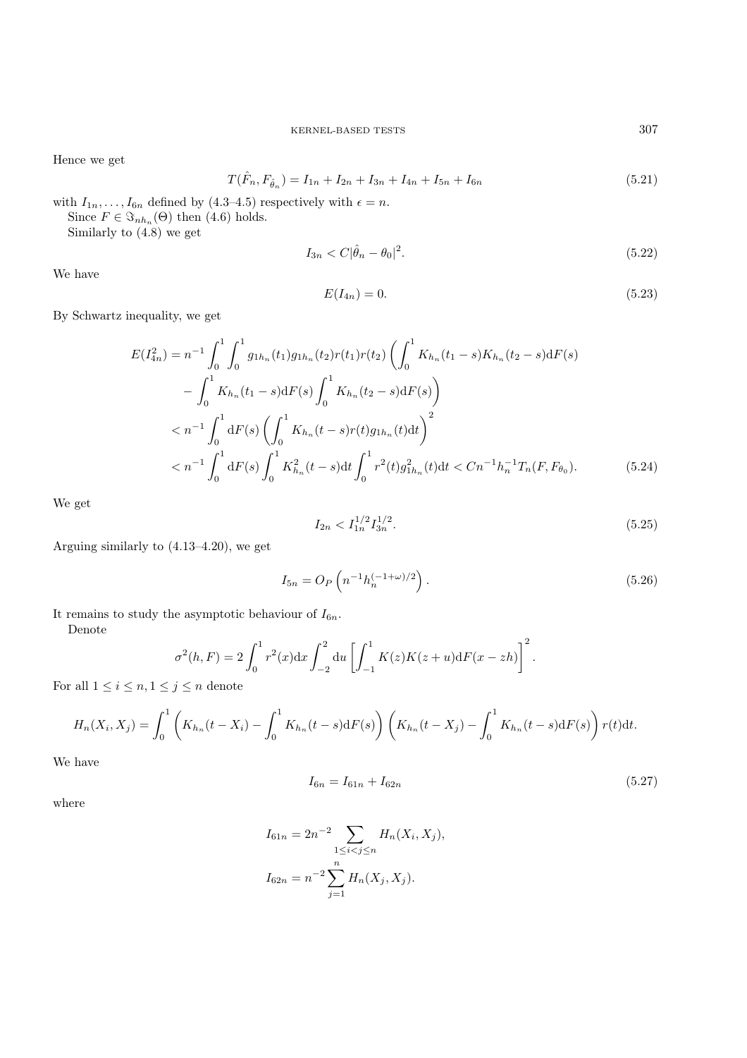Hence we get

$$
T(\hat{F}_n, F_{\hat{\theta}_n}) = I_{1n} + I_{2n} + I_{3n} + I_{4n} + I_{5n} + I_{6n}
$$
\n(5.21)

with  $I_{1n},...,I_{6n}$  defined by (4.3–4.5) respectively with  $\epsilon = n$ . Since  $F \in \Im_{nh_n}(\Theta)$  then (4.6) holds. Similarly to (4.8) we get

$$
I_{3n} < C|\hat{\theta}_n - \theta_0|^2. \tag{5.22}
$$

We have

$$
E(I_{4n}) = 0.\t\t(5.23)
$$

By Schwartz inequality, we get

$$
E(I_{4n}^{2}) = n^{-1} \int_{0}^{1} \int_{0}^{1} g_{1h_{n}}(t_{1}) g_{1h_{n}}(t_{2}) r(t_{1}) r(t_{2}) \left( \int_{0}^{1} K_{h_{n}}(t_{1} - s) K_{h_{n}}(t_{2} - s) dF(s) \right)
$$
  

$$
- \int_{0}^{1} K_{h_{n}}(t_{1} - s) dF(s) \int_{0}^{1} K_{h_{n}}(t_{2} - s) dF(s) \right)
$$
  

$$
< n^{-1} \int_{0}^{1} dF(s) \left( \int_{0}^{1} K_{h_{n}}(t - s) r(t) g_{1h_{n}}(t) dt \right)^{2}
$$
  

$$
< n^{-1} \int_{0}^{1} dF(s) \int_{0}^{1} K_{h_{n}}^{2}(t - s) dt \int_{0}^{1} r^{2}(t) g_{1h_{n}}^{2}(t) dt < C n^{-1} h_{n}^{-1} T_{n}(F, F_{\theta_{0}}).
$$
 (5.24)

We get

$$
I_{2n} < I_{1n}^{1/2} I_{3n}^{1/2}.\tag{5.25}
$$

Arguing similarly to (4.13–4.20), we get

$$
I_{5n} = O_P\left(n^{-1}h_n^{(-1+\omega)/2}\right).
$$
\n(5.26)

It remains to study the asymptotic behaviour of  $I_{6n}$ .

Denote

$$
\sigma^{2}(h, F) = 2 \int_{0}^{1} r^{2}(x) dx \int_{-2}^{2} du \left[ \int_{-1}^{1} K(z)K(z+u) dF(x-zh) \right]^{2}.
$$

For all  $1 \leq i \leq n, 1 \leq j \leq n$  denote

$$
H_n(X_i, X_j) = \int_0^1 \left( K_{h_n}(t - X_i) - \int_0^1 K_{h_n}(t - s) dF(s) \right) \left( K_{h_n}(t - X_j) - \int_0^1 K_{h_n}(t - s) dF(s) \right) r(t) dt.
$$

We have

$$
I_{6n} = I_{61n} + I_{62n} \tag{5.27}
$$

where

$$
I_{61n} = 2n^{-2} \sum_{1 \le i < j \le n} H_n(X_i, X_j),
$$
\n
$$
I_{62n} = n^{-2} \sum_{j=1}^n H_n(X_j, X_j).
$$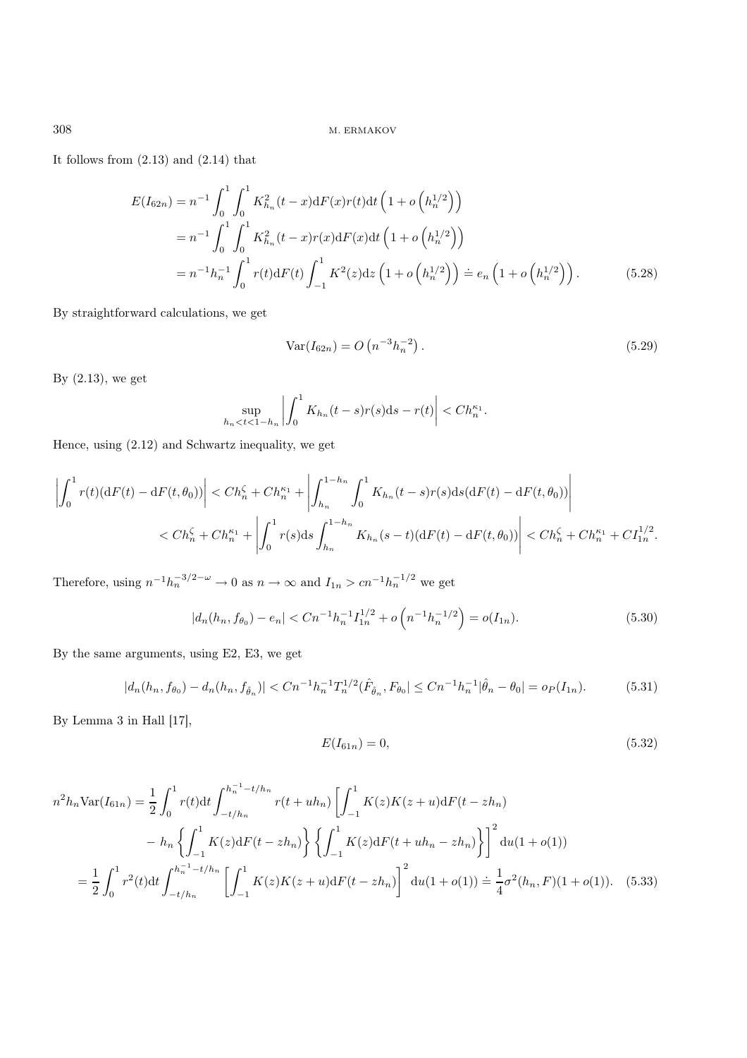It follows from (2.13) and (2.14) that

$$
E(I_{62n}) = n^{-1} \int_0^1 \int_0^1 K_{h_n}^2(t - x) dF(x) r(t) dt \left(1 + o\left(h_n^{1/2}\right)\right)
$$
  
=  $n^{-1} \int_0^1 \int_0^1 K_{h_n}^2(t - x) r(x) dF(x) dt \left(1 + o\left(h_n^{1/2}\right)\right)$   
=  $n^{-1} h_n^{-1} \int_0^1 r(t) dF(t) \int_{-1}^1 K^2(z) dz \left(1 + o\left(h_n^{1/2}\right)\right) \doteq e_n \left(1 + o\left(h_n^{1/2}\right)\right).$  (5.28)

By straightforward calculations, we get

$$
Var(I_{62n}) = O(n^{-3}h_n^{-2}).
$$
\n(5.29)

By (2.13), we get

$$
\sup_{h_n < t < 1 - h_n} \left| \int_0^1 K_{h_n}(t - s) r(s) \mathrm{d} s - r(t) \right| < Ch_n^{\kappa_1}.
$$

Hence, using (2.12) and Schwartz inequality, we get

$$
\left| \int_0^1 r(t) (\mathrm{d}F(t) - \mathrm{d}F(t, \theta_0)) \right| < Ch_n^{\zeta} + Ch_n^{\kappa_1} + \left| \int_{h_n}^{1-h_n} \int_0^1 K_{h_n}(t-s) r(s) \mathrm{d}s (\mathrm{d}F(t) - \mathrm{d}F(t, \theta_0)) \right|
$$
  

$$
< Ch_n^{\zeta} + Ch_n^{\kappa_1} + \left| \int_0^1 r(s) \mathrm{d}s \int_{h_n}^{1-h_n} K_{h_n}(s-t) (\mathrm{d}F(t) - \mathrm{d}F(t, \theta_0)) \right| < Ch_n^{\zeta} + Ch_n^{\kappa_1} + Cl_{1n}^{1/2}.
$$

Therefore, using  $n^{-1}h_n^{-3/2-\omega} \to 0$  as  $n \to \infty$  and  $I_{1n} > cn^{-1}h_n^{-1/2}$  we get

$$
|d_n(h_n, f_{\theta_0}) - e_n| < Cn^{-1}h_n^{-1}I_{1n}^{1/2} + o\left(n^{-1}h_n^{-1/2}\right) = o(I_{1n}).\tag{5.30}
$$

By the same arguments, using E2, E3, we get

$$
|d_n(h_n, f_{\theta_0}) - d_n(h_n, f_{\hat{\theta}_n})| < Cn^{-1}h_n^{-1}T_n^{1/2}(\hat{F}_{\hat{\theta}_n}, F_{\theta_0}| \leq Cn^{-1}h_n^{-1}|\hat{\theta}_n - \theta_0| = o_P(I_{1n}).\tag{5.31}
$$

By Lemma 3 in Hall [17],

$$
E(I_{61n}) = 0,\t\t(5.32)
$$

$$
n^{2}h_{n} \text{Var}(I_{61n}) = \frac{1}{2} \int_{0}^{1} r(t)dt \int_{-t/h_{n}}^{h_{n}^{-1} - t/h_{n}} r(t + uh_{n}) \left[ \int_{-1}^{1} K(z)K(z + u) \mathrm{d}F(t - zh_{n}) \right]
$$

$$
- h_{n} \left\{ \int_{-1}^{1} K(z) \mathrm{d}F(t - zh_{n}) \right\} \left\{ \int_{-1}^{1} K(z) \mathrm{d}F(t + uh_{n} - zh_{n}) \right\} \right]^{2} du(1 + o(1))
$$

$$
= \frac{1}{2} \int_{0}^{1} r^{2}(t)dt \int_{-t/h_{n}}^{h_{n}^{-1} - t/h_{n}} \left[ \int_{-1}^{1} K(z)K(z + u) \mathrm{d}F(t - zh_{n}) \right]^{2} du(1 + o(1)) = \frac{1}{4} \sigma^{2}(h_{n}, F)(1 + o(1)). \quad (5.33)
$$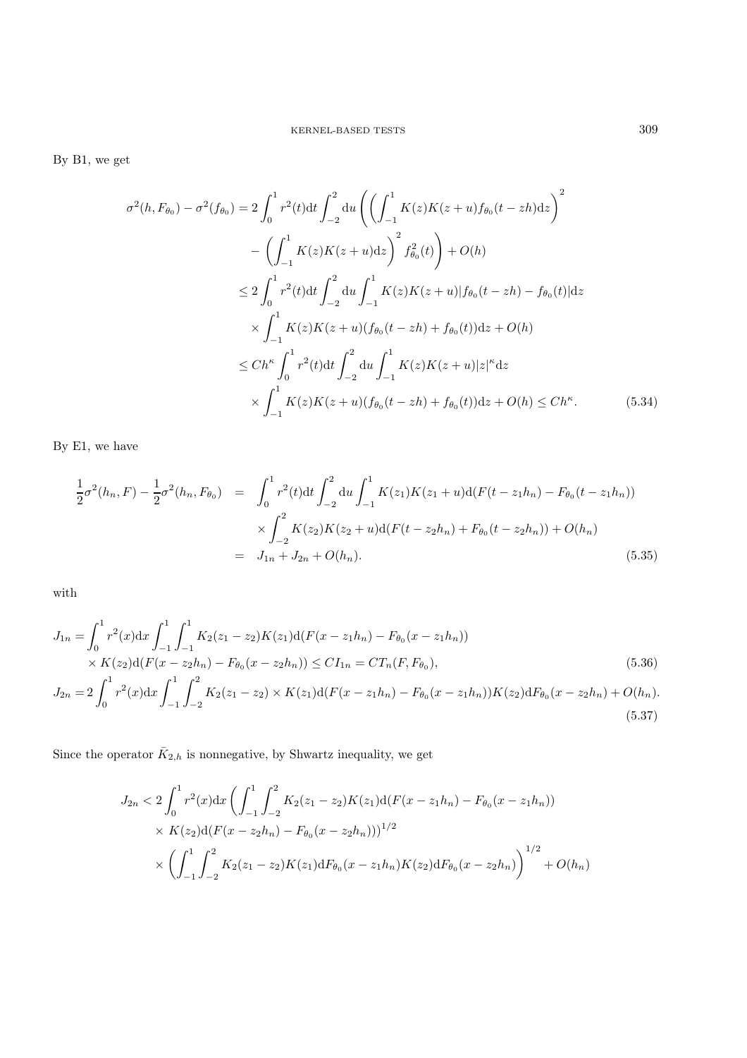By B1, we get

$$
\sigma^{2}(h, F_{\theta_{0}}) - \sigma^{2}(f_{\theta_{0}}) = 2 \int_{0}^{1} r^{2}(t) dt \int_{-2}^{2} du \left( \left( \int_{-1}^{1} K(z)K(z+u) f_{\theta_{0}}(t-zh) dz \right)^{2} - \left( \int_{-1}^{1} K(z)K(z+u) dz \right)^{2} f_{\theta_{0}}^{2}(t) \right) + O(h)
$$
  
\n
$$
\leq 2 \int_{0}^{1} r^{2}(t) dt \int_{-2}^{2} du \int_{-1}^{1} K(z)K(z+u) |f_{\theta_{0}}(t-zh) - f_{\theta_{0}}(t)| dz
$$
  
\n
$$
\times \int_{-1}^{1} K(z)K(z+u) (f_{\theta_{0}}(t-zh) + f_{\theta_{0}}(t)) dz + O(h)
$$
  
\n
$$
\leq Ch^{\kappa} \int_{0}^{1} r^{2}(t) dt \int_{-2}^{2} du \int_{-1}^{1} K(z)K(z+u) |z|^{\kappa} dz
$$
  
\n
$$
\times \int_{-1}^{1} K(z)K(z+u) (f_{\theta_{0}}(t-zh) + f_{\theta_{0}}(t)) dz + O(h) \leq Ch^{\kappa}.
$$
 (5.34)

By E1, we have

$$
\frac{1}{2}\sigma^{2}(h_{n},F) - \frac{1}{2}\sigma^{2}(h_{n},F_{\theta_{0}}) = \int_{0}^{1} r^{2}(t)dt \int_{-2}^{2} du \int_{-1}^{1} K(z_{1})K(z_{1}+u)d(F(t-z_{1}h_{n}) - F_{\theta_{0}}(t-z_{1}h_{n}))
$$
\n
$$
\times \int_{-2}^{2} K(z_{2})K(z_{2}+u)d(F(t-z_{2}h_{n}) + F_{\theta_{0}}(t-z_{2}h_{n})) + O(h_{n})
$$
\n
$$
= J_{1n} + J_{2n} + O(h_{n}). \tag{5.35}
$$

with

$$
J_{1n} = \int_0^1 r^2(x) dx \int_{-1}^1 \int_{-1}^1 K_2(z_1 - z_2) K(z_1) d(F(x - z_1 h_n) - F_{\theta_0}(x - z_1 h_n))
$$
  
\n
$$
\times K(z_2) d(F(x - z_2 h_n) - F_{\theta_0}(x - z_2 h_n)) \le C I_{1n} = C T_n(F, F_{\theta_0}),
$$
  
\n
$$
J_{2n} = 2 \int_0^1 r^2(x) dx \int_{-1}^1 \int_{-2}^2 K_2(z_1 - z_2) \times K(z_1) d(F(x - z_1 h_n) - F_{\theta_0}(x - z_1 h_n)) K(z_2) dF_{\theta_0}(x - z_2 h_n) + O(h_n).
$$
  
\n(5.37)

Since the operator  $\bar{K}_{2,h}$  is nonnegative, by Shwartz inequality, we get

$$
J_{2n} < 2 \int_0^1 r^2(x) dx \left( \int_{-1}^1 \int_{-2}^2 K_2(z_1 - z_2) K(z_1) d(F(x - z_1 h_n) - F_{\theta_0}(x - z_1 h_n)) \right)
$$
  
 
$$
\times K(z_2) d(F(x - z_2 h_n) - F_{\theta_0}(x - z_2 h_n)))^{1/2}
$$
  
 
$$
\times \left( \int_{-1}^1 \int_{-2}^2 K_2(z_1 - z_2) K(z_1) dF_{\theta_0}(x - z_1 h_n) K(z_2) dF_{\theta_0}(x - z_2 h_n) \right)^{1/2} + O(h_n)
$$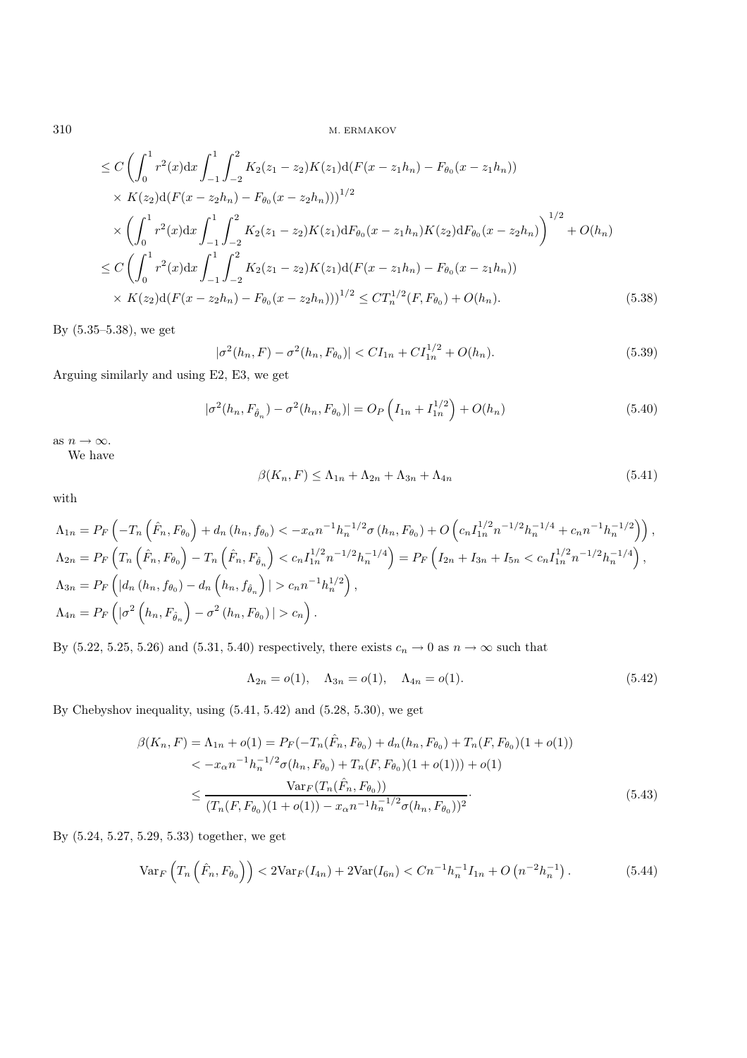$310 \,$  M. ERMAKOV

$$
\leq C \left( \int_0^1 r^2(x) dx \int_{-1}^1 \int_{-2}^2 K_2(z_1 - z_2) K(z_1) d(F(x - z_1 h_n) - F_{\theta_0}(x - z_1 h_n)) \times K(z_2) d(F(x - z_2 h_n) - F_{\theta_0}(x - z_2 h_n)) \right)^{1/2} \times \left( \int_0^1 r^2(x) dx \int_{-1}^1 \int_{-2}^2 K_2(z_1 - z_2) K(z_1) dF_{\theta_0}(x - z_1 h_n) K(z_2) dF_{\theta_0}(x - z_2 h_n) \right)^{1/2} + O(h_n) \leq C \left( \int_0^1 r^2(x) dx \int_{-1}^1 \int_{-2}^2 K_2(z_1 - z_2) K(z_1) d(F(x - z_1 h_n) - F_{\theta_0}(x - z_1 h_n)) \times K(z_2) d(F(x - z_2 h_n) - F_{\theta_0}(x - z_2 h_n)) \right)^{1/2} \leq C T_n^{1/2}(F, F_{\theta_0}) + O(h_n). \tag{5.38}
$$

By (5.35–5.38), we get

$$
|\sigma^{2}(h_{n}, F) - \sigma^{2}(h_{n}, F_{\theta_{0}})| < CI_{1n} + CI_{1n}^{1/2} + O(h_{n}).
$$
\n(5.39)

Arguing similarly and using E2, E3, we get

$$
|\sigma^{2}(h_{n}, F_{\hat{\theta}_{n}}) - \sigma^{2}(h_{n}, F_{\theta_{0}})| = O_{P}\left(I_{1n} + I_{1n}^{1/2}\right) + O(h_{n})
$$
\n(5.40)

as  $n \to \infty$ .

We have

$$
\beta(K_n, F) \le \Lambda_{1n} + \Lambda_{2n} + \Lambda_{3n} + \Lambda_{4n} \tag{5.41}
$$

with

$$
\Lambda_{1n} = P_F \left( -T_n \left( \hat{F}_n, F_{\theta_0} \right) + d_n \left( h_n, f_{\theta_0} \right) < -x_{\alpha} n^{-1} h_n^{-1/2} \sigma \left( h_n, F_{\theta_0} \right) + O \left( c_n I_{1n}^{1/2} n^{-1/2} h_n^{-1/4} + c_n n^{-1} h_n^{-1/2} \right) \right),
$$
\n
$$
\Lambda_{2n} = P_F \left( T_n \left( \hat{F}_n, F_{\theta_0} \right) - T_n \left( \hat{F}_n, F_{\hat{\theta}_n} \right) < c_n I_{1n}^{1/2} n^{-1/2} h_n^{-1/4} \right) = P_F \left( I_{2n} + I_{3n} + I_{5n} < c_n I_{1n}^{1/2} n^{-1/2} h_n^{-1/4} \right),
$$
\n
$$
\Lambda_{3n} = P_F \left( |d_n \left( h_n, f_{\theta_0} \right) - d_n \left( h_n, f_{\hat{\theta}_n} \right) | > c_n n^{-1} h_n^{1/2} \right),
$$
\n
$$
\Lambda_{4n} = P_F \left( | \sigma^2 \left( h_n, F_{\hat{\theta}_n} \right) - \sigma^2 \left( h_n, F_{\theta_0} \right) | > c_n \right).
$$

By (5.22, 5.25, 5.26) and (5.31, 5.40) respectively, there exists  $c_n \to 0$  as  $n \to \infty$  such that

$$
\Lambda_{2n} = o(1), \quad \Lambda_{3n} = o(1), \quad \Lambda_{4n} = o(1). \tag{5.42}
$$

By Chebyshov inequality, using (5.41, 5.42) and (5.28, 5.30), we get

$$
\beta(K_n, F) = \Lambda_{1n} + o(1) = P_F(-T_n(\hat{F}_n, F_{\theta_0}) + d_n(h_n, F_{\theta_0}) + T_n(F, F_{\theta_0})(1 + o(1))
$$
  

$$
< -x_{\alpha}n^{-1}h_n^{-1/2}\sigma(h_n, F_{\theta_0}) + T_n(F, F_{\theta_0})(1 + o(1))) + o(1)
$$
  

$$
\leq \frac{\text{Var}_F(T_n(\hat{F}_n, F_{\theta_0}))}{(T_n(F, F_{\theta_0})(1 + o(1)) - x_{\alpha}n^{-1}h_n^{-1/2}\sigma(h_n, F_{\theta_0}))^2}.
$$
(5.43)

By (5.24, 5.27, 5.29, 5.33) together, we get

$$
\text{Var}_{F}\left(T_{n}\left(\hat{F}_{n},F_{\theta_{0}}\right)\right) < 2\text{Var}_{F}(I_{4n}) + 2\text{Var}(I_{6n}) < Cn^{-1}h_{n}^{-1}I_{1n} + O\left(n^{-2}h_{n}^{-1}\right). \tag{5.44}
$$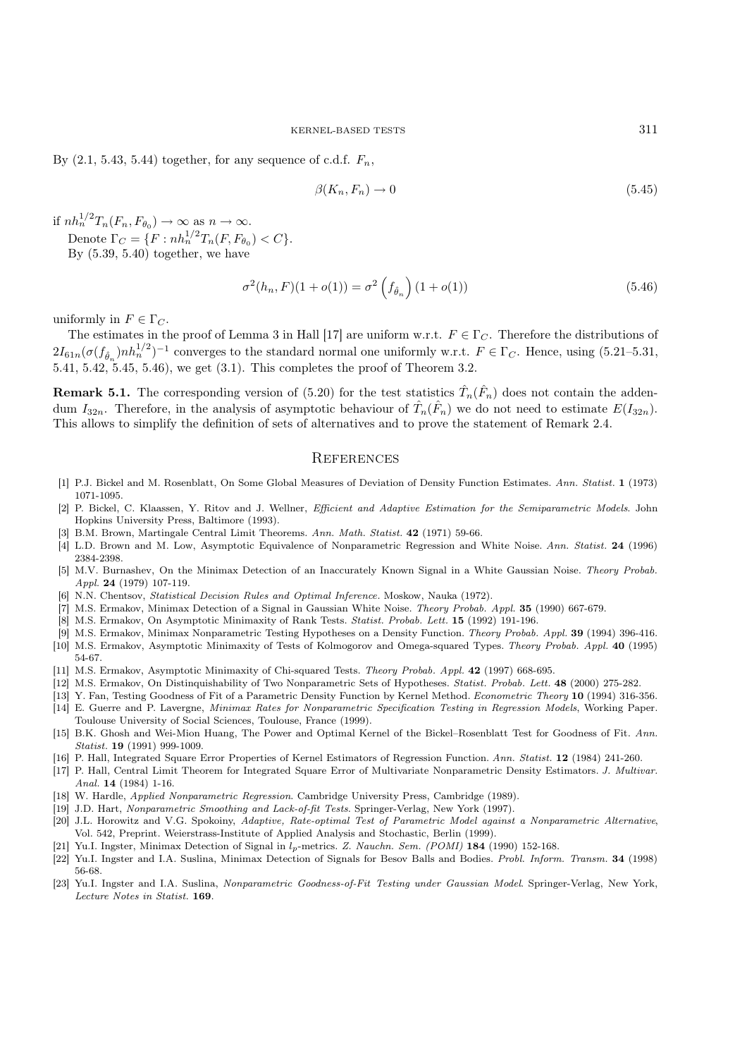By  $(2.1, 5.43, 5.44)$  together, for any sequence of c.d.f.  $F_n$ ,

$$
\beta(K_n, F_n) \to 0 \tag{5.45}
$$

if  $nh_n^{1/2} T_n(F_n, F_{\theta_0}) \to \infty$  as  $n \to \infty$ . Denote  $\Gamma_C = \{F : nh_n^{1/2} T_n(F, F_{\theta_0}) < C\}.$ 

By  $(5.39, 5.40)$  together, we have

$$
\sigma^{2}(h_{n}, F)(1 + o(1)) = \sigma^{2}\left(f_{\hat{\theta}_{n}}\right)(1 + o(1))\tag{5.46}
$$

uniformly in  $F \in \Gamma_C$ .

The estimates in the proof of Lemma 3 in Hall [17] are uniform w.r.t.  $F \in \Gamma_C$ . Therefore the distributions of  $2I_{61n}(\sigma(f_{\hat{\theta}_n})nh_n^{1/2})^{-1}$  converges to the standard normal one uniformly w.r.t.  $F \in \Gamma_C$ . Hence, using (5.21–5.31, 5.41, 5.42,  $5.45, 5.46$ , we get  $(3.1)$ . This completes the proof of Theorem 3.2.

**Remark 5.1.** The corresponding version of (5.20) for the test statistics  $\hat{T}_n(\hat{F}_n)$  does not contain the addendum  $I_{32n}$ . Therefore, in the analysis of asymptotic behaviour of  $\hat{T}_n(\hat{F}_n)$  we do not need to estimate  $E(I_{32n})$ . This allows to simplify the definition of sets of alternatives and to prove the statement of Remark 2.4.

## **REFERENCES**

- [1] P.J. Bickel and M. Rosenblatt, On Some Global Measures of Deviation of Density Function Estimates. *Ann. Statist.* 1 (1973) 1071-1095.
- [2] P. Bickel, C. Klaassen, Y. Ritov and J. Wellner, *Efficient and Adaptive Estimation for the Semiparametric Models*. John Hopkins University Press, Baltimore (1993).
- [3] B.M. Brown, Martingale Central Limit Theorems. *Ann. Math. Statist.* 42 (1971) 59-66.
- [4] L.D. Brown and M. Low, Asymptotic Equivalence of Nonparametric Regression and White Noise. *Ann. Statist.* 24 (1996) 2384-2398.
- [5] M.V. Burnashev, On the Minimax Detection of an Inaccurately Known Signal in a White Gaussian Noise. *Theory Probab. Appl.* 24 (1979) 107-119.
- [6] N.N. Chentsov, *Statistical Decision Rules and Optimal Inference.* Moskow, Nauka (1972).
- [7] M.S. Ermakov, Minimax Detection of a Signal in Gaussian White Noise. *Theory Probab. Appl.* 35 (1990) 667-679.
- [8] M.S. Ermakov, On Asymptotic Minimaxity of Rank Tests. *Statist. Probab. Lett.* 15 (1992) 191-196.
- [9] M.S. Ermakov, Minimax Nonparametric Testing Hypotheses on a Density Function. *Theory Probab. Appl.* 39 (1994) 396-416.
- [10] M.S. Ermakov, Asymptotic Minimaxity of Tests of Kolmogorov and Omega-squared Types. *Theory Probab. Appl.* 40 (1995) 54-67.
- [11] M.S. Ermakov, Asymptotic Minimaxity of Chi-squared Tests. *Theory Probab. Appl.* 42 (1997) 668-695.
- [12] M.S. Ermakov, On Distinquishability of Two Nonparametric Sets of Hypotheses. *Statist. Probab. Lett.* 48 (2000) 275-282.
- [13] Y. Fan, Testing Goodness of Fit of a Parametric Density Function by Kernel Method. *Econometric Theory* 10 (1994) 316-356.
- [14] E. Guerre and P. Lavergne, *Minimax Rates for Nonparametric Specification Testing in Regression Models*, Working Paper. Toulouse University of Social Sciences, Toulouse, France (1999).
- [15] B.K. Ghosh and Wei-Mion Huang, The Power and Optimal Kernel of the Bickel–Rosenblatt Test for Goodness of Fit. *Ann. Statist.* 19 (1991) 999-1009.
- [16] P. Hall, Integrated Square Error Properties of Kernel Estimators of Regression Function. *Ann. Statist.* 12 (1984) 241-260.
- [17] P. Hall, Central Limit Theorem for Integrated Square Error of Multivariate Nonparametric Density Estimators. *J. Multivar. Anal.* 14 (1984) 1-16.
- [18] W. Hardle, *Applied Nonparametric Regression*. Cambridge University Press, Cambridge (1989).
- [19] J.D. Hart, *Nonparametric Smoothing and Lack-of-fit Tests*. Springer-Verlag, New York (1997).
- [20] J.L. Horowitz and V.G. Spokoiny, *Adaptive, Rate-optimal Test of Parametric Model against a Nonparametric Alternative*, Vol. 542, Preprint. Weierstrass-Institute of Applied Analysis and Stochastic, Berlin (1999).
- [21] Yu.I. Ingster, Minimax Detection of Signal in lp-metrics. *Z. Nauchn. Sem. (POMI)* 184 (1990) 152-168.
- [22] Yu.I. Ingster and I.A. Suslina, Minimax Detection of Signals for Besov Balls and Bodies. *Probl. Inform. Transm.* 34 (1998) 56-68.
- [23] Yu.I. Ingster and I.A. Suslina, *Nonparametric Goodness-of-Fit Testing under Gaussian Model*. Springer-Verlag, New York, *Lecture Notes in Statist.* 169.